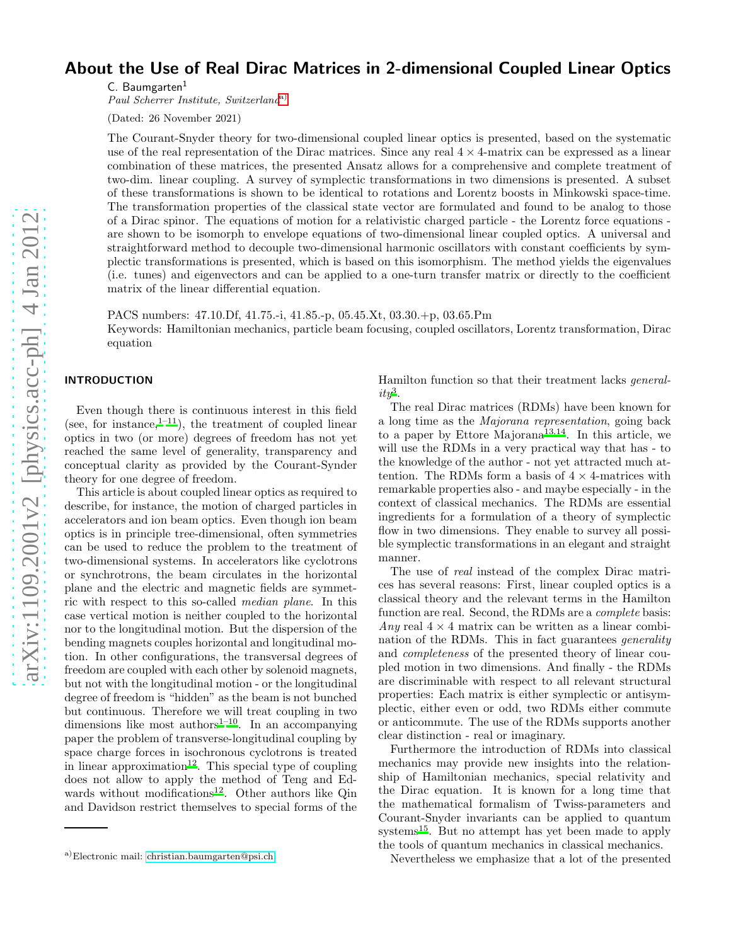# About the Use of Real Dirac Matrices in 2-dimensional Coupled Linear Optics

C. Baumgarten<sup>1</sup>

Paul Scherrer Institute, Switzerland<sup>[a\)](#page-0-0)</sup>

(Dated: 26 November 2021)

The Courant-Snyder theory for two-dimensional coupled linear optics is presented, based on the systematic use of the real representation of the Dirac matrices. Since any real  $4 \times 4$ -matrix can be expressed as a linear combination of these matrices, the presented Ansatz allows for a comprehensive and complete treatment of two-dim. linear coupling. A survey of symplectic transformations in two dimensions is presented. A subset of these transformations is shown to be identical to rotations and Lorentz boosts in Minkowski space-time. The transformation properties of the classical state vector are formulated and found to be analog to those of a Dirac spinor. The equations of motion for a relativistic charged particle - the Lorentz force equations are shown to be isomorph to envelope equations of two-dimensional linear coupled optics. A universal and straightforward method to decouple two-dimensional harmonic oscillators with constant coefficients by symplectic transformations is presented, which is based on this isomorphism. The method yields the eigenvalues (i.e. tunes) and eigenvectors and can be applied to a one-turn transfer matrix or directly to the coefficient matrix of the linear differential equation.

PACS numbers: 47.10.Df, 41.75.-i, 41.85.-p, 05.45.Xt, 03.30.+p, 03.65.Pm Keywords: Hamiltonian mechanics, particle beam focusing, coupled oscillators, Lorentz transformation, Dirac equation

# INTRODUCTION

Even though there is continuous interest in this field (see, for instance, $1^{-11}$  $1^{-11}$ ), the treatment of coupled linear optics in two (or more) degrees of freedom has not yet reached the same level of generality, transparency and conceptual clarity as provided by the Courant-Synder theory for one degree of freedom.

This article is about coupled linear optics as required to describe, for instance, the motion of charged particles in accelerators and ion beam optics. Even though ion beam optics is in principle tree-dimensional, often symmetries can be used to reduce the problem to the treatment of two-dimensional systems. In accelerators like cyclotrons or synchrotrons, the beam circulates in the horizontal plane and the electric and magnetic fields are symmetric with respect to this so-called median plane. In this case vertical motion is neither coupled to the horizontal nor to the longitudinal motion. But the dispersion of the bending magnets couples horizontal and longitudinal motion. In other configurations, the transversal degrees of freedom are coupled with each other by solenoid magnets, but not with the longitudinal motion - or the longitudinal degree of freedom is "hidden" as the beam is not bunched but continuous. Therefore we will treat coupling in two dimensions like most authors<sup>[1](#page-24-0)[–10](#page-24-2)</sup>. In an accompanying paper the problem of transverse-longitudinal coupling by space charge forces in isochronous cyclotrons is treated in linear approximation<sup>[12](#page-24-3)</sup>. This special type of coupling does not allow to apply the method of Teng and Ed-wards without modifications<sup>[12](#page-24-3)</sup>. Other authors like Qin and Davidson restrict themselves to special forms of the

Hamilton function so that their treatment lacks general $ity^3$  $ity^3$  $ity^3$ .

The real Dirac matrices (RDMs) have been known for a long time as the Majorana representation, going back to a paper by Ettore Majorana<sup>[13](#page-24-5)[,14](#page-24-6)</sup>. In this article, we will use the RDMs in a very practical way that has - to the knowledge of the author - not yet attracted much attention. The RDMs form a basis of  $4 \times 4$ -matrices with remarkable properties also - and maybe especially - in the context of classical mechanics. The RDMs are essential ingredients for a formulation of a theory of symplectic flow in two dimensions. They enable to survey all possible symplectic transformations in an elegant and straight manner.

The use of real instead of the complex Dirac matrices has several reasons: First, linear coupled optics is a classical theory and the relevant terms in the Hamilton function are real. Second, the RDMs are a complete basis: Any real  $4 \times 4$  matrix can be written as a linear combination of the RDMs. This in fact guarantees generality and completeness of the presented theory of linear coupled motion in two dimensions. And finally - the RDMs are discriminable with respect to all relevant structural properties: Each matrix is either symplectic or antisymplectic, either even or odd, two RDMs either commute or anticommute. The use of the RDMs supports another clear distinction - real or imaginary.

Furthermore the introduction of RDMs into classical mechanics may provide new insights into the relationship of Hamiltonian mechanics, special relativity and the Dirac equation. It is known for a long time that the mathematical formalism of Twiss-parameters and Courant-Snyder invariants can be applied to quantum systems<sup>[15](#page-24-7)</sup>. But no attempt has yet been made to apply the tools of quantum mechanics in classical mechanics.

Nevertheless we emphasize that a lot of the presented

<span id="page-0-0"></span>a)Electronic mail: [christian.baumgarten@psi.ch](mailto:christian.baumgarten@psi.ch)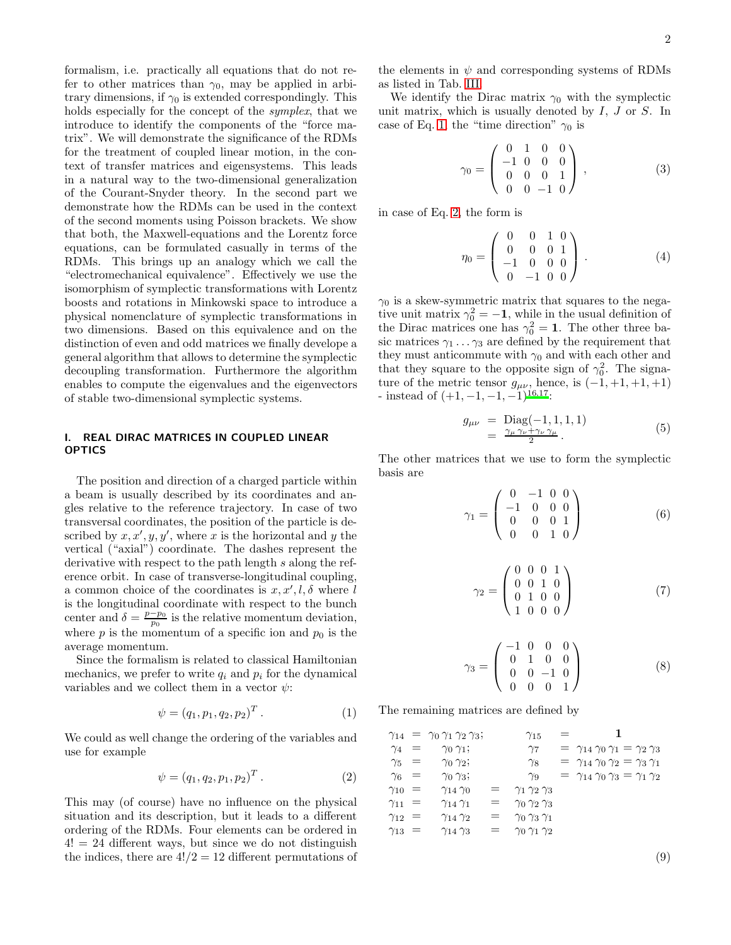formalism, i.e. practically all equations that do not refer to other matrices than  $\gamma_0$ , may be applied in arbitrary dimensions, if  $\gamma_0$  is extended correspondingly. This holds especially for the concept of the symplex, that we introduce to identify the components of the "force matrix". We will demonstrate the significance of the RDMs for the treatment of coupled linear motion, in the context of transfer matrices and eigensystems. This leads in a natural way to the two-dimensional generalization of the Courant-Snyder theory. In the second part we demonstrate how the RDMs can be used in the context of the second moments using Poisson brackets. We show that both, the Maxwell-equations and the Lorentz force equations, can be formulated casually in terms of the RDMs. This brings up an analogy which we call the "electromechanical equivalence". Effectively we use the isomorphism of symplectic transformations with Lorentz boosts and rotations in Minkowski space to introduce a physical nomenclature of symplectic transformations in two dimensions. Based on this equivalence and on the distinction of even and odd matrices we finally develope a general algorithm that allows to determine the symplectic decoupling transformation. Furthermore the algorithm enables to compute the eigenvalues and the eigenvectors of stable two-dimensional symplectic systems.

# I. REAL DIRAC MATRICES IN COUPLED LINEAR OPTICS

The position and direction of a charged particle within a beam is usually described by its coordinates and angles relative to the reference trajectory. In case of two transversal coordinates, the position of the particle is described by  $x, x', y, y'$ , where x is the horizontal and y the vertical ("axial") coordinate. The dashes represent the derivative with respect to the path length s along the reference orbit. In case of transverse-longitudinal coupling, a common choice of the coordinates is  $x, x', l, \delta$  where l is the longitudinal coordinate with respect to the bunch center and  $\delta = \frac{p-p_0}{p_0}$  is the relative momentum deviation, where p is the momentum of a specific ion and  $p_0$  is the average momentum.

Since the formalism is related to classical Hamiltonian mechanics, we prefer to write  $q_i$  and  $p_i$  for the dynamical variables and we collect them in a vector  $\psi$ :

<span id="page-1-0"></span>
$$
\psi = (q_1, p_1, q_2, p_2)^T. \tag{1}
$$

We could as well change the ordering of the variables and use for example

<span id="page-1-1"></span>
$$
\psi = (q_1, q_2, p_1, p_2)^T. \tag{2}
$$

This may (of course) have no influence on the physical situation and its description, but it leads to a different ordering of the RDMs. Four elements can be ordered in  $4! = 24$  different ways, but since we do not distinguish the indices, there are  $4!/2 = 12$  different permutations of

the elements in  $\psi$  and corresponding systems of RDMs as listed in Tab. [III.](#page-22-0)

We identify the Dirac matrix  $\gamma_0$  with the symplectic unit matrix, which is usually denoted by  $I, J$  or  $S$ . In case of Eq. [1,](#page-1-0) the "time direction"  $\gamma_0$  is

$$
\gamma_0 = \left( \begin{array}{cccc} 0 & 1 & 0 & 0 \\ -1 & 0 & 0 & 0 \\ 0 & 0 & 0 & 1 \\ 0 & 0 & -1 & 0 \end{array} \right) , \tag{3}
$$

in case of Eq. [2,](#page-1-1) the form is

$$
\eta_0 = \begin{pmatrix} 0 & 0 & 1 & 0 \\ 0 & 0 & 0 & 1 \\ -1 & 0 & 0 & 0 \\ 0 & -1 & 0 & 0 \end{pmatrix} . \tag{4}
$$

 $\gamma_0$  is a skew-symmetric matrix that squares to the negative unit matrix  $\gamma_0^2 = -1$ , while in the usual definition of the Dirac matrices one has  $\gamma_0^2 = 1$ . The other three basic matrices  $\gamma_1 \dots \gamma_3$  are defined by the requirement that they must anticommute with  $\gamma_0$  and with each other and that they square to the opposite sign of  $\gamma_0^2$ . The signature of the metric tensor  $g_{\mu\nu}$ , hence, is  $(-1, +1, +1, +1)$ - instead of  $(+1, -1, -1, -1)^{16,17}$  $(+1, -1, -1, -1)^{16,17}$  $(+1, -1, -1, -1)^{16,17}$  $(+1, -1, -1, -1)^{16,17}$ :

$$
g_{\mu\nu} = \text{Diag}(-1, 1, 1, 1)
$$
  
= 
$$
\frac{\gamma_{\mu}\gamma_{\nu} + \gamma_{\nu}\gamma_{\mu}}{2}.
$$
 (5)

The other matrices that we use to form the symplectic basis are

$$
\gamma_1 = \begin{pmatrix} 0 & -1 & 0 & 0 \\ -1 & 0 & 0 & 0 \\ 0 & 0 & 0 & 1 \\ 0 & 0 & 1 & 0 \end{pmatrix} \tag{6}
$$

$$
\gamma_2 = \begin{pmatrix} 0 & 0 & 0 & 1 \\ 0 & 0 & 1 & 0 \\ 0 & 1 & 0 & 0 \\ 1 & 0 & 0 & 0 \end{pmatrix} \tag{7}
$$

$$
\gamma_3 = \left(\begin{array}{rrr} -1 & 0 & 0 & 0 \\ 0 & 1 & 0 & 0 \\ 0 & 0 & -1 & 0 \\ 0 & 0 & 0 & 1 \end{array}\right) \tag{8}
$$

The remaining matrices are defined by

|                 |          | $\gamma_{14} = \gamma_0 \gamma_1 \gamma_2 \gamma_3;$ |     | $\gamma_{15}$                    | $=$ |                                                      |
|-----------------|----------|------------------------------------------------------|-----|----------------------------------|-----|------------------------------------------------------|
| $\gamma_4$      | $\equiv$ | $\gamma_0 \gamma_1;$                                 |     | $\gamma_7$                       |     | $=$ $\gamma_{14}\gamma_0\gamma_1 = \gamma_2\gamma_3$ |
| $\gamma_5 =$    |          | $\gamma_0 \gamma_2$ ;                                |     | $\gamma_8$                       |     | $=$ $\gamma_{14}\gamma_0\gamma_2 = \gamma_3\gamma_1$ |
| $\gamma_6 =$    |          | $\gamma_0 \gamma_3;$                                 |     | $\gamma$ 9                       |     | $=$ $\gamma_{14}\gamma_0\gamma_3 = \gamma_1\gamma_2$ |
| $\gamma_{10}$ = |          | $\gamma_{14}\gamma_0$                                | $=$ | $\gamma_1\,\gamma_2\,\gamma_3$   |     |                                                      |
| $\gamma_{11} =$ |          | $\gamma_{14}\,\gamma_1$                              | $=$ | $\gamma_0 \gamma_2 \gamma_3$     |     |                                                      |
| $\gamma_{12}$ = |          | $\gamma_{14}\,\gamma_2$                              | $=$ | $\gamma_0 \gamma_3 \gamma_1$     |     |                                                      |
| $\gamma_{13}$ = |          | $\gamma_{14}\,\gamma_3$                              | =   | $\gamma_0$ $\gamma_1$ $\gamma_2$ |     |                                                      |

(9)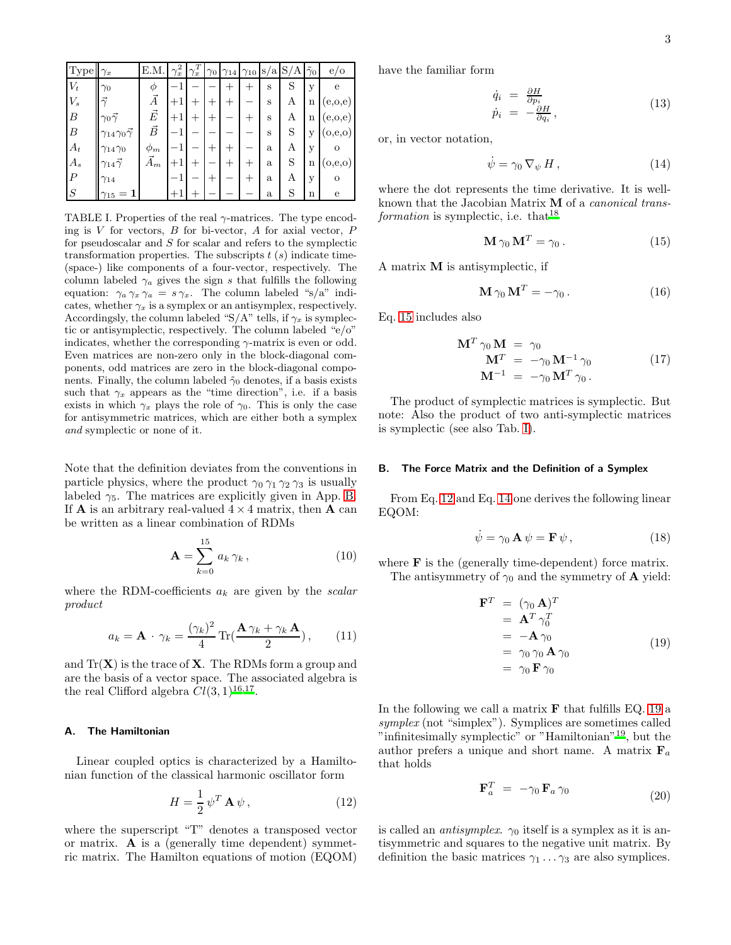| $ {\rm Type} $   | $\gamma_x$                        | E.M.        | $\gamma_x^2$    | T<br>$\gamma_x$ |        |      |              | $\gamma_0$ $\gamma_{14}$ $\gamma_{10}$ s/a S/A | $\tilde{\gamma}_0$ | e/o       |
|------------------|-----------------------------------|-------------|-----------------|-----------------|--------|------|--------------|------------------------------------------------|--------------------|-----------|
| $V_t$            | $\gamma_0$                        | Φ           | $^{-1}$         |                 |        | $+$  | S            | S                                              | у                  | e         |
| $\mathcal{V}_s$  | $\vec{\gamma}$                    | Ā           | $\cdot + \cdot$ | $^+$            | $+$    |      | S            | А                                              | n                  | (e, o, e) |
| $\boldsymbol{B}$ | $\gamma_0 \vec{\gamma}$           | $\vec{E}$   | $+1$            | $^+$            | $+$    | $^+$ | S            | А                                              | $\mathbf n$        | (e, o, e) |
| $\boldsymbol{B}$ | $\gamma_{14}\gamma_0\vec{\gamma}$ | $\vec{B}$   |                 |                 |        |      | S            | S                                              | y                  | (o,e,o)   |
| $A_t$            | $\gamma_{14}\gamma_0$             | $\phi_m$    |                 |                 | $^{+}$ |      | $\mathbf{a}$ | А                                              | у                  |           |
| $A_s$            | $\gamma_{14}\bar{\gamma}$         | $\vec{A}_m$ | $+1$            | +               |        | $^+$ | a            | S                                              | n                  | (o,e,o)   |
| $\boldsymbol{P}$ | $\gamma_{14}$                     |             |                 |                 | $^{+}$ | $^+$ | a            | А                                              | у                  | $\Omega$  |
| S                | $\gamma_{15}$                     |             |                 |                 |        |      | a            | S                                              | n                  | e         |

<span id="page-2-1"></span>TABLE I. Properties of the real  $\gamma$ -matrices. The type encoding is  $V$  for vectors,  $B$  for bi-vector,  $A$  for axial vector,  $P$ for pseudoscalar and  $S$  for scalar and refers to the symplectic transformation properties. The subscripts  $t(s)$  indicate time-(space-) like components of a four-vector, respectively. The column labeled  $\gamma_a$  gives the sign s that fulfills the following equation:  $\gamma_a \gamma_x \gamma_a = s \gamma_x$ . The column labeled "s/a" indicates, whether  $\gamma_x$  is a symplex or an antisymplex, respectively. Accordingsly, the column labeled "S/A" tells, if  $\gamma_x$  is symplectic or antisymplectic, respectively. The column labeled "e/o" indicates, whether the corresponding  $\gamma$ -matrix is even or odd. Even matrices are non-zero only in the block-diagonal components, odd matrices are zero in the block-diagonal components. Finally, the column labeled  $\tilde{\gamma}_0$  denotes, if a basis exists such that  $\gamma_x$  appears as the "time direction", i.e. if a basis exists in which  $\gamma_x$  plays the role of  $\gamma_0$ . This is only the case for antisymmetric matrices, which are either both a symplex and symplectic or none of it.

Note that the definition deviates from the conventions in particle physics, where the product  $\gamma_0 \gamma_1 \gamma_2 \gamma_3$  is usually labeled  $\gamma_5$ . The matrices are explicitly given in App. [B.](#page-22-1) If **A** is an arbitrary real-valued  $4 \times 4$  matrix, then **A** can be written as a linear combination of RDMs

<span id="page-2-7"></span>
$$
\mathbf{A} = \sum_{k=0}^{15} a_k \,\gamma_k \,, \tag{10}
$$

where the RDM-coefficients  $a_k$  are given by the *scalar* product

<span id="page-2-8"></span>
$$
a_k = \mathbf{A} \cdot \gamma_k = \frac{(\gamma_k)^2}{4} \operatorname{Tr}(\frac{\mathbf{A} \gamma_k + \gamma_k \mathbf{A}}{2}), \qquad (11)
$$

and  $Tr(X)$  is the trace of **X**. The RDMs form a group and are the basis of a vector space. The associated algebra is the real Clifford algebra  $Cl(3, 1)^{16, 17}$  $Cl(3, 1)^{16, 17}$  $Cl(3, 1)^{16, 17}$ .

### A. The Hamiltonian

Linear coupled optics is characterized by a Hamiltonian function of the classical harmonic oscillator form

<span id="page-2-2"></span>
$$
H = \frac{1}{2} \psi^T \mathbf{A} \psi , \qquad (12)
$$

where the superscript "T" denotes a transposed vector or matrix. A is a (generally time dependent) symmetric matrix. The Hamilton equations of motion (EQOM) have the familiar form

$$
\dot{q}_i = \frac{\partial H}{\partial p_i} \n\dot{p}_i = -\frac{\partial H}{\partial q_i},
$$
\n(13)

or, in vector notation,

<span id="page-2-3"></span>
$$
\dot{\psi} = \gamma_0 \, \nabla_{\psi} \, H \,, \tag{14}
$$

where the dot represents the time derivative. It is wellknown that the Jacobian Matrix M of a canonical trans $formation$  is symplectic, i.e. that<sup>[18](#page-24-10)</sup>

<span id="page-2-0"></span>
$$
\mathbf{M}\,\gamma_0\,\mathbf{M}^T = \gamma_0\,.\tag{15}
$$

A matrix M is antisymplectic, if

$$
\mathbf{M}\,\gamma_0\,\mathbf{M}^T = -\gamma_0\,. \tag{16}
$$

Eq. [15](#page-2-0) includes also

<span id="page-2-6"></span>
$$
\mathbf{M}^T \gamma_0 \mathbf{M} = \gamma_0 \n\mathbf{M}^T = -\gamma_0 \mathbf{M}^{-1} \gamma_0 \n\mathbf{M}^{-1} = -\gamma_0 \mathbf{M}^T \gamma_0.
$$
\n(17)

The product of symplectic matrices is symplectic. But note: Also the product of two anti-symplectic matrices is symplectic (see also Tab. [I\)](#page-2-1).

#### B. The Force Matrix and the Definition of a Symplex

From Eq. [12](#page-2-2) and Eq. [14](#page-2-3) one derives the following linear EQOM:

<span id="page-2-5"></span>
$$
\dot{\psi} = \gamma_0 \mathbf{A} \psi = \mathbf{F} \psi, \qquad (18)
$$

where **F** is the (generally time-dependent) force matrix. The antisymmetry of  $\gamma_0$  and the symmetry of **A** yield:

<span id="page-2-4"></span>
$$
\begin{aligned}\n\mathbf{F}^T &= (\gamma_0 \mathbf{A})^T \\
&= \mathbf{A}^T \gamma_0^T \\
&= -\mathbf{A} \gamma_0 \\
&= \gamma_0 \gamma_0 \mathbf{A} \gamma_0 \\
&= \gamma_0 \mathbf{F} \gamma_0\n\end{aligned} \tag{19}
$$

In the following we call a matrix  $\bf{F}$  that fulfills EQ. [19](#page-2-4) a symplex (not "simplex"). Symplices are sometimes called "infinitesimally symplectic" or "Hamiltonian"[19](#page-24-11), but the author prefers a unique and short name. A matrix  $\mathbf{F}_a$ that holds

$$
\mathbf{F}_a^T = -\gamma_0 \, \mathbf{F}_a \, \gamma_0 \tag{20}
$$

is called an *antisymplex*.  $\gamma_0$  itself is a symplex as it is antisymmetric and squares to the negative unit matrix. By definition the basic matrices  $\gamma_1 \dots \gamma_3$  are also symplices.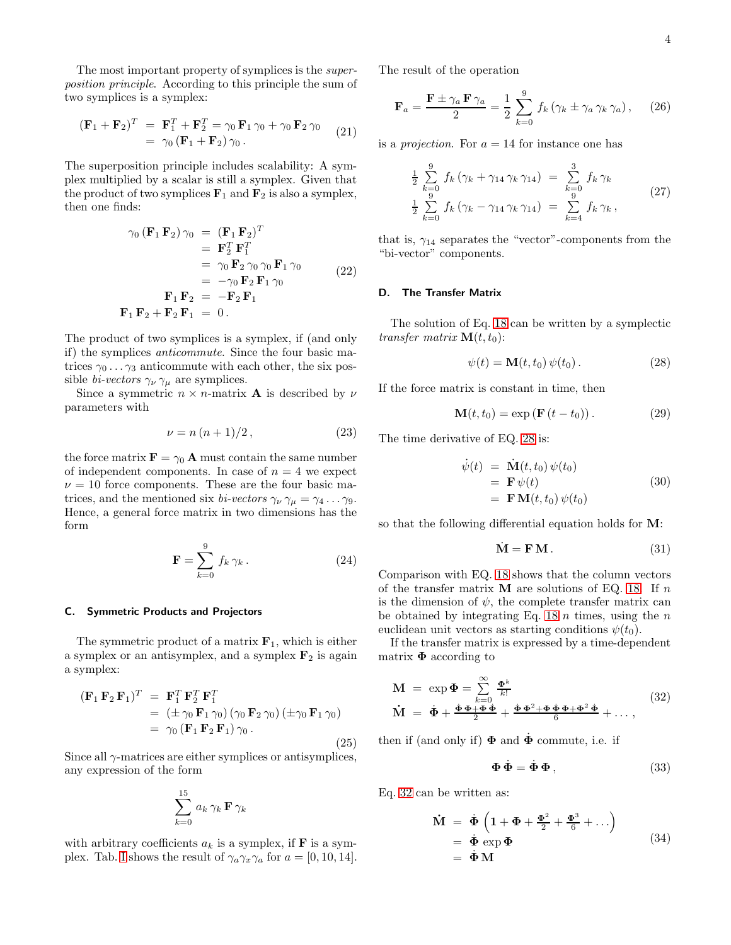The most important property of symplices is the superposition principle. According to this principle the sum of two symplices is a symplex:

$$
(\mathbf{F}_1 + \mathbf{F}_2)^T = \mathbf{F}_1^T + \mathbf{F}_2^T = \gamma_0 \mathbf{F}_1 \gamma_0 + \gamma_0 \mathbf{F}_2 \gamma_0
$$
  
=  $\gamma_0 (\mathbf{F}_1 + \mathbf{F}_2) \gamma_0.$  (21)

The superposition principle includes scalability: A symplex multiplied by a scalar is still a symplex. Given that the product of two symplices  $\mathbf{F}_1$  and  $\mathbf{F}_2$  is also a symplex, then one finds:

$$
\gamma_0 (\mathbf{F}_1 \mathbf{F}_2) \gamma_0 = (\mathbf{F}_1 \mathbf{F}_2)^T
$$
  
\n
$$
= \mathbf{F}_2^T \mathbf{F}_1^T
$$
  
\n
$$
= \gamma_0 \mathbf{F}_2 \gamma_0 \gamma_0 \mathbf{F}_1 \gamma_0
$$
  
\n
$$
= -\gamma_0 \mathbf{F}_2 \mathbf{F}_1 \gamma_0
$$
  
\n
$$
\mathbf{F}_1 \mathbf{F}_2 = -\mathbf{F}_2 \mathbf{F}_1
$$
  
\n
$$
\mathbf{F}_1 \mathbf{F}_2 + \mathbf{F}_2 \mathbf{F}_1 = 0.
$$
 (22)

The product of two symplices is a symplex, if (and only if) the symplices anticommute. Since the four basic matrices  $\gamma_0 \ldots \gamma_3$  anticommute with each other, the six possible *bi-vectors*  $\gamma_{\nu}$   $\gamma_{\mu}$  are symplices.

Since a symmetric  $n \times n$ -matrix **A** is described by  $\nu$ parameters with

<span id="page-3-4"></span>
$$
\nu = n\left(n+1\right)/2,\tag{23}
$$

the force matrix  $\mathbf{F} = \gamma_0 \mathbf{A}$  must contain the same number of independent components. In case of  $n = 4$  we expect  $\nu = 10$  force components. These are the four basic matrices, and the mentioned six *bi-vectors*  $\gamma_{\nu} \gamma_{\mu} = \gamma_4 \dots \gamma_9$ . Hence, a general force matrix in two dimensions has the form

<span id="page-3-3"></span>
$$
\mathbf{F} = \sum_{k=0}^{9} f_k \gamma_k.
$$
 (24)

#### C. Symmetric Products and Projectors

The symmetric product of a matrix  $\mathbf{F}_1$ , which is either a symplex or an antisymplex, and a symplex  $F_2$  is again a symplex:

$$
(\mathbf{F}_1 \mathbf{F}_2 \mathbf{F}_1)^T = \mathbf{F}_1^T \mathbf{F}_2^T \mathbf{F}_1^T
$$
  
=  $(\pm \gamma_0 \mathbf{F}_1 \gamma_0) (\gamma_0 \mathbf{F}_2 \gamma_0) (\pm \gamma_0 \mathbf{F}_1 \gamma_0)$   
=  $\gamma_0 (\mathbf{F}_1 \mathbf{F}_2 \mathbf{F}_1) \gamma_0.$  (25)

Since all  $\gamma$ -matrices are either symplices or antisymplices, any expression of the form

$$
\sum_{k=0}^{15} a_k \, \gamma_k \, \mathbf{F} \, \gamma_k
$$

with arbitrary coefficients  $a_k$  is a symplex, if **F** is a sym-plex. Tab. [I](#page-2-1) shows the result of  $\gamma_a \gamma_x \gamma_a$  for  $a = [0, 10, 14]$ . The result of the operation

$$
\mathbf{F}_a = \frac{\mathbf{F} \pm \gamma_a \,\mathbf{F} \,\gamma_a}{2} = \frac{1}{2} \sum_{k=0}^9 f_k \left( \gamma_k \pm \gamma_a \,\gamma_k \,\gamma_a \right), \tag{26}
$$

is a *projection*. For  $a = 14$  for instance one has

$$
\frac{1}{2} \sum_{k=0}^{9} f_k (\gamma_k + \gamma_{14} \gamma_k \gamma_{14}) = \sum_{k=0}^{3} f_k \gamma_k
$$
\n
$$
\frac{1}{2} \sum_{k=0}^{9} f_k (\gamma_k - \gamma_{14} \gamma_k \gamma_{14}) = \sum_{k=4}^{9} f_k \gamma_k,
$$
\n(27)

that is,  $\gamma_{14}$  separates the "vector"-components from the "bi-vector" components.

### D. The Transfer Matrix

The solution of Eq. [18](#page-2-5) can be written by a symplectic transfer matrix  $\mathbf{M}(t,t_0)$ :

<span id="page-3-0"></span>
$$
\psi(t) = \mathbf{M}(t, t_0) \psi(t_0).
$$
\n(28)

If the force matrix is constant in time, then

<span id="page-3-2"></span>
$$
\mathbf{M}(t, t_0) = \exp\left(\mathbf{F}\left(t - t_0\right)\right). \tag{29}
$$

The time derivative of EQ. [28](#page-3-0) is:

$$
\dot{\psi}(t) = \dot{\mathbf{M}}(t, t_0) \psi(t_0)
$$
\n
$$
= \mathbf{F} \psi(t)
$$
\n
$$
= \mathbf{F} \mathbf{M}(t, t_0) \psi(t_0)
$$
\n(30)

so that the following differential equation holds for M:

$$
\dot{\mathbf{M}} = \mathbf{F} \mathbf{M} \,. \tag{31}
$$

Comparison with EQ. [18](#page-2-5) shows that the column vectors of the transfer matrix  $M$  are solutions of EQ. [18.](#page-2-5) If n is the dimension of  $\psi$ , the complete transfer matrix can be obtained by integrating Eq. [18](#page-2-5)  $n$  times, using the  $n$ euclidean unit vectors as starting conditions  $\psi(t_0)$ .

If the transfer matrix is expressed by a time-dependent matrix  $\Phi$  according to

<span id="page-3-1"></span>
$$
\mathbf{M} = \exp \Phi = \sum_{k=0}^{\infty} \frac{\Phi^k}{k!}
$$
\n
$$
\dot{\mathbf{M}} = \dot{\Phi} + \frac{\dot{\Phi}\Phi + \Phi\dot{\Phi}}{2} + \frac{\dot{\Phi}\Phi^2 + \Phi\dot{\Phi}\Phi + \Phi^2\dot{\Phi}}{6} + \dots,
$$
\n(32)

then if (and only if)  $\Phi$  and  $\dot{\Phi}$  commute, i.e. if

$$
\Phi \dot{\Phi} = \dot{\Phi} \Phi , \qquad (33)
$$

Eq. [32](#page-3-1) can be written as:

$$
\dot{\mathbf{M}} = \dot{\boldsymbol{\Phi}} \left( 1 + \boldsymbol{\Phi} + \frac{\boldsymbol{\Phi}^2}{2} + \frac{\boldsymbol{\Phi}^3}{6} + \cdots \right) \n= \dot{\boldsymbol{\Phi}} \exp \boldsymbol{\Phi} \n= \dot{\boldsymbol{\Phi}} \mathbf{M}
$$
\n(34)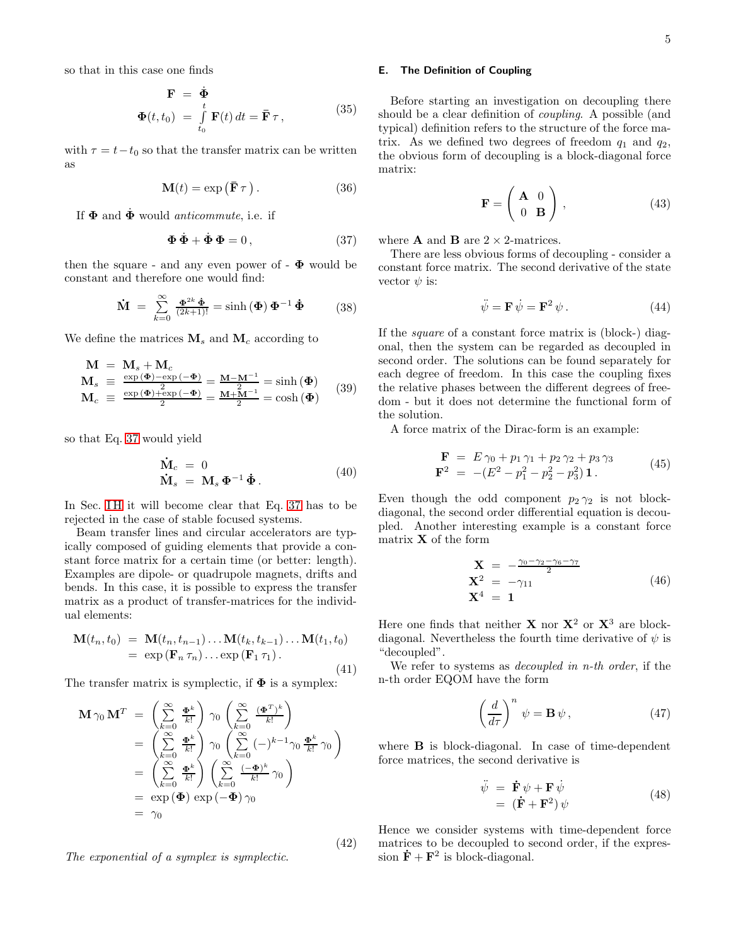so that in this case one finds

$$
\mathbf{F} = \dot{\mathbf{\Phi}} \n\Phi(t, t_0) = \int_{t_0}^t \mathbf{F}(t) dt = \bar{\mathbf{F}} \tau,
$$
\n(35)

with  $\tau = t - t_0$  so that the transfer matrix can be written as

<span id="page-4-4"></span>
$$
\mathbf{M}(t) = \exp\left(\bar{\mathbf{F}}\,\tau\right). \tag{36}
$$

If  $\Phi$  and  $\dot{\Phi}$  would *anticommute*, i.e. if

<span id="page-4-0"></span>
$$
\mathbf{\Phi}\,\dot{\mathbf{\Phi}} + \dot{\mathbf{\Phi}}\,\mathbf{\Phi} = 0\,,\tag{37}
$$

then the square - and any even power of  $\Phi$  would be constant and therefore one would find:

$$
\dot{\mathbf{M}} = \sum_{k=0}^{\infty} \frac{\Phi^{2k} \dot{\Phi}}{(2k+1)!} = \sinh(\Phi) \Phi^{-1} \dot{\Phi}
$$
 (38)

We define the matrices  $M_s$  and  $M_c$  according to

<span id="page-4-5"></span>
$$
\begin{array}{rcl}\n\mathbf{M} & = & \mathbf{M}_s + \mathbf{M}_c \\
\mathbf{M}_s & \equiv & \frac{\exp\left(\mathbf{\Phi}\right) - \exp\left(-\mathbf{\Phi}\right)}{2} = \frac{\mathbf{M} - \mathbf{M}^{-1}}{2} = \sinh\left(\mathbf{\Phi}\right) \\
\mathbf{M}_c & \equiv & \frac{\exp\left(\mathbf{\Phi}\right) + \exp\left(-\mathbf{\Phi}\right)}{2} = \frac{\mathbf{M} + \mathbf{M}^{-1}}{2} = \cosh\left(\mathbf{\Phi}\right)\n\end{array} \tag{39}
$$

so that Eq. [37](#page-4-0) would yield

$$
\dot{\mathbf{M}}_c = 0
$$
\n
$$
\dot{\mathbf{M}}_s = \mathbf{M}_s \mathbf{\Phi}^{-1} \dot{\mathbf{\Phi}}.
$$
\n(40)

In Sec. IH it will become clear that Eq. [37](#page-4-0) has to be rejected in the case of stable focused systems.

Beam transfer lines and circular accelerators are typically composed of guiding elements that provide a constant force matrix for a certain time (or better: length). Examples are dipole- or quadrupole magnets, drifts and bends. In this case, it is possible to express the transfer matrix as a product of transfer-matrices for the individual elements:

$$
\mathbf{M}(t_n, t_0) = \mathbf{M}(t_n, t_{n-1}) \dots \mathbf{M}(t_k, t_{k-1}) \dots \mathbf{M}(t_1, t_0)
$$
  
=  $\exp(\mathbf{F}_n \tau_n) \dots \exp(\mathbf{F}_1 \tau_1).$  (41)

The transfer matrix is symplectic, if  $\Phi$  is a symplex:

<span id="page-4-1"></span>
$$
\mathbf{M} \gamma_0 \mathbf{M}^T = \left(\sum_{k=0}^{\infty} \frac{\mathbf{\Phi}^k}{k!} \right) \gamma_0 \left(\sum_{k=0}^{\infty} \frac{(\mathbf{\Phi}^T)^k}{k!} \right)
$$
  
\n
$$
= \left(\sum_{k=0}^{\infty} \frac{\mathbf{\Phi}^k}{k!} \right) \gamma_0 \left(\sum_{k=0}^{\infty} (-)^{k-1} \gamma_0 \frac{\mathbf{\Phi}^k}{k!} \gamma_0 \right)
$$
  
\n
$$
= \left(\sum_{k=0}^{\infty} \frac{\mathbf{\Phi}^k}{k!} \right) \left(\sum_{k=0}^{\infty} \frac{(-\mathbf{\Phi})^k}{k!} \gamma_0 \right)
$$
  
\n
$$
= \exp(\mathbf{\Phi}) \exp(-\mathbf{\Phi}) \gamma_0
$$
  
\n
$$
= \gamma_0
$$

The exponential of a symplex is symplectic.

### <span id="page-4-3"></span>E. The Definition of Coupling

Before starting an investigation on decoupling there should be a clear definition of coupling. A possible (and typical) definition refers to the structure of the force matrix. As we defined two degrees of freedom  $q_1$  and  $q_2$ , the obvious form of decoupling is a block-diagonal force matrix:

$$
\mathbf{F} = \left(\begin{array}{cc} \mathbf{A} & 0\\ 0 & \mathbf{B} \end{array}\right) \,,\tag{43}
$$

where **A** and **B** are  $2 \times 2$ -matrices.

There are less obvious forms of decoupling - consider a constant force matrix. The second derivative of the state vector  $\psi$  is:

$$
\ddot{\psi} = \mathbf{F} \,\dot{\psi} = \mathbf{F}^2 \,\psi \,. \tag{44}
$$

If the square of a constant force matrix is (block-) diagonal, then the system can be regarded as decoupled in second order. The solutions can be found separately for each degree of freedom. In this case the coupling fixes the relative phases between the different degrees of freedom - but it does not determine the functional form of the solution.

A force matrix of the Dirac-form is an example:

<span id="page-4-2"></span>
$$
\mathbf{F} = E \gamma_0 + p_1 \gamma_1 + p_2 \gamma_2 + p_3 \gamma_3 \n\mathbf{F}^2 = -(E^2 - p_1^2 - p_2^2 - p_3^2) \mathbf{1}.
$$
\n(45)

Even though the odd component  $p_2 \gamma_2$  is not blockdiagonal, the second order differential equation is decoupled. Another interesting example is a constant force matrix  $X$  of the form

$$
\mathbf{X} = -\frac{\gamma_0 - \gamma_2 - \gamma_6 - \gamma_7}{2} \n\mathbf{X}^2 = -\gamma_{11} \n\mathbf{X}^4 = \mathbf{1}
$$
\n(46)

Here one finds that neither **X** nor  $X^2$  or  $X^3$  are blockdiagonal. Nevertheless the fourth time derivative of  $\psi$  is "decoupled".

We refer to systems as *decoupled in n-th order*, if the n-th order EQOM have the form

$$
\left(\frac{d}{d\tau}\right)^n \psi = \mathbf{B}\,\psi\,,\tag{47}
$$

where **B** is block-diagonal. In case of time-dependent force matrices, the second derivative is

$$
\ddot{\psi} = \dot{\mathbf{F}} \psi + \mathbf{F} \dot{\psi} \n= (\dot{\mathbf{F}} + \mathbf{F}^2) \psi
$$
\n(48)

Hence we consider systems with time-dependent force matrices to be decoupled to second order, if the expression  $\dot{\mathbf{F}} + \mathbf{F}^2$  is block-diagonal.

(42)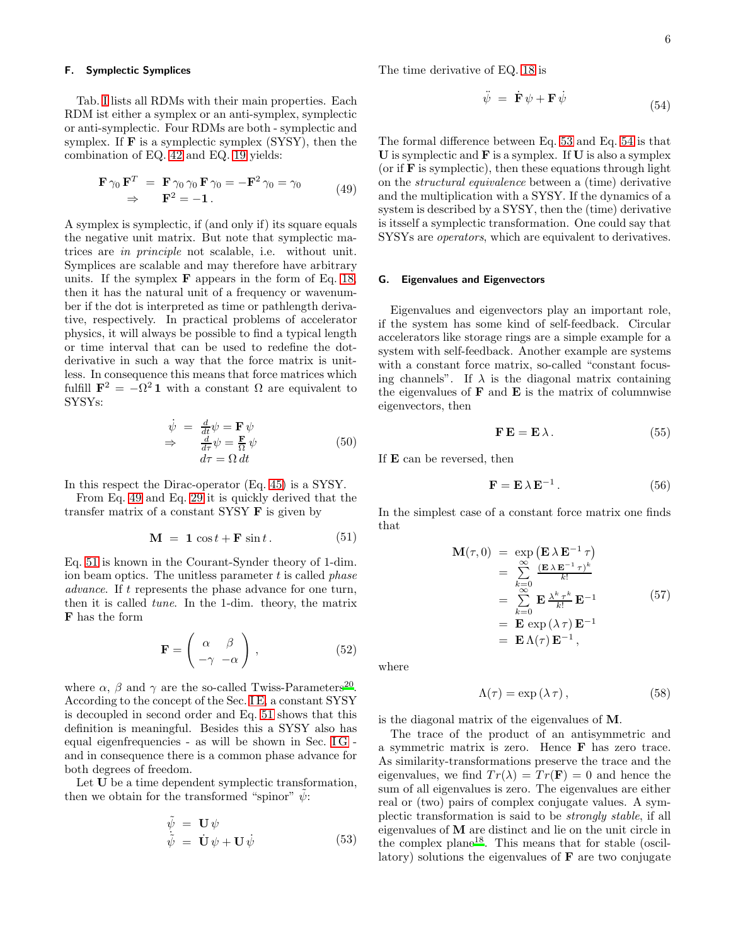#### F. Symplectic Symplices

Tab. [I](#page-2-1) lists all RDMs with their main properties. Each RDM ist either a symplex or an anti-symplex, symplectic or anti-symplectic. Four RDMs are both - symplectic and symplex. If  $\bf{F}$  is a symplectic symplex (SYSY), then the combination of EQ. [42](#page-4-1) and EQ. [19](#page-2-4) yields:

<span id="page-5-0"></span>
$$
\mathbf{F} \gamma_0 \mathbf{F}^T = \mathbf{F} \gamma_0 \gamma_0 \mathbf{F} \gamma_0 = -\mathbf{F}^2 \gamma_0 = \gamma_0
$$
  
\n
$$
\Rightarrow \mathbf{F}^2 = -\mathbf{1}.
$$
 (49)

A symplex is symplectic, if (and only if) its square equals the negative unit matrix. But note that symplectic matrices are in principle not scalable, i.e. without unit. Symplices are scalable and may therefore have arbitrary units. If the symplex  $\bf{F}$  appears in the form of Eq. [18,](#page-2-5) then it has the natural unit of a frequency or wavenumber if the dot is interpreted as time or pathlength derivative, respectively. In practical problems of accelerator physics, it will always be possible to find a typical length or time interval that can be used to redefine the dotderivative in such a way that the force matrix is unitless. In consequence this means that force matrices which fulfill  $\mathbf{F}^2 = -\Omega^2 \mathbf{1}$  with a constant  $\Omega$  are equivalent to SYSYs:

$$
\begin{array}{rcl}\n\dot{\psi} & = & \frac{d}{dt}\psi = \mathbf{F}\,\psi \\
\Rightarrow & \frac{d}{d\tau}\psi = \frac{\mathbf{F}}{\Omega}\,\psi \\
d\tau = \Omega\,dt\n\end{array} \tag{50}
$$

In this respect the Dirac-operator (Eq. [45\)](#page-4-2) is a SYSY.

From Eq. [49](#page-5-0) and Eq. [29](#page-3-2) it is quickly derived that the transfer matrix of a constant SYSY  ${\bf F}$  is given by

<span id="page-5-1"></span>
$$
\mathbf{M} = \mathbf{1} \cos t + \mathbf{F} \sin t. \tag{51}
$$

Eq. [51](#page-5-1) is known in the Courant-Synder theory of 1-dim. ion beam optics. The unitless parameter  $t$  is called *phase* advance. If t represents the phase advance for one turn, then it is called tune. In the 1-dim. theory, the matrix F has the form

$$
\mathbf{F} = \begin{pmatrix} \alpha & \beta \\ -\gamma & -\alpha \end{pmatrix}, \tag{52}
$$

where  $\alpha$ ,  $\beta$  and  $\gamma$  are the so-called Twiss-Parameters<sup>[20](#page-24-12)</sup>. According to the concept of the Sec. [I E,](#page-4-3) a constant SYSY is decoupled in second order and Eq. [51](#page-5-1) shows that this definition is meaningful. Besides this a SYSY also has equal eigenfrequencies - as will be shown in Sec. IG and in consequence there is a common phase advance for both degrees of freedom.

Let U be a time dependent symplectic transformation, then we obtain for the transformed "spinor"  $\psi$ :

<span id="page-5-3"></span>
$$
\begin{array}{rcl}\n\tilde{\psi} & = & \mathbf{U} \psi \\
\tilde{\psi} & = & \mathbf{U} \psi + \mathbf{U} \dot{\psi}\n\end{array} \tag{53}
$$

The time derivative of EQ. [18](#page-2-5) is

<span id="page-5-4"></span>
$$
\ddot{\psi} = \dot{\mathbf{F}} \psi + \mathbf{F} \dot{\psi} \tag{54}
$$

The formal difference between Eq. [53](#page-5-3) and Eq. [54](#page-5-4) is that  **is symplectic and**  $**F**$  **is a symplex. If**  $**U**$  **is also a symplex** (or if  $\bf{F}$  is symplectic), then these equations through light on the structural equivalence between a (time) derivative and the multiplication with a SYSY. If the dynamics of a system is described by a SYSY, then the (time) derivative is itsself a symplectic transformation. One could say that SYSYs are operators, which are equivalent to derivatives.

#### <span id="page-5-2"></span>G. Eigenvalues and Eigenvectors

Eigenvalues and eigenvectors play an important role, if the system has some kind of self-feedback. Circular accelerators like storage rings are a simple example for a system with self-feedback. Another example are systems with a constant force matrix, so-called "constant focusing channels". If  $\lambda$  is the diagonal matrix containing the eigenvalues of  $\bf{F}$  and  $\bf{E}$  is the matrix of columnwise eigenvectors, then

$$
\mathbf{F} \mathbf{E} = \mathbf{E} \lambda. \tag{55}
$$

If E can be reversed, then

<span id="page-5-5"></span>
$$
\mathbf{F} = \mathbf{E} \,\lambda \,\mathbf{E}^{-1} \,. \tag{56}
$$

In the simplest case of a constant force matrix one finds that

<span id="page-5-7"></span>
$$
\mathbf{M}(\tau,0) = \exp\left(\mathbf{E}\lambda\mathbf{E}^{-1}\tau\right)
$$
  
\n
$$
= \sum_{k=0}^{\infty} \frac{(\mathbf{E}\lambda\mathbf{E}^{-1}\tau)^{k}}{k!}
$$
  
\n
$$
= \sum_{k=0}^{\infty} \mathbf{E} \frac{\lambda^{k}\tau^{k}}{k!} \mathbf{E}^{-1}
$$
  
\n
$$
= \mathbf{E} \exp(\lambda \tau) \mathbf{E}^{-1}
$$
  
\n
$$
= \mathbf{E}\Lambda(\tau) \mathbf{E}^{-1},
$$
  
\n(57)

where

<span id="page-5-6"></span>
$$
\Lambda(\tau) = \exp\left(\lambda \,\tau\right),\tag{58}
$$

is the diagonal matrix of the eigenvalues of M.

The trace of the product of an antisymmetric and a symmetric matrix is zero. Hence F has zero trace. As similarity-transformations preserve the trace and the eigenvalues, we find  $Tr(\lambda) = Tr(\mathbf{F}) = 0$  and hence the sum of all eigenvalues is zero. The eigenvalues are either real or (two) pairs of complex conjugate values. A symplectic transformation is said to be strongly stable, if all eigenvalues of M are distinct and lie on the unit circle in the complex plane[18](#page-24-10). This means that for stable (oscillatory) solutions the eigenvalues of  $\bf{F}$  are two conjugate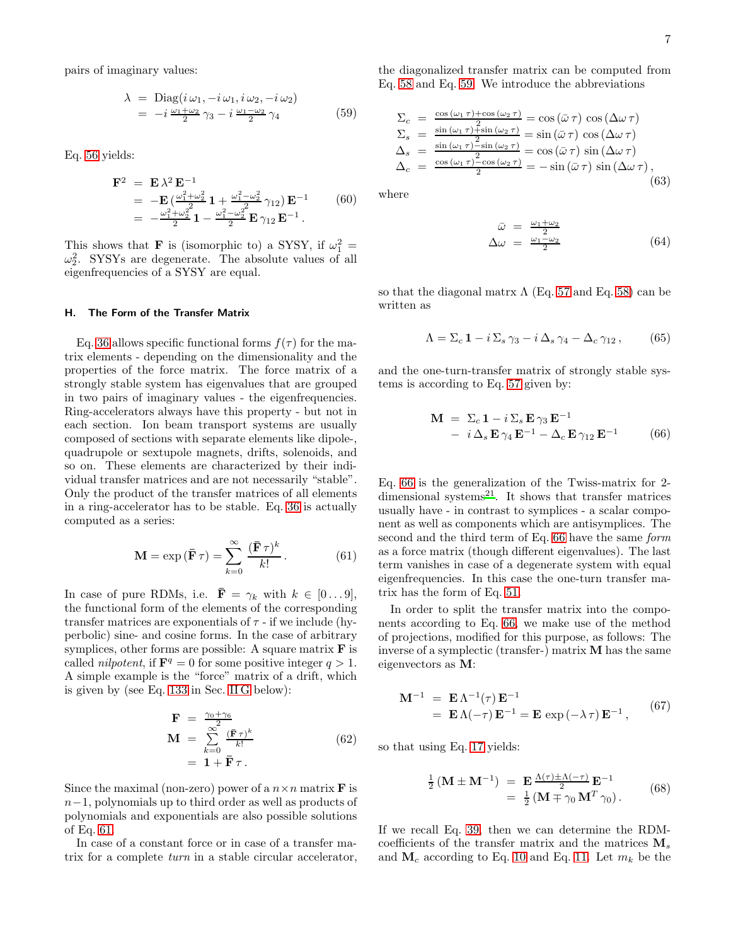pairs of imaginary values:

<span id="page-6-2"></span>
$$
\begin{aligned} \lambda &= \text{Diag}(i\,\omega_1, -i\,\omega_1, i\,\omega_2, -i\,\omega_2) \\ &= -i\,\frac{\omega_1 + \omega_2}{2}\,\gamma_3 - i\,\frac{\omega_1 - \omega_2}{2}\,\gamma_4 \end{aligned} \tag{59}
$$

Eq. [56](#page-5-5) yields:

$$
\mathbf{F}^{2} = \mathbf{E} \lambda^{2} \mathbf{E}^{-1}
$$
  
=  $-\mathbf{E} \left( \frac{\omega_{1}^{2} + \omega_{2}^{2}}{2} \mathbf{1} + \frac{\omega_{1}^{2} - \omega_{2}^{2}}{2} \gamma_{12} \right) \mathbf{E}^{-1}$  (60)  
=  $-\frac{\omega_{1}^{2} + \omega_{2}^{2}}{2} \mathbf{1} - \frac{\omega_{1}^{2} - \omega_{2}^{2}}{2} \mathbf{E} \gamma_{12} \mathbf{E}^{-1}.$ 

This shows that **F** is (isomorphic to) a SYSY, if  $\omega_1^2$  =  $\omega_2^2$ . SYSYs are degenerate. The absolute values of all eigenfrequencies of a SYSY are equal.

#### <span id="page-6-0"></span>H. The Form of the Transfer Matrix

Eq. [36](#page-4-4) allows specific functional forms  $f(\tau)$  for the matrix elements - depending on the dimensionality and the properties of the force matrix. The force matrix of a strongly stable system has eigenvalues that are grouped in two pairs of imaginary values - the eigenfrequencies. Ring-accelerators always have this property - but not in each section. Ion beam transport systems are usually composed of sections with separate elements like dipole-, quadrupole or sextupole magnets, drifts, solenoids, and so on. These elements are characterized by their individual transfer matrices and are not necessarily "stable". Only the product of the transfer matrices of all elements in a ring-accelerator has to be stable. Eq. [36](#page-4-4) is actually computed as a series:

<span id="page-6-1"></span>
$$
\mathbf{M} = \exp\left(\mathbf{\bar{F}}\,\tau\right) = \sum_{k=0}^{\infty} \frac{(\mathbf{\bar{F}}\,\tau)^k}{k!} \,. \tag{61}
$$

In case of pure RDMs, i.e.  $\bar{\mathbf{F}} = \gamma_k$  with  $k \in [0 \dots 9]$ , the functional form of the elements of the corresponding transfer matrices are exponentials of  $\tau$  - if we include (hyperbolic) sine- and cosine forms. In the case of arbitrary symplices, other forms are possible: A square matrix  $\bf{F}$  is called *nilpotent*, if  $\mathbf{F}^q = 0$  for some positive integer  $q > 1$ . A simple example is the "force" matrix of a drift, which is given by (see Eq. [133](#page-13-0) in Sec. [II G](#page-13-1) below):

$$
\begin{array}{rcl}\n\mathbf{F} &=& \frac{\gamma_0 + \gamma_6}{2} \\
\mathbf{M} &=& \sum_{k=0}^{\infty} \frac{(\mathbf{F} \,\tau)^k}{k!} \\
&=& \mathbf{1} + \mathbf{F} \,\tau \,.\n\end{array} \tag{62}
$$

Since the maximal (non-zero) power of a  $n \times n$  matrix **F** is n−1, polynomials up to third order as well as products of polynomials and exponentials are also possible solutions of Eq. [61.](#page-6-1)

In case of a constant force or in case of a transfer matrix for a complete turn in a stable circular accelerator, the diagonalized transfer matrix can be computed from Eq. [58](#page-5-6) and Eq. [59.](#page-6-2) We introduce the abbreviations

<span id="page-6-5"></span>
$$
\Sigma_c = \frac{\cos(\omega_1 \tau) + \cos(\omega_2 \tau)}{2} = \cos(\bar{\omega} \tau) \cos(\Delta \omega \tau)
$$
  
\n
$$
\Sigma_s = \frac{\sin(\omega_1 \tau) + \sin(\omega_2 \tau)}{2} = \sin(\bar{\omega} \tau) \cos(\Delta \omega \tau)
$$
  
\n
$$
\Delta_s = \frac{\sin(\omega_1 \tau) - \sin(\omega_2 \tau)}{2} = \cos(\bar{\omega} \tau) \sin(\Delta \omega \tau)
$$
  
\n
$$
\Delta_c = \frac{\cos(\omega_1 \tau) - \cos(\omega_2 \tau)}{2} = -\sin(\bar{\omega} \tau) \sin(\Delta \omega \tau),
$$
\n(63)

where

$$
\begin{array}{rcl}\n\bar{\omega} & = & \frac{\omega_1 + \omega_2}{2} \\
\Delta \omega & = & \frac{\omega_1 - \omega_2}{2}\n\end{array} \tag{64}
$$

so that the diagonal matrix  $\Lambda$  (Eq. [57](#page-5-7) and Eq. [58\)](#page-5-6) can be written as

$$
\Lambda = \Sigma_c \mathbf{1} - i \Sigma_s \gamma_3 - i \Delta_s \gamma_4 - \Delta_c \gamma_{12}, \qquad (65)
$$

and the one-turn-transfer matrix of strongly stable systems is according to Eq. [57](#page-5-7) given by:

<span id="page-6-3"></span>
$$
\mathbf{M} = \Sigma_c \mathbf{1} - i \Sigma_s \mathbf{E} \gamma_3 \mathbf{E}^{-1} \n- i \Delta_s \mathbf{E} \gamma_4 \mathbf{E}^{-1} - \Delta_c \mathbf{E} \gamma_{12} \mathbf{E}^{-1}
$$
\n(66)

Eq. [66](#page-6-3) is the generalization of the Twiss-matrix for 2 dimensional systems $^{21}$  $^{21}$  $^{21}$ . It shows that transfer matrices usually have - in contrast to symplices - a scalar component as well as components which are antisymplices. The second and the third term of Eq. [66](#page-6-3) have the same form as a force matrix (though different eigenvalues). The last term vanishes in case of a degenerate system with equal eigenfrequencies. In this case the one-turn transfer matrix has the form of Eq. [51.](#page-5-1)

In order to split the transfer matrix into the components according to Eq. [66,](#page-6-3) we make use of the method of projections, modified for this purpose, as follows: The inverse of a symplectic (transfer-) matrix M has the same eigenvectors as M:

$$
\mathbf{M}^{-1} = \mathbf{E} \Lambda^{-1}(\tau) \mathbf{E}^{-1}
$$
  
=  $\mathbf{E} \Lambda(-\tau) \mathbf{E}^{-1} = \mathbf{E} \exp(-\lambda \tau) \mathbf{E}^{-1},$  (67)

so that using Eq. [17](#page-2-6) yields:

<span id="page-6-4"></span>
$$
\frac{1}{2} \left( \mathbf{M} \pm \mathbf{M}^{-1} \right) = \mathbf{E} \frac{\Lambda(\tau) \pm \Lambda(-\tau)}{2} \mathbf{E}^{-1}
$$
  
= 
$$
\frac{1}{2} \left( \mathbf{M} \mp \gamma_0 \mathbf{M}^T \gamma_0 \right). \tag{68}
$$

If we recall Eq. [39,](#page-4-5) then we can determine the RDMcoefficients of the transfer matrix and the matrices  $\mathbf{M}_s$ and  $\mathbf{M}_c$  according to Eq. [10](#page-2-7) and Eq. [11.](#page-2-8) Let  $m_k$  be the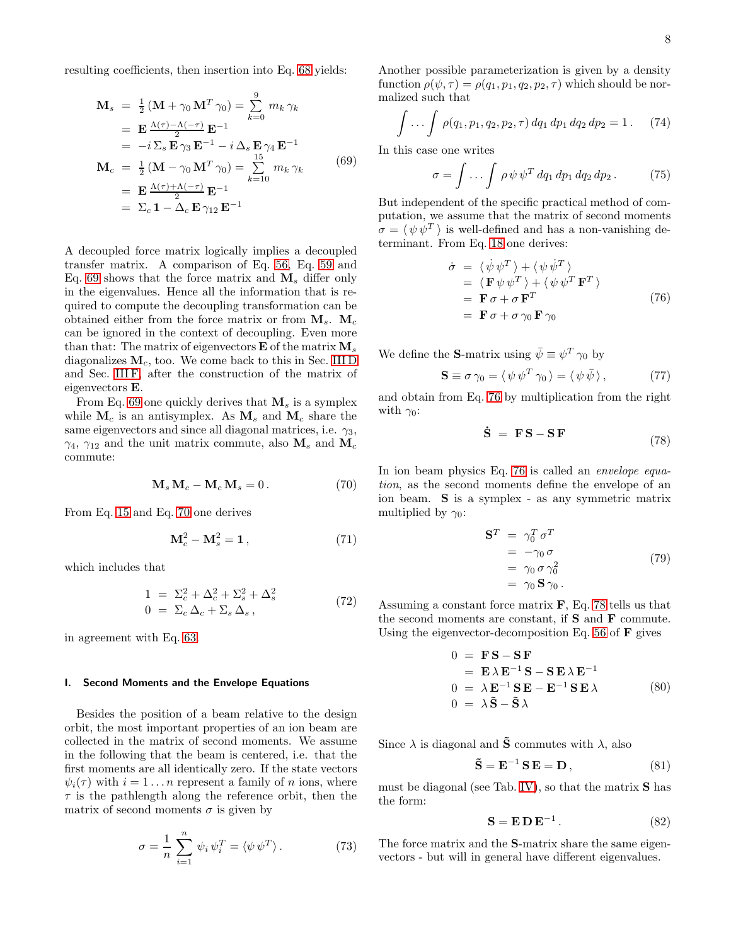resulting coefficients, then insertion into Eq. [68](#page-6-4) yields:

<span id="page-7-0"></span>
$$
\mathbf{M}_{s} = \frac{1}{2} (\mathbf{M} + \gamma_{0} \mathbf{M}^{T} \gamma_{0}) = \sum_{k=0}^{9} m_{k} \gamma_{k}
$$
\n
$$
= \mathbf{E} \frac{\Lambda(\tau) - \Lambda(-\tau)}{2} \mathbf{E}^{-1}
$$
\n
$$
= -i \sum_{s} \mathbf{E} \gamma_{3} \mathbf{E}^{-1} - i \Delta_{s} \mathbf{E} \gamma_{4} \mathbf{E}^{-1}
$$
\n
$$
\mathbf{M}_{c} = \frac{1}{2} (\mathbf{M} - \gamma_{0} \mathbf{M}^{T} \gamma_{0}) = \sum_{k=10}^{15} m_{k} \gamma_{k}
$$
\n
$$
= \mathbf{E} \frac{\Lambda(\tau) + \Lambda(-\tau)}{2} \mathbf{E}^{-1}
$$
\n
$$
= \sum_{c} 1 - \Delta_{c} \mathbf{E} \gamma_{12} \mathbf{E}^{-1}
$$
\n(69)

A decoupled force matrix logically implies a decoupled transfer matrix. A comparison of Eq. [56,](#page-5-5) Eq. [59](#page-6-2) and Eq. [69](#page-7-0) shows that the force matrix and  $M_s$  differ only in the eigenvalues. Hence all the information that is required to compute the decoupling transformation can be obtained either from the force matrix or from  $M_s$ .  $M_c$ can be ignored in the context of decoupling. Even more than that: The matrix of eigenvectors  $\bf{E}$  of the matrix  $\bf{M}_s$ diagonalizes  $M_c$ , too. We come back to this in Sec. [III D](#page-17-0) and Sec. [III F,](#page-18-0) after the construction of the matrix of eigenvectors E.

From Eq. [69](#page-7-0) one quickly derives that  $M_s$  is a symplex while  $\mathbf{M}_c$  is an antisymplex. As  $\mathbf{M}_s$  and  $\mathbf{M}_c$  share the same eigenvectors and since all diagonal matrices, i.e.  $\gamma_3$ ,  $\gamma_4$ ,  $\gamma_{12}$  and the unit matrix commute, also  $M_s$  and  $M_c$ commute:

<span id="page-7-1"></span>
$$
\mathbf{M}_s \, \mathbf{M}_c - \mathbf{M}_c \, \mathbf{M}_s = 0 \,. \tag{70}
$$

From Eq. [15](#page-2-0) and Eq. [70](#page-7-1) one derives

$$
\mathbf{M}_c^2 - \mathbf{M}_s^2 = \mathbf{1},\tag{71}
$$

which includes that

$$
1 = \Sigma_c^2 + \Delta_c^2 + \Sigma_s^2 + \Delta_s^2
$$
  
\n
$$
0 = \Sigma_c \Delta_c + \Sigma_s \Delta_s,
$$
\n(72)

in agreement with Eq. [63.](#page-6-5)

#### I. Second Moments and the Envelope Equations

Besides the position of a beam relative to the design orbit, the most important properties of an ion beam are collected in the matrix of second moments. We assume in the following that the beam is centered, i.e. that the first moments are all identically zero. If the state vectors  $\psi_i(\tau)$  with  $i = 1 \dots n$  represent a family of n ions, where  $\tau$  is the pathlength along the reference orbit, then the matrix of second moments  $\sigma$  is given by

<span id="page-7-6"></span>
$$
\sigma = \frac{1}{n} \sum_{i=1}^{n} \psi_i \psi_i^T = \langle \psi \psi^T \rangle.
$$
 (73)

Another possible parameterization is given by a density function  $\rho(\psi, \tau) = \rho(q_1, p_1, q_2, p_2, \tau)$  which should be normalized such that

$$
\int \ldots \int \rho(q_1, p_1, q_2, p_2, \tau) \, dq_1 \, dp_1 \, dq_2 \, dp_2 = 1. \tag{74}
$$

In this case one writes

$$
\sigma = \int \dots \int \rho \,\psi \,\psi^T \,dq_1 \,dp_1 \,dq_2 \,dp_2 \,. \tag{75}
$$

But independent of the specific practical method of computation, we assume that the matrix of second moments  $\sigma = \langle \psi \psi^T \rangle$  is well-defined and has a non-vanishing determinant. From Eq. [18](#page-2-5) one derives:

<span id="page-7-2"></span>
$$
\dot{\sigma} = \langle \dot{\psi} \psi^T \rangle + \langle \psi \dot{\psi}^T \rangle \n= \langle \mathbf{F} \psi \psi^T \rangle + \langle \psi \psi^T \mathbf{F}^T \rangle \n= \mathbf{F} \sigma + \sigma \mathbf{F}^T \n= \mathbf{F} \sigma + \sigma \gamma_0 \mathbf{F} \gamma_0
$$
\n(76)

We define the **S**-matrix using  $\bar{\psi} \equiv \psi^T \gamma_0$  by

$$
\mathbf{S} \equiv \sigma \,\gamma_0 = \langle \,\psi \,\psi^T \,\gamma_0 \,\rangle = \langle \,\psi \,\bar{\psi} \,\rangle \,, \tag{77}
$$

and obtain from Eq. [76](#page-7-2) by multiplication from the right with  $\gamma_0$ :

<span id="page-7-3"></span>
$$
\dot{\mathbf{S}} = \mathbf{F}\mathbf{S} - \mathbf{S}\mathbf{F} \tag{78}
$$

In ion beam physics Eq. [76](#page-7-2) is called an envelope equation, as the second moments define the envelope of an ion beam. S is a symplex - as any symmetric matrix multiplied by  $\gamma_0$ :

$$
\mathbf{S}^T = \gamma_0^T \sigma^T
$$
  
= -\gamma\_0 \sigma  
= \gamma\_0 \sigma \gamma\_0^2  
= \gamma\_0 \mathbf{S} \gamma\_0. (79)

Assuming a constant force matrix  $\bf{F}$ , Eq. [78](#page-7-3) tells us that the second moments are constant, if  $S$  and  $F$  commute. Using the eigenvector-decomposition Eq. [56](#page-5-5) of  $\bf{F}$  gives

<span id="page-7-4"></span>
$$
0 = \mathbf{FS} - \mathbf{SF}
$$
  
=  $\mathbf{E} \lambda \mathbf{E}^{-1} \mathbf{S} - \mathbf{SE} \lambda \mathbf{E}^{-1}$   

$$
0 = \lambda \mathbf{E}^{-1} \mathbf{SE} - \mathbf{E}^{-1} \mathbf{SE} \lambda
$$
  

$$
0 = \lambda \tilde{\mathbf{S}} - \tilde{\mathbf{S}} \lambda
$$
 (80)

Since  $\lambda$  is diagonal and  $\tilde{S}$  commutes with  $\lambda$ , also

$$
\tilde{\mathbf{S}} = \mathbf{E}^{-1} \, \mathbf{S} \, \mathbf{E} = \mathbf{D} \,, \tag{81}
$$

must be diagonal (see Tab. [IV\)](#page-23-0), so that the matrix S has the form:

<span id="page-7-5"></span>
$$
\mathbf{S} = \mathbf{E} \mathbf{D} \mathbf{E}^{-1}.
$$
 (82)

The force matrix and the S-matrix share the same eigenvectors - but will in general have different eigenvalues.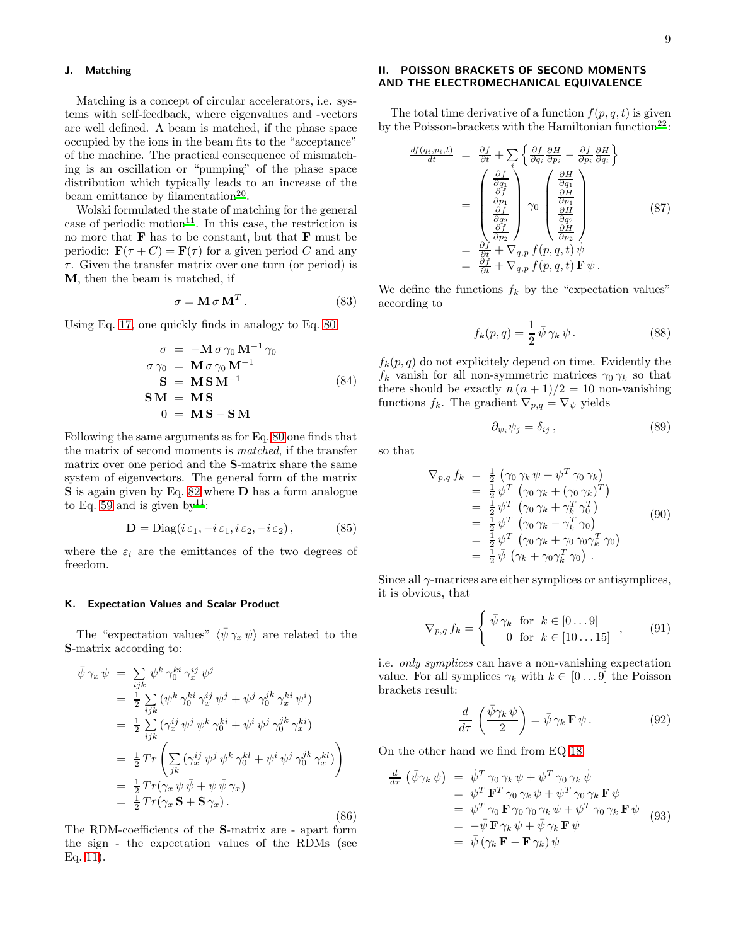### J. Matching

Matching is a concept of circular accelerators, i.e. systems with self-feedback, where eigenvalues and -vectors are well defined. A beam is matched, if the phase space occupied by the ions in the beam fits to the "acceptance" of the machine. The practical consequence of mismatching is an oscillation or "pumping" of the phase space distribution which typically leads to an increase of the beam emittance by filamentation<sup>[20](#page-24-12)</sup>.

Wolski formulated the state of matching for the general case of periodic motion<sup>[11](#page-24-1)</sup>. In this case, the restriction is no more that  $\bf{F}$  has to be constant, but that  $\bf{F}$  must be periodic:  $\mathbf{F}(\tau + C) = \mathbf{F}(\tau)$  for a given period C and any  $\tau$ . Given the transfer matrix over one turn (or period) is M, then the beam is matched, if

$$
\sigma = \mathbf{M} \,\sigma \,\mathbf{M}^T \,. \tag{83}
$$

Using Eq. [17,](#page-2-6) one quickly finds in analogy to Eq. [80:](#page-7-4)

$$
\sigma = -\mathbf{M}\sigma\gamma_0\,\mathbf{M}^{-1}\,\gamma_0
$$
  
\n
$$
\sigma\gamma_0 = \mathbf{M}\,\sigma\,\gamma_0\,\mathbf{M}^{-1}
$$
  
\n
$$
\mathbf{S} = \mathbf{M}\,\mathbf{S}\,\mathbf{M}^{-1}
$$
  
\n
$$
\mathbf{S}\mathbf{M} = \mathbf{M}\,\mathbf{S}
$$
  
\n
$$
0 = \mathbf{M}\,\mathbf{S} - \mathbf{S}\,\mathbf{M}
$$
  
\n(84)

Following the same arguments as for Eq. [80](#page-7-4) one finds that the matrix of second moments is matched, if the transfer matrix over one period and the S-matrix share the same system of eigenvectors. The general form of the matrix S is again given by Eq. [82](#page-7-5) where **D** has a form analogue to Eq. [59](#page-6-2) and is given by  $11$ :

<span id="page-8-2"></span>
$$
\mathbf{D} = \text{Diag}(i\,\varepsilon_1, -i\,\varepsilon_1, i\,\varepsilon_2, -i\,\varepsilon_2),\tag{85}
$$

where the  $\varepsilon_i$  are the emittances of the two degrees of freedom.

#### K. Expectation Values and Scalar Product

The "expectation values"  $\langle \bar{\psi} \gamma_x \psi \rangle$  are related to the S-matrix according to:

$$
\begin{split}\n\bar{\psi}\,\gamma_x\,\psi &= \sum_{ijk} \psi^k \,\gamma_0^{ki} \,\gamma_x^{ij} \,\psi^j \\
&= \frac{1}{2} \sum_{ijk} \left( \psi^k \,\gamma_0^{ki} \,\gamma_x^{ij} \,\psi^j + \psi^j \,\gamma_0^{jk} \,\gamma_x^{ki} \,\psi^i \right) \\
&= \frac{1}{2} \sum_{ijk} \left( \gamma_x^{ij} \,\psi^j \,\psi^k \,\gamma_0^{ki} + \psi^i \,\psi^j \,\gamma_0^{jk} \,\gamma_x^{ki} \right) \\
&= \frac{1}{2} \,Tr \left( \sum_{jk} \left( \gamma_x^{ij} \,\psi^j \,\psi^k \,\gamma_0^{kl} + \psi^i \,\psi^j \,\gamma_0^{jk} \,\gamma_x^{kl} \right) \right) \\
&= \frac{1}{2} \,Tr \left( \gamma_x \,\psi \,\bar{\psi} + \psi \,\bar{\psi} \,\gamma_x \right) \\
&= \frac{1}{2} \,Tr \left( \gamma_x \, \mathbf{S} + \mathbf{S} \,\gamma_x \right).\n\end{split} \tag{86}
$$

The RDM-coefficients of the S-matrix are - apart form the sign - the expectation values of the RDMs (see Eq. [11\)](#page-2-8).

# II. POISSON BRACKETS OF SECOND MOMENTS AND THE ELECTROMECHANICAL EQUIVALENCE

The total time derivative of a function  $f(p, q, t)$  is given by the Poisson-brackets with the Hamiltonian function<sup>[22](#page-24-14)</sup>:

$$
\frac{df(q_i, p_i, t)}{dt} = \frac{\partial f}{\partial t} + \sum_{i} \left\{ \frac{\partial f}{\partial q_i} \frac{\partial H}{\partial p_i} - \frac{\partial f}{\partial p_i} \frac{\partial H}{\partial q_i} \right\}
$$
\n
$$
= \begin{pmatrix} \frac{\partial f}{\partial q_1} \\ \frac{\partial f}{\partial p_1} \\ \frac{\partial f}{\partial q_2} \\ \frac{\partial f}{\partial p_2} \end{pmatrix} \gamma_0 \begin{pmatrix} \frac{\partial H}{\partial q_1} \\ \frac{\partial H}{\partial p_1} \\ \frac{\partial H}{\partial q_2} \\ \frac{\partial H}{\partial p_2} \end{pmatrix}
$$
\n
$$
= \frac{\partial f}{\partial t} + \nabla_{q, p} f(p, q, t) \psi
$$
\n
$$
= \frac{\partial f}{\partial t} + \nabla_{q, p} f(p, q, t) \mathbf{F} \psi.
$$
\n(87)

We define the functions  $f_k$  by the "expectation values" according to

$$
f_k(p,q) = \frac{1}{2} \bar{\psi} \gamma_k \psi.
$$
 (88)

 $f_k(p,q)$  do not explicitely depend on time. Evidently the  $f_k$  vanish for all non-symmetric matrices  $\gamma_0 \gamma_k$  so that there should be exactly  $n (n + 1)/2 = 10$  non-vanishing functions  $f_k$ . The gradient  $\nabla_{p,q} = \nabla_{\psi}$  yields

$$
\partial_{\psi_i} \psi_j = \delta_{ij} , \qquad (89)
$$

so that

$$
\nabla_{p,q} f_k = \frac{1}{2} \left( \gamma_0 \gamma_k \psi + \psi^T \gamma_0 \gamma_k \right)
$$
  
\n
$$
= \frac{1}{2} \psi^T \left( \gamma_0 \gamma_k + (\gamma_0 \gamma_k)^T \right)
$$
  
\n
$$
= \frac{1}{2} \psi^T \left( \gamma_0 \gamma_k + \gamma_k^T \gamma_0^T \right)
$$
  
\n
$$
= \frac{1}{2} \psi^T \left( \gamma_0 \gamma_k - \gamma_k^T \gamma_0 \right)
$$
  
\n
$$
= \frac{1}{2} \psi^T \left( \gamma_0 \gamma_k + \gamma_0 \gamma_0 \gamma_k^T \gamma_0 \right)
$$
  
\n
$$
= \frac{1}{2} \bar{\psi} \left( \gamma_k + \gamma_0 \gamma_k^T \gamma_0 \right).
$$
  
\n(90)

Since all  $\gamma$ -matrices are either symplices or antisymplices, it is obvious, that

$$
\nabla_{p,q} f_k = \begin{cases} \bar{\psi} \gamma_k & \text{for } k \in [0...9] \\ 0 & \text{for } k \in [10...15] \end{cases}, \quad (91)
$$

i.e. only symplices can have a non-vanishing expectation value. For all symplices  $\gamma_k$  with  $k \in [0 \dots 9]$  the Poisson brackets result:

<span id="page-8-0"></span>
$$
\frac{d}{d\tau} \left( \frac{\bar{\psi} \gamma_k \psi}{2} \right) = \bar{\psi} \gamma_k \mathbf{F} \psi.
$$
 (92)

On the other hand we find from EQ [18:](#page-2-5)

<span id="page-8-1"></span>
$$
\frac{d}{d\tau} \left( \bar{\psi} \gamma_k \, \psi \right) = \dot{\psi}^T \, \gamma_0 \, \gamma_k \, \psi + \psi^T \, \gamma_0 \, \gamma_k \, \dot{\psi} \n= \psi^T \, \mathbf{F}^T \, \gamma_0 \, \gamma_k \, \psi + \psi^T \, \gamma_0 \, \gamma_k \, \mathbf{F} \, \psi \n= \psi^T \, \gamma_0 \, \mathbf{F} \, \gamma_0 \, \gamma_0 \, \gamma_k \, \psi + \psi^T \, \gamma_0 \, \gamma_k \, \mathbf{F} \, \psi \n= -\bar{\psi} \, \mathbf{F} \, \gamma_k \, \psi + \bar{\psi} \, \gamma_k \, \mathbf{F} \, \psi \n= \bar{\psi} \left( \gamma_k \, \mathbf{F} - \mathbf{F} \, \gamma_k \right) \psi
$$
\n(93)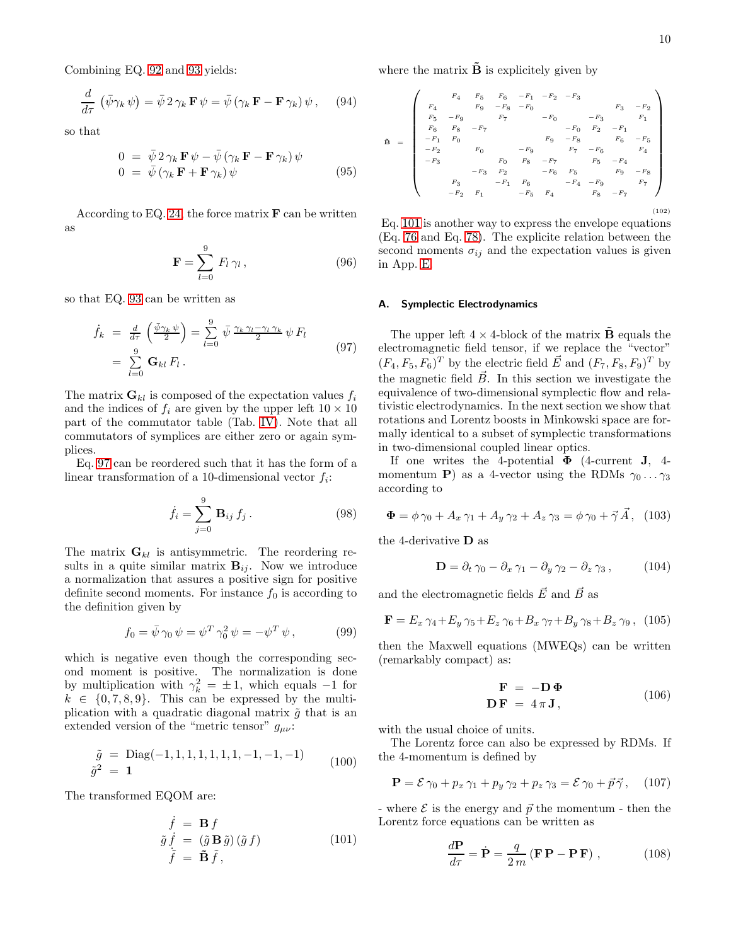Combining EQ. [92](#page-8-0) and [93](#page-8-1) yields:

$$
\frac{d}{d\tau} \left( \bar{\psi} \gamma_k \psi \right) = \bar{\psi} \, 2 \, \gamma_k \, \mathbf{F} \, \psi = \bar{\psi} \left( \gamma_k \, \mathbf{F} - \mathbf{F} \, \gamma_k \right) \psi \,, \tag{94}
$$

so that

$$
0 = \bar{\psi} 2 \gamma_k \mathbf{F} \psi - \bar{\psi} (\gamma_k \mathbf{F} - \mathbf{F} \gamma_k) \psi \n0 = \bar{\psi} (\gamma_k \mathbf{F} + \mathbf{F} \gamma_k) \psi
$$
\n(95)

According to EQ. [24,](#page-3-3) the force matrix  $\bf{F}$  can be written as

$$
\mathbf{F} = \sum_{l=0}^{9} F_l \gamma_l , \qquad (96)
$$

so that EQ. [93](#page-8-1) can be written as

<span id="page-9-0"></span>
$$
\dot{f}_k = \frac{d}{d\tau} \left( \frac{\bar{\psi} \gamma_k \psi}{2} \right) = \sum_{l=0}^9 \bar{\psi} \gamma_k \gamma_l - \gamma_l \gamma_k \psi F_l
$$
\n
$$
= \sum_{l=0}^9 \mathbf{G}_{kl} F_l .
$$
\n(97)

The matrix  $\mathbf{G}_{kl}$  is composed of the expectation values  $f_i$ and the indices of  $f_i$  are given by the upper left  $10 \times 10$ part of the commutator table (Tab. [IV\)](#page-23-0). Note that all commutators of symplices are either zero or again symplices.

Eq. [97](#page-9-0) can be reordered such that it has the form of a linear transformation of a 10-dimensional vector  $f_i$ :

$$
\dot{f}_i = \sum_{j=0}^{9} \mathbf{B}_{ij} f_j . \qquad (98)
$$

The matrix  $G_{kl}$  is antisymmetric. The reordering results in a quite similar matrix  $B_{ij}$ . Now we introduce a normalization that assures a positive sign for positive definite second moments. For instance  $f_0$  is according to the definition given by

$$
f_0 = \bar{\psi} \gamma_0 \psi = \psi^T \gamma_0^2 \psi = -\psi^T \psi, \qquad (99)
$$

which is negative even though the corresponding second moment is positive. The normalization is done by multiplication with  $\gamma_k^2 = \pm 1$ , which equals -1 for  $k \in \{0, 7, 8, 9\}$ . This can be expressed by the multiplication with a quadratic diagonal matrix  $\tilde{g}$  that is an extended version of the "metric tensor"  $g_{\mu\nu}$ :

$$
\tilde{g} = \text{Diag}(-1, 1, 1, 1, 1, 1, 1, -1, -1, -1) \qquad (100)
$$
\n
$$
\tilde{g}^2 = \mathbf{1}
$$

The transformed EQOM are:

<span id="page-9-1"></span>
$$
\begin{aligned}\n\dot{f} &= \mathbf{B} f\\ \n\tilde{g} \dot{f} &= (\tilde{g} \mathbf{B} \tilde{g}) (\tilde{g} f)\\ \n\tilde{f} &= \tilde{\mathbf{B}} \tilde{f},\n\end{aligned} \tag{101}
$$

where the matrix  $\tilde{\mathbf{B}}$  is explicitely given by

<span id="page-9-3"></span>B˜ <sup>=</sup> <sup>F</sup><sup>4</sup> <sup>F</sup><sup>5</sup> <sup>F</sup><sup>6</sup> <sup>−</sup>F<sup>1</sup> <sup>−</sup>F<sup>2</sup> <sup>−</sup>F<sup>3</sup> <sup>F</sup><sup>4</sup> <sup>F</sup><sup>9</sup> <sup>−</sup>F<sup>8</sup> <sup>−</sup>F<sup>0</sup> <sup>F</sup><sup>3</sup> <sup>−</sup>F<sup>2</sup> <sup>F</sup><sup>5</sup> <sup>−</sup>F<sup>9</sup> <sup>F</sup><sup>7</sup> <sup>−</sup>F<sup>0</sup> <sup>−</sup>F<sup>3</sup> <sup>F</sup><sup>1</sup> <sup>F</sup><sup>6</sup> <sup>F</sup><sup>8</sup> <sup>−</sup>F<sup>7</sup> <sup>−</sup>F<sup>0</sup> <sup>F</sup><sup>2</sup> <sup>−</sup>F<sup>1</sup> <sup>−</sup>F<sup>1</sup> <sup>F</sup><sup>0</sup> <sup>F</sup><sup>9</sup> <sup>−</sup>F<sup>8</sup> <sup>F</sup><sup>6</sup> <sup>−</sup>F<sup>5</sup> <sup>−</sup>F<sup>2</sup> <sup>F</sup><sup>0</sup> <sup>−</sup>F<sup>9</sup> <sup>F</sup><sup>7</sup> <sup>−</sup>F<sup>6</sup> <sup>F</sup><sup>4</sup> <sup>−</sup>F<sup>3</sup> <sup>F</sup><sup>0</sup> <sup>F</sup><sup>8</sup> <sup>−</sup>F<sup>7</sup> <sup>F</sup><sup>5</sup> <sup>−</sup>F<sup>4</sup> <sup>−</sup>F<sup>3</sup> <sup>F</sup><sup>2</sup> <sup>−</sup>F<sup>6</sup> <sup>F</sup><sup>5</sup> <sup>F</sup><sup>9</sup> <sup>−</sup>F<sup>8</sup> <sup>F</sup><sup>3</sup> <sup>−</sup>F<sup>1</sup> <sup>F</sup><sup>6</sup> <sup>−</sup>F<sup>4</sup> <sup>−</sup>F<sup>9</sup> <sup>F</sup><sup>7</sup> <sup>−</sup>F<sup>2</sup> <sup>F</sup><sup>1</sup> <sup>−</sup>F<sup>5</sup> <sup>F</sup><sup>4</sup> <sup>F</sup><sup>8</sup> <sup>−</sup>F<sup>7</sup> (102)

Eq. [101](#page-9-1) is another way to express the envelope equations (Eq. [76](#page-7-2) and Eq. [78\)](#page-7-3). The explicite relation between the second moments  $\sigma_{ij}$  and the expectation values is given in App. [E.](#page-23-1)

#### A. Symplectic Electrodynamics

The upper left  $4 \times 4$ -block of the matrix  $\tilde{B}$  equals the electromagnetic field tensor, if we replace the "vector"  $(F_4, F_5, F_6)^T$  by the electric field  $\vec{E}$  and  $(F_7, F_8, F_9)^T$  by the magnetic field  $\vec{B}$ . In this section we investigate the equivalence of two-dimensional symplectic flow and relativistic electrodynamics. In the next section we show that rotations and Lorentz boosts in Minkowski space are formally identical to a subset of symplectic transformations in two-dimensional coupled linear optics.

If one writes the 4-potential  $\Phi$  (4-current **J**, 4momentum **P**) as a 4-vector using the RDMs  $\gamma_0 \dots \gamma_3$ according to

$$
\Phi = \phi \, \gamma_0 + A_x \, \gamma_1 + A_y \, \gamma_2 + A_z \, \gamma_3 = \phi \, \gamma_0 + \vec{\gamma} \, \vec{A}, \tag{103}
$$

the 4-derivative D as

$$
\mathbf{D} = \partial_t \gamma_0 - \partial_x \gamma_1 - \partial_y \gamma_2 - \partial_z \gamma_3, \qquad (104)
$$

and the electromagnetic fields  $\vec{E}$  and  $\vec{B}$  as

$$
\mathbf{F} = E_x \gamma_4 + E_y \gamma_5 + E_z \gamma_6 + B_x \gamma_7 + B_y \gamma_8 + B_z \gamma_9 \,, \tag{105}
$$

then the Maxwell equations (MWEQs) can be written (remarkably compact) as:

<span id="page-9-4"></span>
$$
\mathbf{F} = -\mathbf{D}\,\mathbf{\Phi}
$$
  

$$
\mathbf{D}\,\mathbf{F} = 4\,\pi\,\mathbf{J},\tag{106}
$$

with the usual choice of units.

The Lorentz force can also be expressed by RDMs. If the 4-momentum is defined by

$$
\mathbf{P} = \mathcal{E}\,\gamma_0 + p_x\,\gamma_1 + p_y\,\gamma_2 + p_z\,\gamma_3 = \mathcal{E}\,\gamma_0 + \vec{p}\,\vec{\gamma}\,,\quad(107)
$$

- where  $\mathcal E$  is the energy and  $\vec p$  the momentum - then the Lorentz force equations can be written as

<span id="page-9-2"></span>
$$
\frac{d\mathbf{P}}{d\tau} = \dot{\mathbf{P}} = \frac{q}{2m} (\mathbf{F} \, \mathbf{P} - \mathbf{P} \, \mathbf{F}) \;, \tag{108}
$$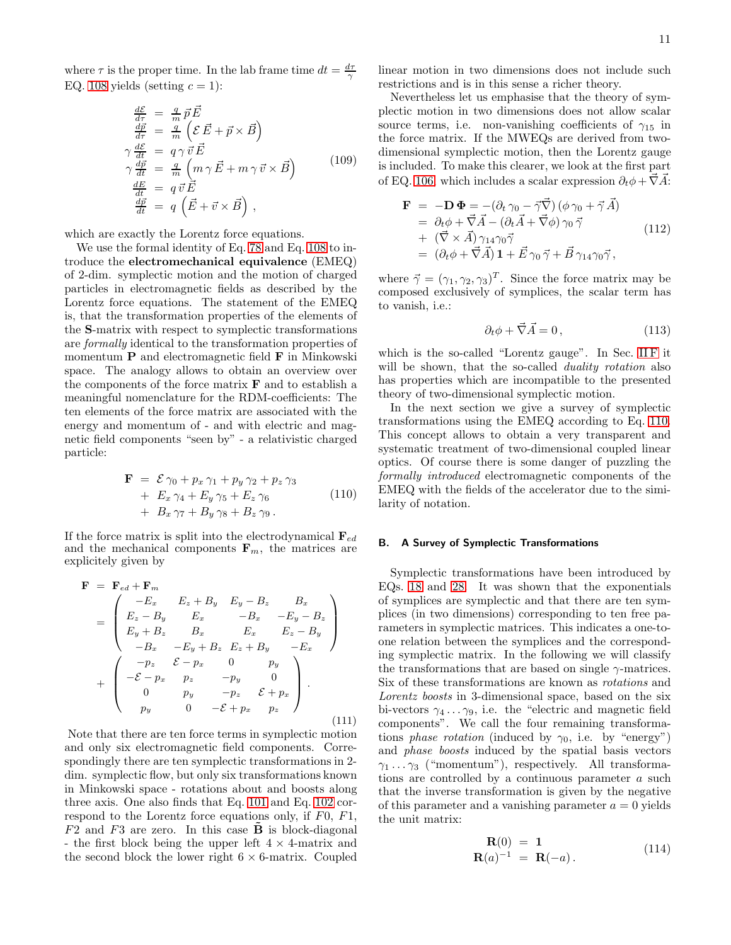where  $\tau$  is the proper time. In the lab frame time  $dt = \frac{d\tau}{\gamma}$ EQ. [108](#page-9-2) yields (setting  $c = 1$ ):

$$
\frac{d\mathcal{E}}{d\tau} = \frac{q}{m} \vec{p} \vec{E}
$$
\n
$$
\frac{d\vec{p}}{d\tau} = \frac{q}{m} \left( \mathcal{E} \vec{E} + \vec{p} \times \vec{B} \right)
$$
\n
$$
\gamma \frac{d\mathcal{E}}{dt} = q \gamma \vec{v} \vec{E}
$$
\n
$$
\gamma \frac{d\vec{p}}{dt} = \frac{q}{m} \left( m \gamma \vec{E} + m \gamma \vec{v} \times \vec{B} \right)
$$
\n
$$
\frac{dE}{dt} = q \vec{v} \vec{E}
$$
\n
$$
\frac{d\vec{p}}{dt} = q \left( \vec{E} + \vec{v} \times \vec{B} \right),
$$
\n(109)

which are exactly the Lorentz force equations.

We use the formal identity of Eq. [78](#page-7-3) and Eq. [108](#page-9-2) to introduce the electromechanical equivalence (EMEQ) of 2-dim. symplectic motion and the motion of charged particles in electromagnetic fields as described by the Lorentz force equations. The statement of the EMEQ is, that the transformation properties of the elements of the S-matrix with respect to symplectic transformations are formally identical to the transformation properties of momentum P and electromagnetic field F in Minkowski space. The analogy allows to obtain an overview over the components of the force matrix  $\bf{F}$  and to establish a meaningful nomenclature for the RDM-coefficients: The ten elements of the force matrix are associated with the energy and momentum of - and with electric and magnetic field components "seen by" - a relativistic charged particle:

<span id="page-10-0"></span>
$$
\mathbf{F} = \mathcal{E}\gamma_0 + p_x \gamma_1 + p_y \gamma_2 + p_z \gamma_3 \n+ E_x \gamma_4 + E_y \gamma_5 + E_z \gamma_6 \n+ B_x \gamma_7 + B_y \gamma_8 + B_z \gamma_9.
$$
\n(110)

If the force matrix is split into the electrodynamical  $\mathbf{F}_{ed}$ and the mechanical components  $\mathbf{F}_m$ , the matrices are explicitely given by

<span id="page-10-1"></span>
$$
\mathbf{F} = \mathbf{F}_{ed} + \mathbf{F}_{m}
$$
\n
$$
= \begin{pmatrix}\n-E_x & E_z + B_y & E_y - B_z & B_x \\
E_z - B_y & E_x & -B_x & -E_y - B_z \\
E_y + B_z & B_x & E_x & E_z - B_y \\
-B_x & -E_y + B_z & E_z + B_y & -E_x\n\end{pmatrix}
$$
\n
$$
+ \begin{pmatrix}\n-p_z & \mathcal{E} - p_x & 0 & p_y \\
-\mathcal{E} - p_x & p_z & -p_y & 0 \\
0 & p_y & -p_z & \mathcal{E} + p_x \\
p_y & 0 & -\mathcal{E} + p_x & p_z\n\end{pmatrix}.
$$
\n(111)

Note that there are ten force terms in symplectic motion and only six electromagnetic field components. Correspondingly there are ten symplectic transformations in 2 dim. symplectic flow, but only six transformations known in Minkowski space - rotations about and boosts along three axis. One also finds that Eq. [101](#page-9-1) and Eq. [102](#page-9-3) correspond to the Lorentz force equations only, if F0, F1,  $F2$  and  $F3$  are zero. In this case **B** is block-diagonal - the first block being the upper left  $4 \times 4$ -matrix and the second block the lower right  $6 \times 6$ -matrix. Coupled

linear motion in two dimensions does not include such restrictions and is in this sense a richer theory.

Nevertheless let us emphasise that the theory of symplectic motion in two dimensions does not allow scalar source terms, i.e. non-vanishing coefficients of  $\gamma_{15}$  in the force matrix. If the MWEQs are derived from twodimensional symplectic motion, then the Lorentz gauge is included. To make this clearer, we look at the first part of EQ. [106,](#page-9-4) which includes a scalar expression  $\partial_t \phi + \vec{\nabla} \vec{A}$ :

$$
\mathbf{F} = -\mathbf{D} \, \mathbf{\Phi} = -(\partial_t \, \gamma_0 - \vec{\gamma} \vec{\nabla}) \left( \phi \, \gamma_0 + \vec{\gamma} \, \vec{A} \right) \n= \partial_t \phi + \vec{\nabla} \vec{A} - (\partial_t \vec{A} + \vec{\nabla} \phi) \, \gamma_0 \, \vec{\gamma} \n+ \left( \vec{\nabla} \times \vec{A} \right) \gamma_{14} \gamma_0 \vec{\gamma} \n= (\partial_t \phi + \vec{\nabla} \vec{A}) \, \mathbf{1} + \vec{E} \, \gamma_0 \, \vec{\gamma} + \vec{B} \, \gamma_{14} \gamma_0 \vec{\gamma} ,
$$
\n(112)

where  $\vec{\gamma} = (\gamma_1, \gamma_2, \gamma_3)^T$ . Since the force matrix may be composed exclusively of symplices, the scalar term has to vanish, i.e.:

$$
\partial_t \phi + \vec{\nabla} \vec{A} = 0, \qquad (113)
$$

which is the so-called "Lorentz gauge". In Sec. IIF it will be shown, that the so-called *duality rotation* also has properties which are incompatible to the presented theory of two-dimensional symplectic motion.

In the next section we give a survey of symplectic transformations using the EMEQ according to Eq. [110.](#page-10-0) This concept allows to obtain a very transparent and systematic treatment of two-dimensional coupled linear optics. Of course there is some danger of puzzling the formally introduced electromagnetic components of the EMEQ with the fields of the accelerator due to the similarity of notation.

# B. A Survey of Symplectic Transformations

Symplectic transformations have been introduced by EQs. [18](#page-2-5) and [28.](#page-3-0) It was shown that the exponentials of symplices are symplectic and that there are ten symplices (in two dimensions) corresponding to ten free parameters in symplectic matrices. This indicates a one-toone relation between the symplices and the corresponding symplectic matrix. In the following we will classify the transformations that are based on single  $\gamma$ -matrices. Six of these transformations are known as rotations and Lorentz boosts in 3-dimensional space, based on the six bi-vectors  $\gamma_4 \dots \gamma_9$ , i.e. the "electric and magnetic field components". We call the four remaining transformations phase rotation (induced by  $\gamma_0$ , i.e. by "energy") and phase boosts induced by the spatial basis vectors  $\gamma_1 \ldots \gamma_3$  ("momentum"), respectively. All transformations are controlled by a continuous parameter a such that the inverse transformation is given by the negative of this parameter and a vanishing parameter  $a = 0$  yields the unit matrix:

$$
\mathbf{R}(0) = 1 \n\mathbf{R}(a)^{-1} = \mathbf{R}(-a).
$$
\n(114)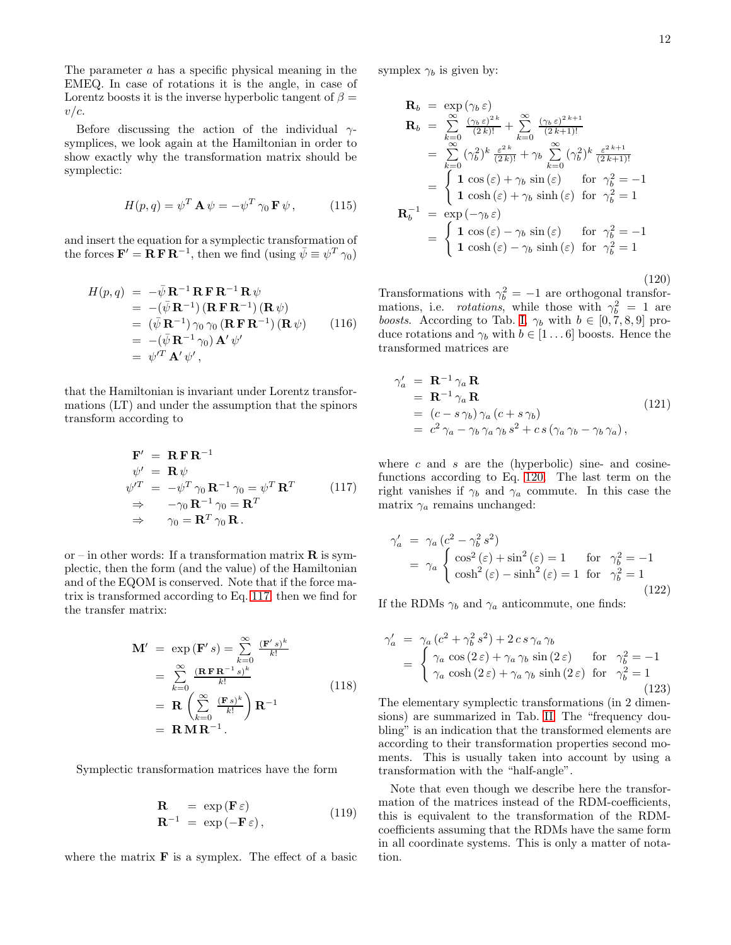The parameter a has a specific physical meaning in the EMEQ. In case of rotations it is the angle, in case of Lorentz boosts it is the inverse hyperbolic tangent of  $\beta =$  $v/c$ .

Before discussing the action of the individual  $\gamma$ symplices, we look again at the Hamiltonian in order to show exactly why the transformation matrix should be symplectic:

$$
H(p,q) = \psi^T \mathbf{A} \psi = -\psi^T \gamma_0 \mathbf{F} \psi, \qquad (115)
$$

and insert the equation for a symplectic transformation of the forces  $\mathbf{F}' = \mathbf{R} \mathbf{F} \mathbf{R}^{-1}$ , then we find (using  $\bar{\psi} \equiv \psi^T \gamma_0$ )

$$
H(p,q) = -\bar{\psi} \mathbf{R}^{-1} \mathbf{R} \mathbf{F} \mathbf{R}^{-1} \mathbf{R} \psi
$$
  
\n
$$
= -(\bar{\psi} \mathbf{R}^{-1}) (\mathbf{R} \mathbf{F} \mathbf{R}^{-1}) (\mathbf{R} \psi)
$$
  
\n
$$
= (\bar{\psi} \mathbf{R}^{-1}) \gamma_0 \gamma_0 (\mathbf{R} \mathbf{F} \mathbf{R}^{-1}) (\mathbf{R} \psi)
$$
  
\n
$$
= -(\bar{\psi} \mathbf{R}^{-1} \gamma_0) \mathbf{A}' \psi'
$$
  
\n
$$
= \psi'^T \mathbf{A}' \psi',
$$
  
\n(116)

that the Hamiltonian is invariant under Lorentz transformations (LT) and under the assumption that the spinors transform according to

<span id="page-11-0"></span>
$$
\begin{aligned}\n\mathbf{F}' &= \mathbf{R} \mathbf{F} \mathbf{R}^{-1} \\
\psi' &= \mathbf{R} \psi \\
\psi'^T &= -\psi^T \gamma_0 \mathbf{R}^{-1} \gamma_0 = \psi^T \mathbf{R}^T \\
&\Rightarrow -\gamma_0 \mathbf{R}^{-1} \gamma_0 = \mathbf{R}^T \\
&\Rightarrow \gamma_0 = \mathbf{R}^T \gamma_0 \mathbf{R}.\n\end{aligned}
$$
\n(117)

or – in other words: If a transformation matrix  $\bf R$  is symplectic, then the form (and the value) of the Hamiltonian and of the EQOM is conserved. Note that if the force matrix is transformed according to Eq. [117,](#page-11-0) then we find for the transfer matrix:

$$
\mathbf{M}' = \exp(\mathbf{F}'s) = \sum_{k=0}^{\infty} \frac{(\mathbf{F}'s)^k}{k!}
$$
  
\n
$$
= \sum_{k=0}^{\infty} \frac{(\mathbf{R}\mathbf{F}\mathbf{R}^{-1}s)^k}{k!}
$$
  
\n
$$
= \mathbf{R} \left(\sum_{k=0}^{\infty} \frac{(\mathbf{F}s)^k}{k!} \right) \mathbf{R}^{-1}
$$
  
\n
$$
= \mathbf{R}\mathbf{M}\mathbf{R}^{-1}.
$$
  
\n(118)

Symplectic transformation matrices have the form

$$
\mathbf{R} = \exp(\mathbf{F}\,\varepsilon) \n\mathbf{R}^{-1} = \exp(-\mathbf{F}\,\varepsilon),
$$
\n(119)

where the matrix  $\bf{F}$  is a symplex. The effect of a basic

symplex  $\gamma_b$  is given by:

<span id="page-11-1"></span>
$$
\mathbf{R}_{b} = \exp(\gamma_{b} \varepsilon)
$$
\n
$$
\mathbf{R}_{b} = \sum_{k=0}^{\infty} \frac{(\gamma_{b} \varepsilon)^{2k}}{(2k)!} + \sum_{k=0}^{\infty} \frac{(\gamma_{b} \varepsilon)^{2k+1}}{(2k+1)!}
$$
\n
$$
= \sum_{k=0}^{\infty} (\gamma_{b}^{2})^{k} \frac{\varepsilon^{2k}}{(2k)!} + \gamma_{b} \sum_{k=0}^{\infty} (\gamma_{b}^{2})^{k} \frac{\varepsilon^{2k+1}}{(2k+1)!}
$$
\n
$$
= \begin{cases}\n1 \cos(\varepsilon) + \gamma_{b} \sin(\varepsilon) & \text{for } \gamma_{b}^{2} = -1 \\
1 \cosh(\varepsilon) + \gamma_{b} \sinh(\varepsilon) & \text{for } \gamma_{b}^{2} = 1\n\end{cases}
$$
\n
$$
\mathbf{R}_{b}^{-1} = \exp(-\gamma_{b} \varepsilon)
$$
\n
$$
= \begin{cases}\n1 \cos(\varepsilon) - \gamma_{b} \sin(\varepsilon) & \text{for } \gamma_{b}^{2} = -1 \\
1 \cosh(\varepsilon) - \gamma_{b} \sinh(\varepsilon) & \text{for } \gamma_{b}^{2} = 1\n\end{cases}
$$

(120) Transformations with  $\gamma_b^2 = -1$  are orthogonal transformations, i.e. *rotations*, while those with  $\gamma_b^2 = 1$  are boosts. According to Tab. [I,](#page-2-1)  $\gamma_b$  with  $b \in [0, 7, 8, 9]$  produce rotations and  $\gamma_b$  with  $b \in [1 \dots 6]$  boosts. Hence the transformed matrices are

$$
\gamma_a' = \mathbf{R}^{-1} \gamma_a \mathbf{R}
$$
  
=  $\mathbf{R}^{-1} \gamma_a \mathbf{R}$   
=  $(c - s \gamma_b) \gamma_a (c + s \gamma_b)$   
=  $c^2 \gamma_a - \gamma_b \gamma_a \gamma_b s^2 + cs (\gamma_a \gamma_b - \gamma_b \gamma_a),$  (121)

where  $c$  and  $s$  are the (hyperbolic) sine- and cosinefunctions according to Eq. [120.](#page-11-1) The last term on the right vanishes if  $\gamma_b$  and  $\gamma_a$  commute. In this case the matrix  $\gamma_a$  remains unchanged:

$$
\gamma_a' = \gamma_a (c^2 - \gamma_b^2 s^2)
$$
  
=  $\gamma_a \begin{cases} \cos^2(\varepsilon) + \sin^2(\varepsilon) = 1 & \text{for } \gamma_b^2 = -1 \\ \cosh^2(\varepsilon) - \sinh^2(\varepsilon) = 1 & \text{for } \gamma_b^2 = 1 \end{cases}$  (122)

If the RDMs  $\gamma_b$  and  $\gamma_a$  anticommute, one finds:

$$
\gamma_a' = \gamma_a (c^2 + \gamma_b^2 s^2) + 2 c s \gamma_a \gamma_b
$$
  
= 
$$
\begin{cases} \gamma_a \cos(2 \epsilon) + \gamma_a \gamma_b \sin(2 \epsilon) & \text{for } \gamma_b^2 = -1 \\ \gamma_a \cosh(2 \epsilon) + \gamma_a \gamma_b \sinh(2 \epsilon) & \text{for } \gamma_b^2 = 1 \end{cases}
$$
(123)

The elementary symplectic transformations (in 2 dimensions) are summarized in Tab. [II.](#page-12-0) The "frequency doubling" is an indication that the transformed elements are according to their transformation properties second moments. This is usually taken into account by using a transformation with the "half-angle".

Note that even though we describe here the transformation of the matrices instead of the RDM-coefficients, this is equivalent to the transformation of the RDMcoefficients assuming that the RDMs have the same form in all coordinate systems. This is only a matter of notation.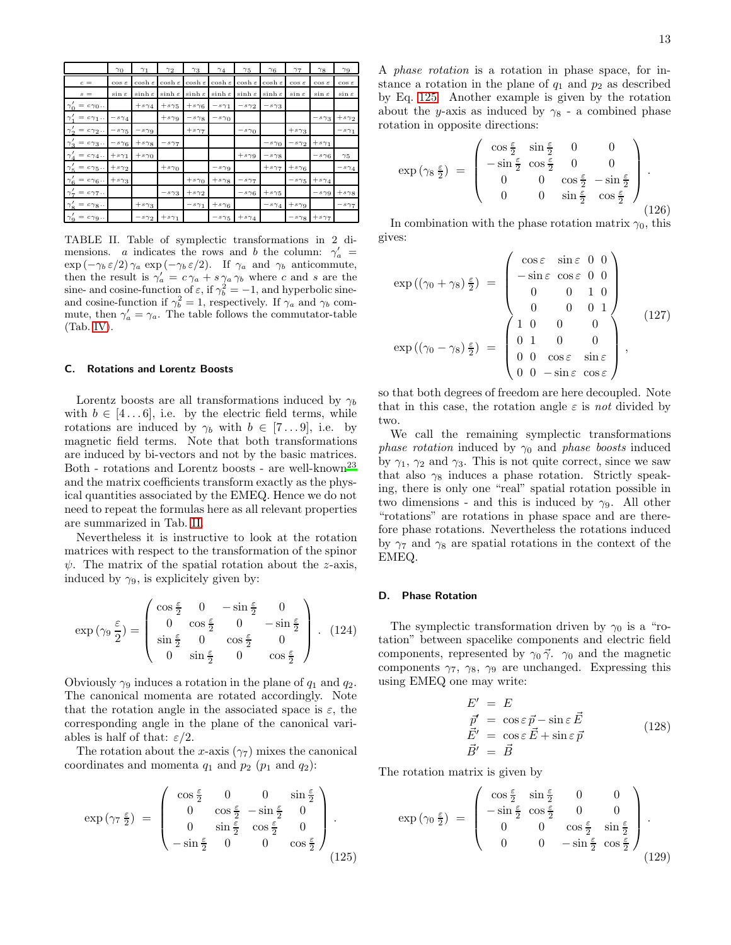|                                                             | $\gamma_0$         | $\gamma_1$          | $\gamma_2$          | $\gamma_3$          | $\gamma_4$           | $\gamma_5$          | $\gamma_6$                        | $\gamma_7$         | $\gamma_8$         | $\gamma$ 9         |
|-------------------------------------------------------------|--------------------|---------------------|---------------------|---------------------|----------------------|---------------------|-----------------------------------|--------------------|--------------------|--------------------|
| $\,c\,=$                                                    | $\cos \varepsilon$ | $\cosh \varepsilon$ | $\cosh \varepsilon$ | $\cosh \varepsilon$ | $\cosh\,\varepsilon$ | $\cosh \varepsilon$ | $\cosh \varepsilon$               | $\cos \varepsilon$ | $\cos \varepsilon$ | $\cos \varepsilon$ |
| $s =$                                                       | $\sin \varepsilon$ | $\sinh \varepsilon$ | $\sinh \varepsilon$ | $\sinh \varepsilon$ | $\sinh \varepsilon$  | $sinh \varepsilon$  | $sinh \varepsilon$                | $\sin \varepsilon$ | $\sin \varepsilon$ | $\sin \varepsilon$ |
| $\gamma'_0 = c\gamma_0$                                     |                    | $+s\gamma_4$        | $+s\gamma_5$        | $+ s \gamma_6$      | $-s\gamma_1$         | $-s\gamma_2$        | $-s\gamma_3$                      |                    |                    |                    |
| $\,=\,c\,\gamma_{\,1}$<br>$\gamma_1$                        | $-s\,\gamma_4$     |                     | $+ s \gamma 9$      | $-s\gamma$ 8        | $-s\gamma_0$         |                     |                                   |                    | $-s\gamma_3$       | $+s_{\gamma_2}$    |
| $\gamma'_2 = c\gamma_2$                                     | $-s\gamma_5$       | $-s\gamma$ 9        |                     | $+s\gamma$          |                      | $-s\gamma_0$        |                                   | $+s\gamma_3$       |                    | $-s\gamma_1$       |
| $c = c\gamma_3$<br>$\gamma'_{3}$                            | $-s\gamma_6$       | $+ s \gamma_8$      | $-s\gamma$          |                     |                      |                     | $-s\gamma_0$                      | $-s\gamma_2$       | $+s\gamma_1$       |                    |
| = $c\gamma_4$ .<br>.<br>$\gamma_4$                          | $+s\gamma_1$       | $+s\gamma_0$        |                     |                     |                      | $+s\gamma$ 9        | $- \,s\hspace{0.025cm}\gamma_{8}$ |                    | $-s\gamma_6$       | $\gamma_5$         |
| $\gamma'_5 = c\gamma_5$                                     | $+ s \gamma_2$     |                     | $+ s \gamma_0$      |                     | $-s\gamma$ 9         |                     | $+s\gamma$                        | $+ s \gamma_6$     |                    | $-s\gamma_4$       |
| $\gamma'_{6}$<br>$\,=\,c\hspace{0.8pt}\gamma_6\!\,\ldots\,$ | $+ s \gamma_3$     |                     |                     | $+s\gamma_0$        | $+ s \gamma_8$       | $-s\gamma_7$        |                                   | $-s\gamma_5$       | $+s\gamma_4$       |                    |
| $\gamma_{7}^{\prime}$<br>$= c_{77}$                         |                    |                     | $-s\gamma_3$        | $+s_{\gamma_2}$     |                      | $-s\gamma_6$        | $+s\gamma_5$                      |                    | $-s\gamma$ 9       | $+ s \gamma_8$     |
| $\gamma'_{8} = c\gamma_{8}$                                 |                    | $+ s \gamma_3$      |                     | $-s\gamma_1$        | $+ s \gamma_6$       |                     | $-s \gamma_4$                     | $+ s \gamma 9$     |                    | $-s\gamma_7$       |
| $\gamma'_9 = c\gamma_9 \ldots$                              |                    | $-s_{\gamma_2}$     | $+s\gamma_1$        |                     | $-s\gamma_5$         | $+s\gamma_4$        |                                   | $-s\gamma$ 8       | $+ s \gamma 7$     |                    |

<span id="page-12-0"></span>TABLE II. Table of symplectic transformations in 2 dimensions. a indicates the rows and b the column:  $\gamma'_a$  =  $\exp(-\gamma_b \varepsilon/2)$   $\gamma_a \exp(-\gamma_b \varepsilon/2)$ . If  $\gamma_a$  and  $\gamma_b$  anticommute, then the result is  $\gamma'_a = c \gamma_a + s \gamma_a \gamma_b$  where c and s are the sine- and cosine-function of  $\varepsilon$ , if  $\gamma_b^2 = -1$ , and hyperbolic sineand cosine-function if  $\gamma_b^2 = 1$ , respectively. If  $\gamma_a$  and  $\gamma_b$  commute, then  $\gamma'_a = \gamma_a$ . The table follows the commutator-table (Tab. [IV\)](#page-23-0).

#### C. Rotations and Lorentz Boosts

Lorentz boosts are all transformations induced by  $\gamma_b$ with  $b \in [4 \dots 6]$ , i.e. by the electric field terms, while rotations are induced by  $\gamma_b$  with  $b \in [7 \dots 9]$ , i.e. by magnetic field terms. Note that both transformations are induced by bi-vectors and not by the basic matrices. Both - rotations and Lorentz boosts - are well-known<sup>[23](#page-24-15)</sup> and the matrix coefficients transform exactly as the physical quantities associated by the EMEQ. Hence we do not need to repeat the formulas here as all relevant properties are summarized in Tab. [II.](#page-12-0)

Nevertheless it is instructive to look at the rotation matrices with respect to the transformation of the spinor  $\psi$ . The matrix of the spatial rotation about the z-axis, induced by  $\gamma_9$ , is explicitely given by:

$$
\exp\left(\gamma_9 \frac{\varepsilon}{2}\right) = \begin{pmatrix} \cos\frac{\varepsilon}{2} & 0 & -\sin\frac{\varepsilon}{2} & 0\\ 0 & \cos\frac{\varepsilon}{2} & 0 & -\sin\frac{\varepsilon}{2} \\ \sin\frac{\varepsilon}{2} & 0 & \cos\frac{\varepsilon}{2} & 0\\ 0 & \sin\frac{\varepsilon}{2} & 0 & \cos\frac{\varepsilon}{2} \end{pmatrix} . \tag{124}
$$

Obviously  $\gamma_9$  induces a rotation in the plane of  $q_1$  and  $q_2$ . The canonical momenta are rotated accordingly. Note that the rotation angle in the associated space is  $\varepsilon$ , the corresponding angle in the plane of the canonical variables is half of that:  $\varepsilon/2$ .

The rotation about the x-axis  $(\gamma_7)$  mixes the canonical coordinates and momenta  $q_1$  and  $p_2$  ( $p_1$  and  $q_2$ ):

<span id="page-12-1"></span>
$$
\exp\left(\gamma_7\,\frac{\varepsilon}{2}\right) \;=\; \left(\begin{array}{ccc} \cos\frac{\varepsilon}{2} & 0 & 0 & \sin\frac{\varepsilon}{2} \\ 0 & \cos\frac{\varepsilon}{2} & -\sin\frac{\varepsilon}{2} & 0 \\ 0 & \sin\frac{\varepsilon}{2} & \cos\frac{\varepsilon}{2} & 0 \\ -\sin\frac{\varepsilon}{2} & 0 & 0 & \cos\frac{\varepsilon}{2} \end{array}\right).
$$
\n(125)

A phase rotation is a rotation in phase space, for instance a rotation in the plane of  $q_1$  and  $p_2$  as described by Eq. [125.](#page-12-1) Another example is given by the rotation about the y-axis as induced by  $\gamma_8$  - a combined phase rotation in opposite directions:

$$
\exp\left(\gamma_8 \frac{\varepsilon}{2}\right) = \begin{pmatrix} \cos\frac{\varepsilon}{2} & \sin\frac{\varepsilon}{2} & 0 & 0\\ -\sin\frac{\varepsilon}{2} & \cos\frac{\varepsilon}{2} & 0 & 0\\ 0 & 0 & \cos\frac{\varepsilon}{2} & -\sin\frac{\varepsilon}{2}\\ 0 & 0 & \sin\frac{\varepsilon}{2} & \cos\frac{\varepsilon}{2} \end{pmatrix}.
$$
\n(126)

In combination with the phase rotation matrix  $\gamma_0$ , this gives:

<span id="page-12-2"></span>
$$
\exp((\gamma_0 + \gamma_8) \frac{\varepsilon}{2}) = \begin{pmatrix}\n\cos \varepsilon & \sin \varepsilon & 0 & 0 \\
-\sin \varepsilon & \cos \varepsilon & 0 & 0 \\
0 & 0 & 1 & 0 \\
0 & 0 & 0 & 1\n\end{pmatrix}
$$
\n
$$
\exp((\gamma_0 - \gamma_8) \frac{\varepsilon}{2}) = \begin{pmatrix}\n1 & 0 & 0 & 0 \\
0 & 1 & 0 & 0 \\
0 & 0 & \cos \varepsilon & \sin \varepsilon \\
0 & 0 & -\sin \varepsilon & \cos \varepsilon\n\end{pmatrix},
$$
\n(127)

so that both degrees of freedom are here decoupled. Note that in this case, the rotation angle  $\varepsilon$  is not divided by two.

We call the remaining symplectic transformations phase rotation induced by  $\gamma_0$  and phase boosts induced by  $\gamma_1$ ,  $\gamma_2$  and  $\gamma_3$ . This is not quite correct, since we saw that also  $\gamma_8$  induces a phase rotation. Strictly speaking, there is only one "real" spatial rotation possible in two dimensions - and this is induced by  $\gamma_9$ . All other "rotations" are rotations in phase space and are therefore phase rotations. Nevertheless the rotations induced by  $\gamma_7$  and  $\gamma_8$  are spatial rotations in the context of the EMEQ.

# D. Phase Rotation

The symplectic transformation driven by  $\gamma_0$  is a "rotation" between spacelike components and electric field components, represented by  $\gamma_0 \vec{\gamma}$ .  $\gamma_0$  and the magnetic components  $\gamma_7$ ,  $\gamma_8$ ,  $\gamma_9$  are unchanged. Expressing this using EMEQ one may write:

$$
E' = E
$$
  
\n
$$
\vec{p}' = \cos \varepsilon \vec{p} - \sin \varepsilon \vec{E}
$$
  
\n
$$
\vec{E'} = \cos \varepsilon \vec{E} + \sin \varepsilon \vec{p}
$$
  
\n
$$
\vec{B'} = \vec{B}
$$
\n(128)

The rotation matrix is given by

$$
\exp\left(\gamma_0 \frac{\varepsilon}{2}\right) = \begin{pmatrix} \cos\frac{\varepsilon}{2} & \sin\frac{\varepsilon}{2} & 0 & 0\\ -\sin\frac{\varepsilon}{2} & \cos\frac{\varepsilon}{2} & 0 & 0\\ 0 & 0 & \cos\frac{\varepsilon}{2} & \sin\frac{\varepsilon}{2}\\ 0 & 0 & -\sin\frac{\varepsilon}{2} & \cos\frac{\varepsilon}{2} \end{pmatrix}.
$$
\n(129)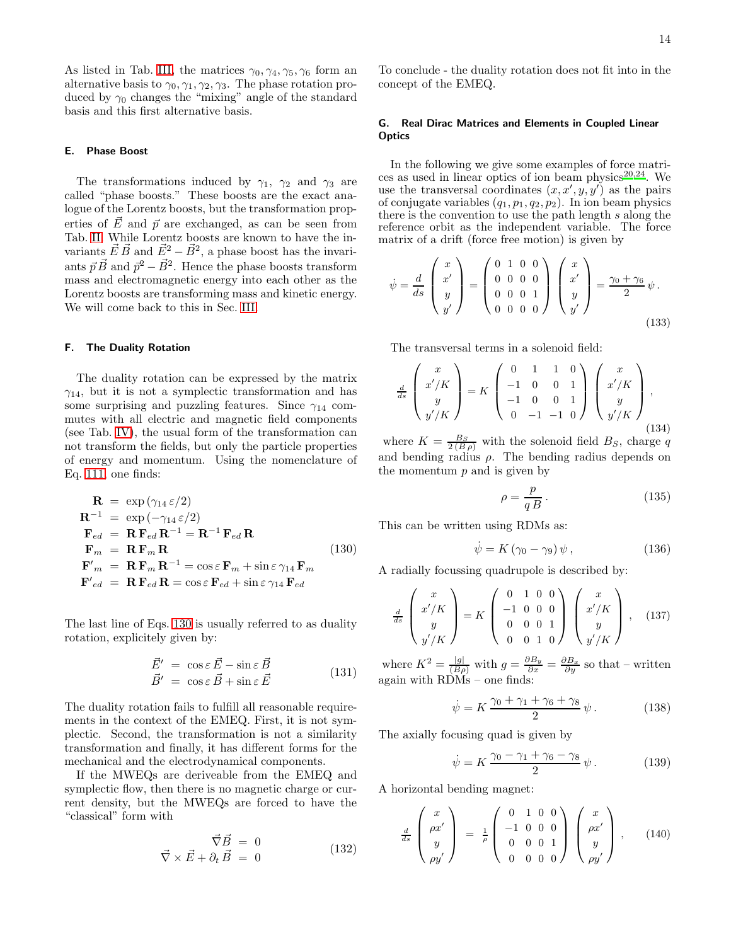As listed in Tab. [III,](#page-22-0) the matrices  $\gamma_0, \gamma_4, \gamma_5, \gamma_6$  form an alternative basis to  $\gamma_0, \gamma_1, \gamma_2, \gamma_3$ . The phase rotation produced by  $\gamma_0$  changes the "mixing" angle of the standard basis and this first alternative basis.

# E. Phase Boost

The transformations induced by  $\gamma_1$ ,  $\gamma_2$  and  $\gamma_3$  are called "phase boosts." These boosts are the exact analogue of the Lorentz boosts, but the transformation properties of  $\vec{E}$  and  $\vec{p}$  are exchanged, as can be seen from Tab. [II.](#page-12-0) While Lorentz boosts are known to have the invariants  $\vec{E} \cdot \vec{B}$  and  $\vec{E}^2 - \vec{B}^2$ , a phase boost has the invariants  $\vec{p} \cdot \vec{B}$  and  $\vec{p}^2 - \vec{B}^2$ . Hence the phase boosts transform mass and electromagnetic energy into each other as the Lorentz boosts are transforming mass and kinetic energy. We will come back to this in Sec. [III.](#page-14-0)

# <span id="page-13-2"></span>F. The Duality Rotation

The duality rotation can be expressed by the matrix  $\gamma_{14}$ , but it is not a symplectic transformation and has some surprising and puzzling features. Since  $\gamma_{14}$  commutes with all electric and magnetic field components (see Tab. [IV\)](#page-23-0), the usual form of the transformation can not transform the fields, but only the particle properties of energy and momentum. Using the nomenclature of Eq. [111,](#page-10-1) one finds:

<span id="page-13-3"></span>
$$
\mathbf{R} = \exp(\gamma_{14} \varepsilon/2)
$$
\n
$$
\mathbf{R}^{-1} = \exp(-\gamma_{14} \varepsilon/2)
$$
\n
$$
\mathbf{F}_{ed} = \mathbf{R} \mathbf{F}_{ed} \mathbf{R}^{-1} = \mathbf{R}^{-1} \mathbf{F}_{ed} \mathbf{R}
$$
\n
$$
\mathbf{F}_{m} = \mathbf{R} \mathbf{F}_{m} \mathbf{R}
$$
\n
$$
\mathbf{F}'_{m} = \mathbf{R} \mathbf{F}_{m} \mathbf{R}^{-1} = \cos \varepsilon \mathbf{F}_{m} + \sin \varepsilon \gamma_{14} \mathbf{F}_{m}
$$
\n
$$
\mathbf{F}'_{ed} = \mathbf{R} \mathbf{F}_{ed} \mathbf{R} = \cos \varepsilon \mathbf{F}_{ed} + \sin \varepsilon \gamma_{14} \mathbf{F}_{ed}
$$
\n(130)

The last line of Eqs. [130](#page-13-3) is usually referred to as duality rotation, explicitely given by:

$$
\vec{E}' = \cos \varepsilon \vec{E} - \sin \varepsilon \vec{B}
$$
  
\n
$$
\vec{B}' = \cos \varepsilon \vec{B} + \sin \varepsilon \vec{E}
$$
\n(131)

The duality rotation fails to fulfill all reasonable requirements in the context of the EMEQ. First, it is not symplectic. Second, the transformation is not a similarity transformation and finally, it has different forms for the mechanical and the electrodynamical components.

If the MWEQs are deriveable from the EMEQ and symplectic flow, then there is no magnetic charge or current density, but the MWEQs are forced to have the "classical" form with

$$
\vec{\nabla}\vec{B} = 0
$$
  

$$
\vec{\nabla}\times\vec{E} + \partial_t\vec{B} = 0
$$
 (132)

To conclude - the duality rotation does not fit into in the concept of the EMEQ.

# <span id="page-13-1"></span>G. Real Dirac Matrices and Elements in Coupled Linear **Optics**

In the following we give some examples of force matri-ces as used in linear optics of ion beam physics<sup>[20](#page-24-12)[,24](#page-24-16)</sup>. We use the transversal coordinates  $(x, x', y, y')$  as the pairs of conjugate variables  $(q_1, p_1, q_2, p_2)$ . In ion beam physics there is the convention to use the path length  $s$  along the reference orbit as the independent variable. The force matrix of a drift (force free motion) is given by

<span id="page-13-0"></span>
$$
\dot{\psi} = \frac{d}{ds} \begin{pmatrix} x \\ x' \\ y \\ y' \end{pmatrix} = \begin{pmatrix} 0 & 1 & 0 & 0 \\ 0 & 0 & 0 & 0 \\ 0 & 0 & 0 & 1 \\ 0 & 0 & 0 & 0 \end{pmatrix} \begin{pmatrix} x \\ x' \\ y \\ y' \end{pmatrix} = \frac{\gamma_0 + \gamma_6}{2} \psi.
$$
\n(133)

The transversal terms in a solenoid field:

$$
\frac{d}{ds} \begin{pmatrix} x \\ x'/K \\ y \\ y'/K \end{pmatrix} = K \begin{pmatrix} 0 & 1 & 1 & 0 \\ -1 & 0 & 0 & 1 \\ -1 & 0 & 0 & 1 \\ 0 & -1 & -1 & 0 \end{pmatrix} \begin{pmatrix} x \\ x'/K \\ y \\ y'/K \end{pmatrix},
$$
\n(134)

where  $K = \frac{B_S}{2(B \rho)}$  with the solenoid field  $B_S$ , charge q and bending radius  $\rho$ . The bending radius depends on the momentum  $p$  and is given by

$$
\rho = \frac{p}{q \, B} \,. \tag{135}
$$

This can be written using RDMs as:

$$
\dot{\psi} = K \left( \gamma_0 - \gamma_9 \right) \psi, \qquad (136)
$$

A radially focussing quadrupole is described by:

$$
\frac{d}{ds} \begin{pmatrix} x \\ x'/K \\ y \\ y'/K \end{pmatrix} = K \begin{pmatrix} 0 & 1 & 0 & 0 \\ -1 & 0 & 0 & 0 \\ 0 & 0 & 0 & 1 \\ 0 & 0 & 1 & 0 \end{pmatrix} \begin{pmatrix} x \\ x'/K \\ y \\ y'/K \end{pmatrix}, \quad (137)
$$

where  $K^2 = \frac{|g|}{(B\rho)}$  with  $g = \frac{\partial B_y}{\partial x} = \frac{\partial B_x}{\partial y}$  so that – written again with RDMs – one finds:

$$
\dot{\psi} = K \frac{\gamma_0 + \gamma_1 + \gamma_6 + \gamma_8}{2} \psi.
$$
 (138)

The axially focusing quad is given by

$$
\dot{\psi} = K \frac{\gamma_0 - \gamma_1 + \gamma_6 - \gamma_8}{2} \psi.
$$
 (139)

A horizontal bending magnet:

$$
\frac{d}{ds}\begin{pmatrix} x \\ \rho x' \\ y \\ \rho y' \end{pmatrix} = \frac{1}{\rho} \begin{pmatrix} 0 & 1 & 0 & 0 \\ -1 & 0 & 0 & 0 \\ 0 & 0 & 0 & 1 \\ 0 & 0 & 0 & 0 \end{pmatrix} \begin{pmatrix} x \\ \rho x' \\ y \\ \rho y' \end{pmatrix}, \quad (140)
$$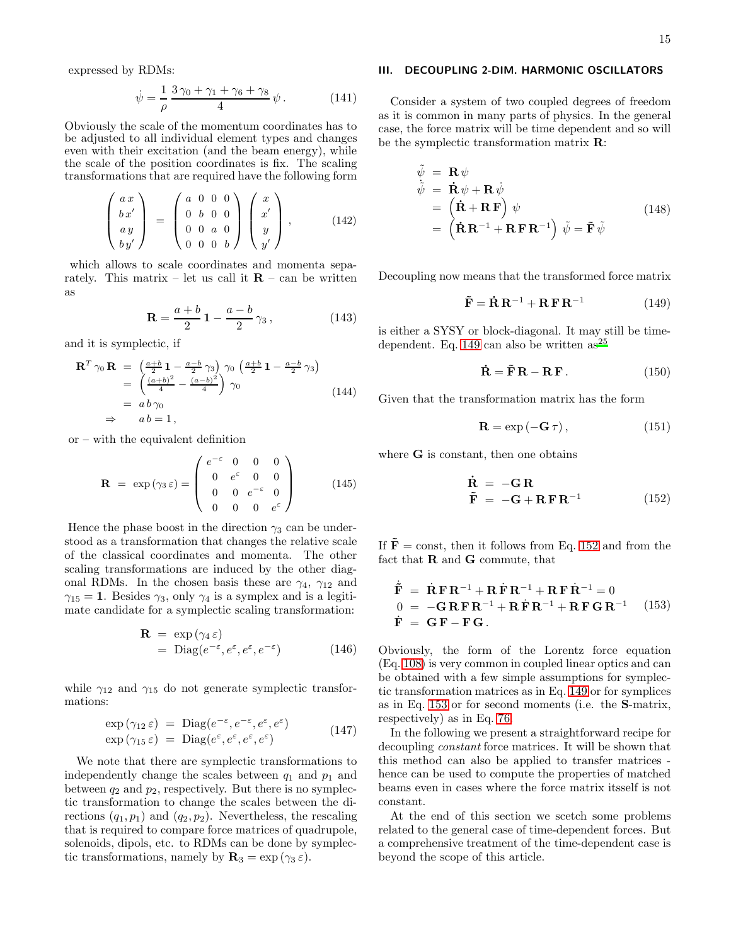expressed by RDMs:

$$
\dot{\psi} = \frac{1}{\rho} \frac{3\,\gamma_0 + \gamma_1 + \gamma_6 + \gamma_8}{4} \,\psi \,. \tag{141}
$$

Obviously the scale of the momentum coordinates has to be adjusted to all individual element types and changes even with their excitation (and the beam energy), while the scale of the position coordinates is fix. The scaling transformations that are required have the following form

$$
\begin{pmatrix}\nax \\
bx' \\
ay \\
by'\n\end{pmatrix} = \begin{pmatrix}\na & 0 & 0 & 0 \\
0 & b & 0 & 0 \\
0 & 0 & a & 0 \\
0 & 0 & 0 & b\n\end{pmatrix} \begin{pmatrix}\nx \\
x' \\
y \\
y'\n\end{pmatrix},
$$
\n(142)

which allows to scale coordinates and momenta separately. This matrix – let us call it  $\mathbf{R}$  – can be written as

$$
\mathbf{R} = \frac{a+b}{2} \mathbf{1} - \frac{a-b}{2} \gamma_3, \qquad (143)
$$

and it is symplectic, if

$$
\mathbf{R}^T \gamma_0 \mathbf{R} = \left(\frac{a+b}{2}\mathbf{1} - \frac{a-b}{2}\gamma_3\right) \gamma_0 \left(\frac{a+b}{2}\mathbf{1} - \frac{a-b}{2}\gamma_3\right)
$$
  
= 
$$
\left(\frac{(a+b)^2}{4} - \frac{(a-b)^2}{4}\right) \gamma_0
$$
  
= 
$$
ab \gamma_0
$$
  

$$
\Rightarrow \quad ab = 1,
$$
 (144)

or – with the equivalent definition

$$
\mathbf{R} = \exp(\gamma_3 \,\varepsilon) = \begin{pmatrix} e^{-\varepsilon} & 0 & 0 & 0 \\ 0 & e^{\varepsilon} & 0 & 0 \\ 0 & 0 & e^{-\varepsilon} & 0 \\ 0 & 0 & 0 & e^{\varepsilon} \end{pmatrix} \tag{145}
$$

Hence the phase boost in the direction  $\gamma_3$  can be understood as a transformation that changes the relative scale of the classical coordinates and momenta. The other scaling transformations are induced by the other diagonal RDMs. In the chosen basis these are  $\gamma_4$ ,  $\gamma_{12}$  and  $\gamma_{15} = 1$ . Besides  $\gamma_3$ , only  $\gamma_4$  is a symplex and is a legitimate candidate for a symplectic scaling transformation:

$$
\mathbf{R} = \exp(\gamma_4 \,\varepsilon) \n= \text{Diag}(e^{-\varepsilon}, e^{\varepsilon}, e^{\varepsilon}, e^{-\varepsilon})
$$
\n(146)

while  $\gamma_{12}$  and  $\gamma_{15}$  do not generate symplectic transformations:

$$
\exp(\gamma_{12} \varepsilon) = \text{Diag}(e^{-\varepsilon}, e^{-\varepsilon}, e^{\varepsilon}, e^{\varepsilon})
$$
  
\n
$$
\exp(\gamma_{15} \varepsilon) = \text{Diag}(e^{\varepsilon}, e^{\varepsilon}, e^{\varepsilon}, e^{\varepsilon})
$$
\n(147)

We note that there are symplectic transformations to independently change the scales between  $q_1$  and  $p_1$  and between  $q_2$  and  $p_2$ , respectively. But there is no symplectic transformation to change the scales between the directions  $(q_1, p_1)$  and  $(q_2, p_2)$ . Nevertheless, the rescaling that is required to compare force matrices of quadrupole, solenoids, dipols, etc. to RDMs can be done by symplectic transformations, namely by  $\mathbf{R}_3 = \exp(\gamma_3 \varepsilon)$ .

### <span id="page-14-0"></span>III. DECOUPLING 2-DIM. HARMONIC OSCILLATORS

Consider a system of two coupled degrees of freedom as it is common in many parts of physics. In the general case, the force matrix will be time dependent and so will be the symplectic transformation matrix R:

$$
\begin{array}{rcl}\n\tilde{\psi} & = & \mathbf{R} \psi \\
\tilde{\psi} & = & \dot{\mathbf{R}} \psi + \mathbf{R} \dot{\psi} \\
& = & \left( \dot{\mathbf{R}} + \mathbf{R} \mathbf{F} \right) \psi \\
& = & \left( \dot{\mathbf{R}} \mathbf{R}^{-1} + \mathbf{R} \mathbf{F} \mathbf{R}^{-1} \right) \tilde{\psi} = \tilde{\mathbf{F}} \tilde{\psi}\n\end{array} \tag{148}
$$

Decoupling now means that the transformed force matrix

<span id="page-14-1"></span>
$$
\tilde{\mathbf{F}} = \dot{\mathbf{R}} \mathbf{R}^{-1} + \mathbf{R} \mathbf{F} \mathbf{R}^{-1}
$$
 (149)

is either a SYSY or block-diagonal. It may still be time-dependent. Eq. [149](#page-14-1) can also be written  $as^{25}$  $as^{25}$  $as^{25}$ 

$$
\dot{\mathbf{R}} = \tilde{\mathbf{F}} \mathbf{R} - \mathbf{R} \mathbf{F}.
$$
 (150)

Given that the transformation matrix has the form

$$
\mathbf{R} = \exp(-\mathbf{G}\,\tau)\,,\tag{151}
$$

where G is constant, then one obtains

<span id="page-14-2"></span>
$$
\dot{\mathbf{R}} = -\mathbf{G}\,\mathbf{R}
$$
\n
$$
\tilde{\mathbf{F}} = -\mathbf{G} + \mathbf{R}\,\mathbf{F}\,\mathbf{R}^{-1} \tag{152}
$$

If  $\tilde{\mathbf{F}}$  = const, then it follows from Eq. [152](#page-14-2) and from the fact that R and G commute, that

<span id="page-14-3"></span>
$$
\dot{\tilde{\mathbf{F}}} = \dot{\mathbf{R}} \mathbf{F} \mathbf{R}^{-1} + \mathbf{R} \dot{\mathbf{F}} \mathbf{R}^{-1} + \mathbf{R} \mathbf{F} \dot{\mathbf{R}}^{-1} = 0
$$
  
\n
$$
0 = -\mathbf{G} \mathbf{R} \mathbf{F} \mathbf{R}^{-1} + \mathbf{R} \dot{\mathbf{F}} \mathbf{R}^{-1} + \mathbf{R} \mathbf{F} \mathbf{G} \mathbf{R}^{-1} \quad (153)
$$
  
\n
$$
\dot{\mathbf{F}} = \mathbf{G} \mathbf{F} - \mathbf{F} \mathbf{G}.
$$

Obviously, the form of the Lorentz force equation (Eq. [108\)](#page-9-2) is very common in coupled linear optics and can be obtained with a few simple assumptions for symplectic transformation matrices as in Eq. [149](#page-14-1) or for symplices as in Eq. [153](#page-14-3) or for second moments (i.e. the S-matrix, respectively) as in Eq. [76.](#page-7-2)

In the following we present a straightforward recipe for decoupling constant force matrices. It will be shown that this method can also be applied to transfer matrices hence can be used to compute the properties of matched beams even in cases where the force matrix itsself is not constant.

At the end of this section we scetch some problems related to the general case of time-dependent forces. But a comprehensive treatment of the time-dependent case is beyond the scope of this article.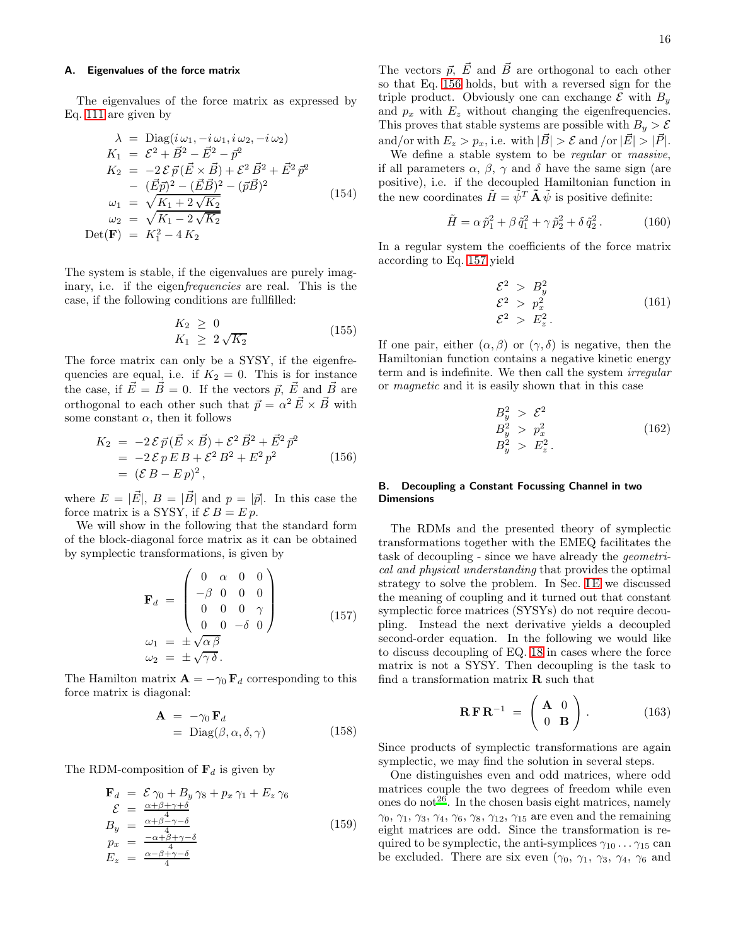### A. Eigenvalues of the force matrix

The eigenvalues of the force matrix as expressed by Eq. [111](#page-10-1) are given by

<span id="page-15-2"></span>
$$
\lambda = \text{Diag}(i\,\omega_1, -i\,\omega_1, i\,\omega_2, -i\,\omega_2) \nK_1 = \mathcal{E}^2 + \vec{B}^2 - \vec{E}^2 - \vec{p}^2 \nK_2 = -2\,\mathcal{E}\,\vec{p}(\vec{E} \times \vec{B}) + \mathcal{E}^2\,\vec{B}^2 + \vec{E}^2\,\vec{p}^2 \n- (\vec{E}\vec{p})^2 - (\vec{E}\vec{B})^2 - (\vec{p}\vec{B})^2 \n\omega_1 = \sqrt{K_1 + 2\sqrt{K_2} } \n\omega_2 = \sqrt{K_1 - 2\sqrt{K_2}} \n\text{Det}(\mathbf{F}) = K_1^2 - 4K_2
$$
\n(154)

The system is stable, if the eigenvalues are purely imaginary, i.e. if the eigen*frequencies* are real. This is the case, if the following conditions are fullfilled:

$$
K_2 \geq 0
$$
  
\n
$$
K_1 \geq 2\sqrt{K_2}
$$
\n(155)

The force matrix can only be a SYSY, if the eigenfrequencies are equal, i.e. if  $K_2 = 0$ . This is for instance the case, if  $\vec{E} = \vec{B} = 0$ . If the vectors  $\vec{p}$ ,  $\vec{E}$  and  $\vec{B}$  are orthogonal to each other such that  $\vec{p} = \alpha^2 \vec{E} \times \vec{B}$  with some constant  $\alpha$ , then it follows

<span id="page-15-0"></span>
$$
K_2 = -2 \mathcal{E} \vec{p} (\vec{E} \times \vec{B}) + \mathcal{E}^2 \vec{B}^2 + \vec{E}^2 \vec{p}^2
$$
  
= -2 \mathcal{E} p E B + \mathcal{E}^2 B^2 + E^2 p^2  
= (\mathcal{E} B - E p)^2, (156)

where  $E = |\vec{E}|, B = |\vec{B}|$  and  $p = |\vec{p}|$ . In this case the force matrix is a SYSY, if  $\mathcal{E} B = E p$ .

We will show in the following that the standard form of the block-diagonal force matrix as it can be obtained by symplectic transformations, is given by

<span id="page-15-1"></span>
$$
\mathbf{F}_d = \begin{pmatrix} 0 & \alpha & 0 & 0 \\ -\beta & 0 & 0 & 0 \\ 0 & 0 & 0 & \gamma \\ 0 & 0 & -\delta & 0 \end{pmatrix}
$$
 (157)  
\n
$$
\begin{aligned}\n\omega_1 &= \pm \sqrt{\alpha \beta} \\
\omega_2 &= \pm \sqrt{\gamma \delta}.\n\end{aligned}
$$

The Hamilton matrix  $\mathbf{A} = -\gamma_0 \mathbf{F}_d$  corresponding to this force matrix is diagonal:

$$
\mathbf{A} = -\gamma_0 \mathbf{F}_d \n= \text{Diag}(\beta, \alpha, \delta, \gamma)
$$
\n(158)

The RDM-composition of  $\mathbf{F}_d$  is given by

$$
\mathbf{F}_d = \mathcal{E} \gamma_0 + B_y \gamma_8 + p_x \gamma_1 + E_z \gamma_6 \n\mathcal{E} = \frac{\alpha + \beta + \gamma + \delta}{4} \nB_y = \frac{\alpha + \beta - \gamma - \delta}{4} \n p_x = \frac{-\alpha + \beta + \gamma - \delta}{4} \nE_z = \frac{\alpha - \beta + \gamma - \delta}{4}
$$
\n(159)

The vectors  $\vec{p}, \vec{E}$  and  $\vec{B}$  are orthogonal to each other so that Eq. [156](#page-15-0) holds, but with a reversed sign for the triple product. Obviously one can exchange  $\mathcal E$  with  $B_y$ and  $p_x$  with  $E_z$  without changing the eigenfrequencies. This proves that stable systems are possible with  $B_y > \mathcal{E}$ and/or with  $E_z > p_x$ , i.e. with  $|\vec{B}| > \mathcal{E}$  and /or  $|\vec{E}| > |\vec{P}|$ .

We define a stable system to be *regular* or *massive*, if all parameters  $\alpha$ ,  $\beta$ ,  $\gamma$  and  $\delta$  have the same sign (are positive), i.e. if the decoupled Hamiltonian function in the new coordinates  $\tilde{H} = \tilde{\psi}^T \tilde{\mathbf{A}} \tilde{\psi}$  is positive definite:

$$
\tilde{H} = \alpha \,\tilde{p}_1^2 + \beta \,\tilde{q}_1^2 + \gamma \,\tilde{p}_2^2 + \delta \,\tilde{q}_2^2 \,. \tag{160}
$$

In a regular system the coefficients of the force matrix according to Eq. [157](#page-15-1) yield

$$
\begin{aligned}\n\mathcal{E}^2 &> B_y^2 \\
\mathcal{E}^2 &> p_x^2 \\
\mathcal{E}^2 &> E_z^2.\n\end{aligned}
$$
\n(161)

If one pair, either  $(\alpha, \beta)$  or  $(\gamma, \delta)$  is negative, then the Hamiltonian function contains a negative kinetic energy term and is indefinite. We then call the system irregular or magnetic and it is easily shown that in this case

$$
B_y^2 > \mathcal{E}^2
$$
  
\n
$$
B_y^2 > p_x^2
$$
  
\n
$$
B_y^2 > E_z^2.
$$
\n(162)

# <span id="page-15-3"></span>B. Decoupling a Constant Focussing Channel in two **Dimensions**

The RDMs and the presented theory of symplectic transformations together with the EMEQ facilitates the task of decoupling - since we have already the geometrical and physical understanding that provides the optimal strategy to solve the problem. In Sec. IE we discussed the meaning of coupling and it turned out that constant symplectic force matrices (SYSYs) do not require decoupling. Instead the next derivative yields a decoupled second-order equation. In the following we would like to discuss decoupling of EQ. [18](#page-2-5) in cases where the force matrix is not a SYSY. Then decoupling is the task to find a transformation matrix  $\bf{R}$  such that

$$
\mathbf{R}\mathbf{F}\mathbf{R}^{-1} = \begin{pmatrix} \mathbf{A} & 0 \\ 0 & \mathbf{B} \end{pmatrix}.
$$
 (163)

Since products of symplectic transformations are again symplectic, we may find the solution in several steps.

One distinguishes even and odd matrices, where odd matrices couple the two degrees of freedom while even ones do not<sup>[26](#page-24-18)</sup>. In the chosen basis eight matrices, namely  $\gamma_0$ ,  $\gamma_1$ ,  $\gamma_3$ ,  $\gamma_4$ ,  $\gamma_6$ ,  $\gamma_8$ ,  $\gamma_{12}$ ,  $\gamma_{15}$  are even and the remaining eight matrices are odd. Since the transformation is required to be symplectic, the anti-symplices  $\gamma_{10} \ldots \gamma_{15}$  can be excluded. There are six even  $(\gamma_0, \gamma_1, \gamma_3, \gamma_4, \gamma_6$  and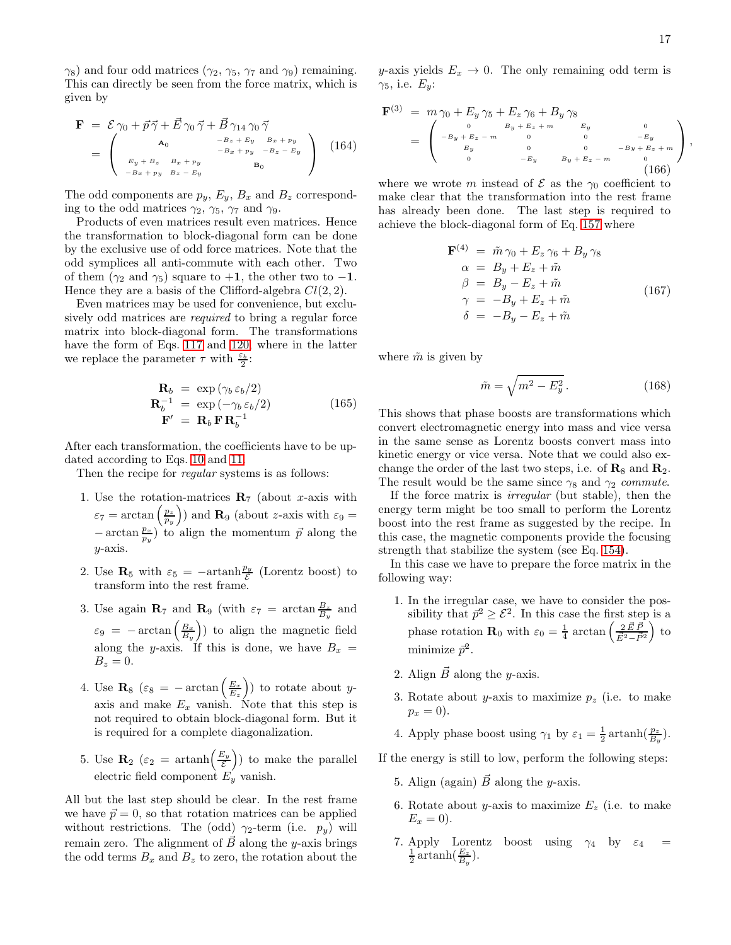$\gamma_8$ ) and four odd matrices ( $\gamma_2$ ,  $\gamma_5$ ,  $\gamma_7$  and  $\gamma_9$ ) remaining. This can directly be seen from the force matrix, which is given by

$$
\mathbf{F} = \mathcal{E} \gamma_0 + \vec{p} \vec{\gamma} + \vec{E} \gamma_0 \vec{\gamma} + \vec{B} \gamma_{14} \gamma_0 \vec{\gamma}
$$
  
= 
$$
\begin{pmatrix} \mathbf{A}_0 & -B_z + E_y & B_x + p_y \\ B_y + B_z & B_x + p_y & -B_z - E_y \\ E_y + B_z & B_x + p_y & B_z - E_y \end{pmatrix}
$$
 (164)

The odd components are  $p_y$ ,  $E_y$ ,  $B_x$  and  $B_z$  corresponding to the odd matrices  $\gamma_2$ ,  $\gamma_5$ ,  $\gamma_7$  and  $\gamma_9$ .

Products of even matrices result even matrices. Hence the transformation to block-diagonal form can be done by the exclusive use of odd force matrices. Note that the odd symplices all anti-commute with each other. Two of them ( $\gamma_2$  and  $\gamma_5$ ) square to +1, the other two to -1. Hence they are a basis of the Clifford-algebra  $Cl(2, 2)$ .

Even matrices may be used for convenience, but exclusively odd matrices are *required* to bring a regular force matrix into block-diagonal form. The transformations have the form of Eqs. [117](#page-11-0) and [120,](#page-11-1) where in the latter we replace the parameter  $\tau$  with  $\frac{\varepsilon_b}{2}$ :

$$
\mathbf{R}_{b} = \exp(\gamma_{b} \varepsilon_{b}/2) \n\mathbf{R}_{b}^{-1} = \exp(-\gamma_{b} \varepsilon_{b}/2) \n\mathbf{F}' = \mathbf{R}_{b} \mathbf{F} \mathbf{R}_{b}^{-1}
$$
\n(165)

After each transformation, the coefficients have to be updated according to Eqs. [10](#page-2-7) and [11.](#page-2-8)

Then the recipe for *regular* systems is as follows:

- 1. Use the rotation-matrices  $\mathbf{R}_7$  (about x-axis with  $\varepsilon_7 = \arctan\left(\frac{p_z}{p_y}\right)$  and  $\mathbf{R}_9$  (about z-axis with  $\varepsilon_9 =$  $-\arctan \frac{p_x}{p_y}$  to align the momentum  $\vec{p}$  along the  $y$ -axis.
- 2. Use  $\mathbf{R}_5$  with  $\varepsilon_5 = -\mathrm{artanh} \frac{p_y}{\mathcal{E}}$  (Lorentz boost) to E transform into the rest frame.
- 3. Use again  $\mathbf{R}_7$  and  $\mathbf{R}_9$  (with  $\varepsilon_7 = \arctan \frac{B_z}{B_y}$  and  $\varepsilon_9 = -\arctan\left(\frac{B_x}{B_y}\right)$  to align the magnetic field along the y-axis. If this is done, we have  $B_x =$  $B_z = 0.$
- 4. Use  $\mathbf{R}_8$  ( $\varepsilon_8 = -\arctan\left(\frac{E_x}{E_z}\right)$ ) to rotate about yaxis and make  $E_x$  vanish. Note that this step is not required to obtain block-diagonal form. But it is required for a complete diagonalization.
- 5. Use  $\mathbf{R}_2$  ( $\varepsilon_2$  = artanh $\left(\frac{E_y}{\varepsilon}\right)$ E ) to make the parallel electric field component  $E_y$  vanish.

All but the last step should be clear. In the rest frame we have  $\vec{p} = 0$ , so that rotation matrices can be applied without restrictions. The (odd)  $\gamma_2$ -term (i.e.  $p_y$ ) will remain zero. The alignment of  $\vec{B}$  along the y-axis brings the odd terms  $B_x$  and  $B_z$  to zero, the rotation about the y-axis yields  $E_x \rightarrow 0$ . The only remaining odd term is  $\gamma_5$ , i.e.  $E_y$ :

$$
\mathbf{F}^{(3)} = m \gamma_0 + E_y \gamma_5 + E_z \gamma_6 + B_y \gamma_8
$$
\n
$$
= \begin{pmatrix}\n0 & B_y + E_z + m & E_y & 0 \\
0 & B_y + E_z + m & 0 & -E_y \\
E_y & 0 & 0 & -B_y + E_z + m \\
0 & -E_y & B_y + E_z - m & 0\n\end{pmatrix},
$$
\n(166)

where we wrote m instead of  $\mathcal E$  as the  $\gamma_0$  coefficient to make clear that the transformation into the rest frame has already been done. The last step is required to achieve the block-diagonal form of Eq. [157](#page-15-1) where

<span id="page-16-0"></span>
$$
\mathbf{F}^{(4)} = \tilde{m}\gamma_0 + E_z \gamma_6 + B_y \gamma_8
$$
\n
$$
\alpha = B_y + E_z + \tilde{m}
$$
\n
$$
\beta = B_y - E_z + \tilde{m}
$$
\n
$$
\gamma = -B_y + E_z + \tilde{m}
$$
\n
$$
\delta = -B_y - E_z + \tilde{m}
$$
\n(167)

where  $\tilde{m}$  is given by

$$
\tilde{m} = \sqrt{m^2 - E_y^2} \,. \tag{168}
$$

This shows that phase boosts are transformations which convert electromagnetic energy into mass and vice versa in the same sense as Lorentz boosts convert mass into kinetic energy or vice versa. Note that we could also exchange the order of the last two steps, i.e. of  $\mathbf{R}_8$  and  $\mathbf{R}_2$ . The result would be the same since  $\gamma_8$  and  $\gamma_2$  commute.

If the force matrix is irregular (but stable), then the energy term might be too small to perform the Lorentz boost into the rest frame as suggested by the recipe. In this case, the magnetic components provide the focusing strength that stabilize the system (see Eq. [154\)](#page-15-2).

In this case we have to prepare the force matrix in the following way:

- 1. In the irregular case, we have to consider the possibility that  $\vec{p}^2 \geq \mathcal{E}^2$ . In this case the first step is a phase rotation **R**<sub>0</sub> with  $\varepsilon_0 = \frac{1}{4} \arctan \left( \frac{2 \vec{E} \cdot \vec{F}}{\vec{E}^2 - \vec{F}} \right)$  $\vec{E}^2 - \vec{P}^2$  $\int$  to minimize  $\vec{p}^2$ .
- 2. Align  $\vec{B}$  along the y-axis.
- 3. Rotate about y-axis to maximize  $p_z$  (i.e. to make  $p_x = 0$ ).
- 4. Apply phase boost using  $\gamma_1$  by  $\varepsilon_1 = \frac{1}{2} \arctanh(\frac{p_z}{B_y})$ .

If the energy is still to low, perform the following steps:

- 5. Align (again)  $\vec{B}$  along the y-axis.
- 6. Rotate about y-axis to maximize  $E_z$  (i.e. to make  $E_r = 0$ .
- 7. Apply Lorentz boost using  $\gamma_4$  by  $\varepsilon_4 = \frac{1}{2} \operatorname{artanh}(\frac{E_z}{B_y})$ .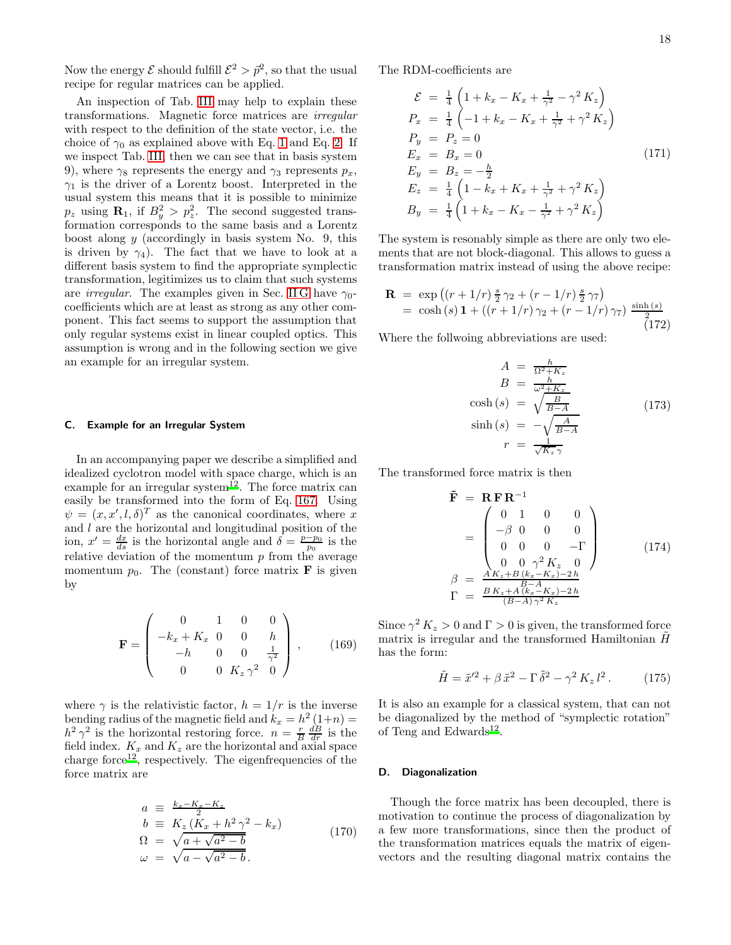Now the energy  $\mathcal E$  should fulfill  $\mathcal E^2 > \vec p^2$ , so that the usual recipe for regular matrices can be applied.

An inspection of Tab. [III](#page-22-0) may help to explain these transformations. Magnetic force matrices are irregular with respect to the definition of the state vector, i.e. the choice of  $\gamma_0$  as explained above with Eq. [1](#page-1-0) and Eq. [2.](#page-1-1) If we inspect Tab. [III,](#page-22-0) then we can see that in basis system 9), where  $\gamma_8$  represents the energy and  $\gamma_3$  represents  $p_x$ ,  $\gamma_1$  is the driver of a Lorentz boost. Interpreted in the usual system this means that it is possible to minimize  $p_z$  using  $\mathbf{R}_1$ , if  $B_y^2 > p_z^2$ . The second suggested transformation corresponds to the same basis and a Lorentz boost along  $y$  (accordingly in basis system No. 9, this is driven by  $\gamma_4$ ). The fact that we have to look at a different basis system to find the appropriate symplectic transformation, legitimizes us to claim that such systems are *irregular*. The examples given in Sec. [II G](#page-13-1) have  $\gamma_0$ coefficients which are at least as strong as any other component. This fact seems to support the assumption that only regular systems exist in linear coupled optics. This assumption is wrong and in the following section we give an example for an irregular system.

# C. Example for an Irregular System

In an accompanying paper we describe a simplified and idealized cyclotron model with space charge, which is an example for an irregular system<sup>[12](#page-24-3)</sup>. The force matrix can easily be transformed into the form of Eq. [167.](#page-16-0) Using  $\psi = (x, x', l, \delta)^T$  as the canonical coordinates, where x and  $l$  are the horizontal and longitudinal position of the ion,  $x' = \frac{dx}{ds}$  is the horizontal angle and  $\delta = \frac{p-p_0}{p_0}$  is the relative deviation of the momentum  $p$  from the average momentum  $p_0$ . The (constant) force matrix **F** is given by

$$
\mathbf{F} = \begin{pmatrix} 0 & 1 & 0 & 0 \\ -k_x + K_x & 0 & 0 & h \\ -h & 0 & 0 & \frac{1}{\gamma^2} \\ 0 & 0 & K_z \gamma^2 & 0 \end{pmatrix}, \qquad (169)
$$

where  $\gamma$  is the relativistic factor,  $h = 1/r$  is the inverse bending radius of the magnetic field and  $k_x = h^2(1+n) =$  $h^2 \gamma^2$  is the horizontal restoring force.  $n = \frac{r}{B} \frac{dB}{dr}$  is the field index.  $K_x$  and  $K_z$  are the horizontal and axial space charge force<sup>[12](#page-24-3)</sup>, respectively. The eigenfrequencies of the force matrix are

$$
a \equiv \frac{k_x - K_x - K_z}{2}
$$
  
\n
$$
b \equiv K_z (K_x + h^2 \gamma^2 - k_x)
$$
  
\n
$$
\Omega = \sqrt{a + \sqrt{a^2 - b}}
$$
  
\n
$$
\omega = \sqrt{a - \sqrt{a^2 - b}}
$$
\n(170)

The RDM-coefficients are

$$
\mathcal{E} = \frac{1}{4} \left( 1 + k_x - K_x + \frac{1}{\gamma^2} - \gamma^2 K_z \right)
$$
  
\n
$$
P_x = \frac{1}{4} \left( -1 + k_x - K_x + \frac{1}{\gamma^2} + \gamma^2 K_z \right)
$$
  
\n
$$
P_y = P_z = 0
$$
  
\n
$$
E_x = B_x = 0
$$
  
\n
$$
E_y = B_z = -\frac{h}{2}
$$
  
\n
$$
E_z = \frac{1}{4} \left( 1 - k_x + K_x + \frac{1}{\gamma^2} + \gamma^2 K_z \right)
$$
  
\n
$$
B_y = \frac{1}{4} \left( 1 + k_x - K_x - \frac{1}{\gamma^2} + \gamma^2 K_z \right)
$$

The system is resonably simple as there are only two elements that are not block-diagonal. This allows to guess a transformation matrix instead of using the above recipe:

$$
\mathbf{R} = \exp\left((r+1/r)\frac{s}{2}\gamma_2 + (r-1/r)\frac{s}{2}\gamma_7\right) \n= \cosh(s)\mathbf{1} + ((r+1/r)\gamma_2 + (r-1/r)\gamma_7)\frac{\sinh(s)}{2}
$$
\n(172)

Where the follwoing abbreviations are used:

$$
A = \frac{h}{\Omega^2 + K_z}
$$
  
\n
$$
B = \frac{h}{\omega^2 + K_z}
$$
  
\n
$$
\cosh(s) = \sqrt{\frac{B}{B-A}}
$$
  
\n
$$
\sinh(s) = -\sqrt{\frac{A}{B-A}}
$$
  
\n
$$
r = \frac{1}{\sqrt{K_z}\gamma}
$$
\n(173)

The transformed force matrix is then

F˜ = R F R−<sup>1</sup> = 0 1 0 0 −β 0 0 0 0 0 0 −Γ 0 0 γ <sup>2</sup> K<sup>z</sup> 0 β = A Kz+B (kx−Kx)−2 h B−A Γ = B Kz+<sup>A</sup> (kx−Kx)−<sup>2</sup> <sup>h</sup> (B−A) γ<sup>2</sup> K<sup>z</sup> (174)

Since  $\gamma^2 K_z > 0$  and  $\Gamma > 0$  is given, the transformed force matrix is irregular and the transformed Hamiltonian  $\ddot{H}$ has the form:

$$
\tilde{H} = \tilde{x}^{\prime 2} + \beta \tilde{x}^2 - \Gamma \tilde{\delta}^2 - \gamma^2 K_z l^2. \qquad (175)
$$

It is also an example for a classical system, that can not be diagonalized by the method of "symplectic rotation" of Teng and Edwards<sup>[12](#page-24-3)</sup>.

#### <span id="page-17-0"></span>D. Diagonalization

Though the force matrix has been decoupled, there is motivation to continue the process of diagonalization by a few more transformations, since then the product of the transformation matrices equals the matrix of eigenvectors and the resulting diagonal matrix contains the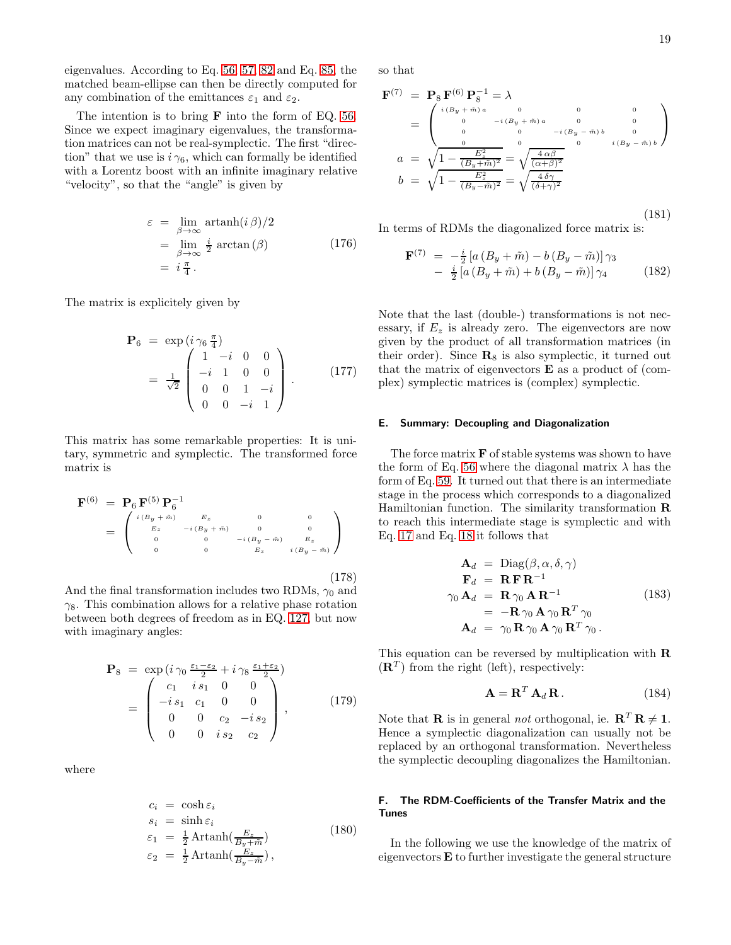eigenvalues. According to Eq. [56,](#page-5-5) [57,](#page-5-7) [82](#page-7-5) and Eq. [85,](#page-8-2) the matched beam-ellipse can then be directly computed for any combination of the emittances  $\varepsilon_1$  and  $\varepsilon_2$ .

The intention is to bring F into the form of EQ. [56.](#page-5-5) Since we expect imaginary eigenvalues, the transformation matrices can not be real-symplectic. The first "direction" that we use is  $i \gamma_6$ , which can formally be identified with a Lorentz boost with an infinite imaginary relative "velocity", so that the "angle" is given by

$$
\varepsilon = \lim_{\beta \to \infty} \operatorname{artanh}(i \beta)/2
$$
  
= 
$$
\lim_{\beta \to \infty} \frac{i}{2} \operatorname{arctan}(\beta)
$$
  
= 
$$
i \frac{\pi}{4}.
$$
 (176)

The matrix is explicitely given by

$$
\mathbf{P}_6 = \exp\left(i\gamma_6 \frac{\pi}{4}\right) \n= \frac{1}{\sqrt{2}} \begin{pmatrix} 1 - i & 0 & 0 \\ -i & 1 & 0 & 0 \\ 0 & 0 & 1 & -i \\ 0 & 0 & -i & 1 \end{pmatrix} .
$$
\n(177)

This matrix has some remarkable properties: It is unitary, symmetric and symplectic. The transformed force matrix is

<span id="page-18-2"></span>
$$
\mathbf{F}^{(6)} = \mathbf{P}_6 \mathbf{F}^{(5)} \mathbf{P}_6^{-1}
$$
\n
$$
= \begin{pmatrix}\n^{i(B_y + \tilde{m})} & E_z & 0 & 0 \\
^{E_z} & -i(B_y + \tilde{m}) & 0 & 0 \\
0 & 0 & -i(B_y - \tilde{m}) & E_z \\
0 & 0 & E_z & i(B_y - \tilde{m})\n\end{pmatrix}
$$
\n(178)

And the final transformation includes two RDMs,  $\gamma_0$  and  $\gamma_8$ . This combination allows for a relative phase rotation between both degrees of freedom as in EQ. [127,](#page-12-2) but now with imaginary angles:

$$
\mathbf{P}_8 = \exp\left(i\,\gamma_0\,\frac{\varepsilon_1 - \varepsilon_2}{2} + i\,\gamma_8\,\frac{\varepsilon_1 + \varepsilon_2}{2}\right) \n= \begin{pmatrix} c_1 & i\,s_1 & 0 & 0 \\ -i\,s_1 & c_1 & 0 & 0 \\ 0 & 0 & c_2 & -i\,s_2 \\ 0 & 0 & i\,s_2 & c_2 \end{pmatrix},
$$
\n(179)

where

$$
c_i = \cosh \varepsilon_i
$$
  
\n
$$
s_i = \sinh \varepsilon_i
$$
  
\n
$$
\varepsilon_1 = \frac{1}{2} \operatorname{Artanh}(\frac{E_z}{B_y + \tilde{m}})
$$
  
\n
$$
\varepsilon_2 = \frac{1}{2} \operatorname{Artanh}(\frac{E_z}{B_y - \tilde{m}}),
$$
\n(180)

so that

<span id="page-18-3"></span>
$$
\mathbf{F}^{(7)} = \mathbf{P}_{8} \mathbf{F}^{(6)} \mathbf{P}_{8}^{-1} = \lambda
$$
\n
$$
= \begin{pmatrix}\n i(B_{y} + \tilde{m})a & 0 & 0 & 0 \\
 0 & -i(B_{y} + \tilde{m})a & 0 & 0 \\
 0 & 0 & -i(B_{y} - \tilde{m})b & 0 \\
 0 & 0 & -i(B_{y} - \tilde{m})b & 0 \\
 0 & 0 & i(B_{y} - \tilde{m})b\n\end{pmatrix}
$$
\n
$$
a = \sqrt{1 - \frac{E_{z}^{2}}{(B_{y} + \tilde{m})^{2}}} = \sqrt{\frac{4 \alpha \beta}{(\alpha + \beta)^{2}}}
$$
\n
$$
b = \sqrt{1 - \frac{E_{z}^{2}}{(B_{y} - \tilde{m})^{2}}} = \sqrt{\frac{4 \delta \gamma}{(\delta + \gamma)^{2}}}
$$
\n(181)

In terms of RDMs the diagonalized force matrix is:

<span id="page-18-1"></span>
$$
\mathbf{F}^{(7)} = -\frac{i}{2} \left[ a \left( B_y + \tilde{m} \right) - b \left( B_y - \tilde{m} \right) \right] \gamma_3 \n- \frac{i}{2} \left[ a \left( B_y + \tilde{m} \right) + b \left( B_y - \tilde{m} \right) \right] \gamma_4
$$
\n(182)

Note that the last (double-) transformations is not necessary, if  $E_z$  is already zero. The eigenvectors are now given by the product of all transformation matrices (in their order). Since  $\mathbf{R}_8$  is also symplectic, it turned out that the matrix of eigenvectors  $E$  as a product of (complex) symplectic matrices is (complex) symplectic.

#### E. Summary: Decoupling and Diagonalization

The force matrix  $\bf{F}$  of stable systems was shown to have the form of Eq. [56](#page-5-5) where the diagonal matrix  $\lambda$  has the form of Eq. [59.](#page-6-2) It turned out that there is an intermediate stage in the process which corresponds to a diagonalized Hamiltonian function. The similarity transformation R to reach this intermediate stage is symplectic and with Eq. [17](#page-2-6) and Eq. [18](#page-2-5) it follows that

$$
\mathbf{A}_{d} = \text{Diag}(\beta, \alpha, \delta, \gamma)
$$
  
\n
$$
\mathbf{F}_{d} = \mathbf{R} \mathbf{F} \mathbf{R}^{-1}
$$
  
\n
$$
\gamma_{0} \mathbf{A}_{d} = \mathbf{R} \gamma_{0} \mathbf{A} \mathbf{R}^{-1}
$$
  
\n
$$
= -\mathbf{R} \gamma_{0} \mathbf{A} \gamma_{0} \mathbf{R}^{T} \gamma_{0}
$$
  
\n
$$
\mathbf{A}_{d} = \gamma_{0} \mathbf{R} \gamma_{0} \mathbf{A} \gamma_{0} \mathbf{R}^{T} \gamma_{0}.
$$
\n(183)

This equation can be reversed by multiplication with R  $(\mathbf{R}^T)$  from the right (left), respectively:

$$
\mathbf{A} = \mathbf{R}^T \, \mathbf{A}_d \, \mathbf{R} \,. \tag{184}
$$

Note that **R** is in general *not* orthogonal, ie.  $\mathbf{R}^T \mathbf{R} \neq \mathbf{1}$ . Hence a symplectic diagonalization can usually not be replaced by an orthogonal transformation. Nevertheless the symplectic decoupling diagonalizes the Hamiltonian.

# <span id="page-18-0"></span>F. The RDM-Coefficients of the Transfer Matrix and the Tunes

In the following we use the knowledge of the matrix of eigenvectors E to further investigate the general structure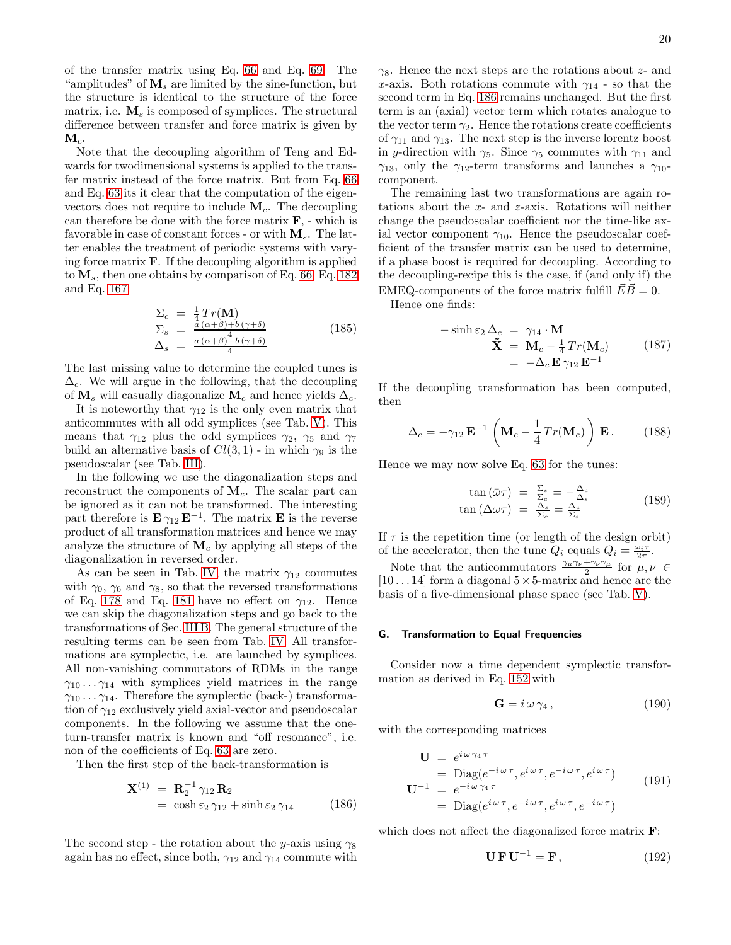of the transfer matrix using Eq. [66](#page-6-3) and Eq. [69.](#page-7-0) The "amplitudes" of  $M_s$  are limited by the sine-function, but the structure is identical to the structure of the force matrix, i.e.  $M_s$  is composed of symplices. The structural difference between transfer and force matrix is given by  $\mathbf{M}_c$ .

Note that the decoupling algorithm of Teng and Edwards for twodimensional systems is applied to the transfer matrix instead of the force matrix. But from Eq. [66](#page-6-3) and Eq. [63](#page-6-5) its it clear that the computation of the eigenvectors does not require to include  $M_c$ . The decoupling can therefore be done with the force matrix  $\mathbf{F}$ , - which is favorable in case of constant forces - or with  $M_s$ . The latter enables the treatment of periodic systems with varying force matrix  $\bf{F}$ . If the decoupling algorithm is applied to  $\mathbf{M}_s$ , then one obtains by comparison of Eq. [66,](#page-6-3) Eq. [182](#page-18-1) and Eq. [167:](#page-16-0)

$$
\Sigma_c = \frac{1}{4} Tr(\mathbf{M})
$$
\n
$$
\Sigma_s = \frac{a(\alpha+\beta)+b(\gamma+\delta)}{a(\alpha+\beta)+b(\gamma+\delta)}
$$
\n
$$
\Delta_s = \frac{a(\alpha+\beta)+b(\gamma+\delta)}{4}
$$
\n(185)

The last missing value to determine the coupled tunes is  $\Delta_c$ . We will argue in the following, that the decoupling of  $M_s$  will casually diagonalize  $M_c$  and hence yields  $\Delta_c$ .

It is noteworthy that  $\gamma_{12}$  is the only even matrix that anticommutes with all odd symplices (see Tab. [V\)](#page-23-2). This means that  $\gamma_{12}$  plus the odd symplices  $\gamma_2$ ,  $\gamma_5$  and  $\gamma_7$ build an alternative basis of  $Cl(3,1)$  - in which  $\gamma_9$  is the pseudoscalar (see Tab. [III\)](#page-22-0).

In the following we use the diagonalization steps and reconstruct the components of  $M_c$ . The scalar part can be ignored as it can not be transformed. The interesting part therefore is  $\mathbf{E} \gamma_{12} \mathbf{E}^{-1}$ . The matrix  $\mathbf{E}$  is the reverse product of all transformation matrices and hence we may analyze the structure of  $M_c$  by applying all steps of the diagonalization in reversed order.

As can be seen in Tab. [IV,](#page-23-0) the matrix  $\gamma_{12}$  commutes with  $\gamma_0$ ,  $\gamma_6$  and  $\gamma_8$ , so that the reversed transformations of Eq. [178](#page-18-2) and Eq. [181](#page-18-3) have no effect on  $\gamma_{12}$ . Hence we can skip the diagonalization steps and go back to the transformations of Sec. [III B.](#page-15-3) The general structure of the resulting terms can be seen from Tab. [IV.](#page-23-0) All transformations are symplectic, i.e. are launched by symplices. All non-vanishing commutators of RDMs in the range  $\gamma_{10} \ldots \gamma_{14}$  with symplices yield matrices in the range  $\gamma_{10} \ldots \gamma_{14}$ . Therefore the symplectic (back-) transformation of  $\gamma_{12}$  exclusively yield axial-vector and pseudoscalar components. In the following we assume that the oneturn-transfer matrix is known and "off resonance", i.e. non of the coefficients of Eq. [63](#page-6-5) are zero.

Then the first step of the back-transformation is

<span id="page-19-0"></span>
$$
\mathbf{X}^{(1)} = \mathbf{R}_2^{-1} \gamma_{12} \mathbf{R}_2
$$
  
=  $\cosh \varepsilon_2 \gamma_{12} + \sinh \varepsilon_2 \gamma_{14}$  (186)

The second step - the rotation about the y-axis using  $\gamma_8$ again has no effect, since both,  $\gamma_{12}$  and  $\gamma_{14}$  commute with  $\gamma_8$ . Hence the next steps are the rotations about z- and x-axis. Both rotations commute with  $\gamma_{14}$  - so that the second term in Eq. [186](#page-19-0) remains unchanged. But the first term is an (axial) vector term which rotates analogue to the vector term  $\gamma_2$ . Hence the rotations create coefficients of  $\gamma_{11}$  and  $\gamma_{13}$ . The next step is the inverse lorentz boost in y-direction with  $\gamma_5$ . Since  $\gamma_5$  commutes with  $\gamma_{11}$  and  $\gamma_{13}$ , only the  $\gamma_{12}$ -term transforms and launches a  $\gamma_{10}$ component.

The remaining last two transformations are again rotations about the x- and z-axis. Rotations will neither change the pseudoscalar coefficient nor the time-like axial vector component  $\gamma_{10}$ . Hence the pseudoscalar coefficient of the transfer matrix can be used to determine, if a phase boost is required for decoupling. According to the decoupling-recipe this is the case, if (and only if) the EMEQ-components of the force matrix fulfill  $\vec{E}\vec{B} = 0$ .

Hence one finds:

$$
-\sinh \varepsilon_2 \Delta_c = \gamma_{14} \cdot \mathbf{M}
$$
  

$$
\tilde{\mathbf{X}} = \mathbf{M}_c - \frac{1}{4} Tr(\mathbf{M}_c)
$$
  

$$
= -\Delta_c \mathbf{E} \gamma_{12} \mathbf{E}^{-1}
$$
 (187)

If the decoupling transformation has been computed, then

$$
\Delta_c = -\gamma_{12} \mathbf{E}^{-1} \left( \mathbf{M}_c - \frac{1}{4} Tr(\mathbf{M}_c) \right) \mathbf{E}.
$$
 (188)

Hence we may now solve Eq. [63](#page-6-5) for the tunes:

$$
\tan(\bar{\omega}\tau) = \frac{\Sigma_s}{\Sigma_c} = -\frac{\Delta_c}{\Delta_s}
$$
  
\n
$$
\tan(\Delta\omega\tau) = \frac{\Delta_s}{\Sigma_c} = \frac{\Delta_c}{\Sigma_s}
$$
\n(189)

If  $\tau$  is the repetition time (or length of the design orbit) of the accelerator, then the tune  $Q_i$  equals  $Q_i = \frac{\omega_i \tau}{2\pi}$ .

Note that the anticommutators  $\frac{\gamma_{\mu}\gamma_{\nu}+\gamma_{\nu}\gamma_{\mu}}{2}$  for  $\mu, \nu \in$  $[10 \dots 14]$  form a diagonal  $5 \times 5$ -matrix and hence are the basis of a five-dimensional phase space (see Tab. [V\)](#page-23-2).

#### G. Transformation to Equal Frequencies

Consider now a time dependent symplectic transformation as derived in Eq. [152](#page-14-2) with

$$
\mathbf{G} = i \,\omega \,\gamma_4 \,, \tag{190}
$$

with the corresponding matrices

$$
\mathbf{U} = e^{i\omega\gamma_4 \tau} \n= \text{Diag}(e^{-i\omega\tau}, e^{i\omega\tau}, e^{-i\omega\tau}, e^{i\omega\tau}) \n\mathbf{U}^{-1} = e^{-i\omega\gamma_4 \tau} \n= \text{Diag}(e^{i\omega\tau}, e^{-i\omega\tau}, e^{i\omega\tau}, e^{-i\omega\tau})
$$
\n(191)

which does not affect the diagonalized force matrix  $\mathbf{F}$ :

$$
\mathbf{U}\,\mathbf{F}\,\mathbf{U}^{-1} = \mathbf{F}\,,\tag{192}
$$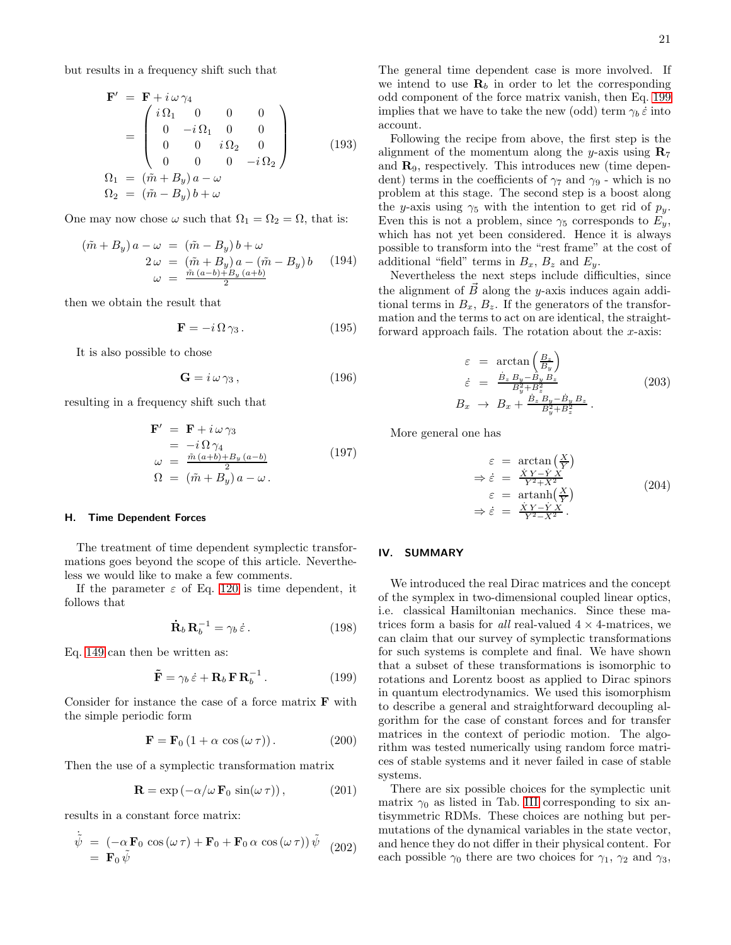but results in a frequency shift such that

$$
\mathbf{F}' = \mathbf{F} + i \omega \gamma_4 \n= \begin{pmatrix}\ni \Omega_1 & 0 & 0 & 0 \\
0 & -i \Omega_1 & 0 & 0 \\
0 & 0 & i \Omega_2 & 0 \\
0 & 0 & 0 & -i \Omega_2\n\end{pmatrix}
$$
\n(193)  
\n
$$
\Omega_1 = (\tilde{m} + B_y) a - \omega \n\Omega_2 = (\tilde{m} - B_y) b + \omega
$$

One may now chose  $\omega$  such that  $\Omega_1 = \Omega_2 = \Omega$ , that is:

$$
(\tilde{m} + B_y) a - \omega = (\tilde{m} - B_y) b + \omega
$$
  
2\omega = (\tilde{m} + B\_y) a - (\tilde{m} - B\_y) b (194)  

$$
\omega = \frac{\tilde{m} (a - b) + B_y (a + b)}{2}
$$

then we obtain the result that

$$
\mathbf{F} = -i\,\Omega\,\gamma_3\,. \tag{195}
$$

It is also possible to chose

$$
\mathbf{G} = i\,\omega\,\gamma_3\,,\tag{196}
$$

resulting in a frequency shift such that

$$
\mathbf{F}' = \mathbf{F} + i \,\omega \,\gamma_3
$$
  
=  $-i \,\Omega \,\gamma_4$   

$$
\omega = \frac{\tilde{m} \,(a+b) + B_y \,(a-b)}{2}
$$
  

$$
\Omega = (\tilde{m} + B_y) \,a - \omega \,.
$$
 (197)

### H. Time Dependent Forces

The treatment of time dependent symplectic transformations goes beyond the scope of this article. Nevertheless we would like to make a few comments.

If the parameter  $\varepsilon$  of Eq. [120](#page-11-1) is time dependent, it follows that

$$
\dot{\mathbf{R}}_b \mathbf{R}_b^{-1} = \gamma_b \dot{\varepsilon} \,. \tag{198}
$$

Eq. [149](#page-14-1) can then be written as:

<span id="page-20-0"></span>
$$
\tilde{\mathbf{F}} = \gamma_b \,\dot{\varepsilon} + \mathbf{R}_b \,\mathbf{F} \,\mathbf{R}_b^{-1} \,. \tag{199}
$$

Consider for instance the case of a force matrix  $\bf{F}$  with the simple periodic form

$$
\mathbf{F} = \mathbf{F}_0 \left( 1 + \alpha \cos(\omega \tau) \right). \tag{200}
$$

Then the use of a symplectic transformation matrix

$$
\mathbf{R} = \exp(-\alpha/\omega \, \mathbf{F}_0 \, \sin(\omega \, \tau)), \tag{201}
$$

results in a constant force matrix:

$$
\dot{\tilde{\psi}} = (-\alpha \mathbf{F}_0 \cos(\omega \tau) + \mathbf{F}_0 + \mathbf{F}_0 \alpha \cos(\omega \tau)) \tilde{\psi} \quad (202)
$$
  
=  $\mathbf{F}_0 \tilde{\psi}$ 

The general time dependent case is more involved. If we intend to use  $\mathbf{R}_b$  in order to let the corresponding odd component of the force matrix vanish, then Eq. [199](#page-20-0) implies that we have to take the new (odd) term  $\gamma_b \dot{\varepsilon}$  into account.

Following the recipe from above, the first step is the alignment of the momentum along the y-axis using  $\mathbf{R}_7$ and R9, respectively. This introduces new (time dependent) terms in the coefficients of  $\gamma_7$  and  $\gamma_9$  - which is no problem at this stage. The second step is a boost along the y-axis using  $\gamma_5$  with the intention to get rid of  $p_y$ . Even this is not a problem, since  $\gamma_5$  corresponds to  $E_y$ , which has not yet been considered. Hence it is always possible to transform into the "rest frame" at the cost of additional "field" terms in  $B_x$ ,  $B_z$  and  $E_y$ .

Nevertheless the next steps include difficulties, since the alignment of  $\vec{B}$  along the y-axis induces again additional terms in  $B_x$ ,  $B_z$ . If the generators of the transformation and the terms to act on are identical, the straightforward approach fails. The rotation about the x-axis:

$$
\varepsilon = \arctan\left(\frac{B_z}{B_y}\right)
$$
  
\n
$$
\dot{\varepsilon} = \frac{\dot{B}_z B_y - \dot{B}_y B_z}{B_y^2 + B_z^2}
$$
  
\n
$$
B_x \to B_x + \frac{\dot{B}_z B_y - \dot{B}_y B_z}{B_y^2 + B_z^2}.
$$
\n(203)

More general one has

$$
\varepsilon = \arctan\left(\frac{X}{Y}\right)
$$
\n
$$
\Rightarrow \dot{\varepsilon} = \frac{\dot{X}Y - \dot{Y}X}{Y^2 + X^2}
$$
\n
$$
\varepsilon = \operatorname{artanh}\left(\frac{X}{Y}\right)
$$
\n
$$
\Rightarrow \dot{\varepsilon} = \frac{\dot{X}Y - \dot{Y}X}{Y^2 - X^2}.
$$
\n(204)

### IV. SUMMARY

We introduced the real Dirac matrices and the concept of the symplex in two-dimensional coupled linear optics, i.e. classical Hamiltonian mechanics. Since these matrices form a basis for *all* real-valued  $4 \times 4$ -matrices, we can claim that our survey of symplectic transformations for such systems is complete and final. We have shown that a subset of these transformations is isomorphic to rotations and Lorentz boost as applied to Dirac spinors in quantum electrodynamics. We used this isomorphism to describe a general and straightforward decoupling algorithm for the case of constant forces and for transfer matrices in the context of periodic motion. The algorithm was tested numerically using random force matrices of stable systems and it never failed in case of stable systems.

There are six possible choices for the symplectic unit matrix  $\gamma_0$  as listed in Tab. [III](#page-22-0) corresponding to six antisymmetric RDMs. These choices are nothing but permutations of the dynamical variables in the state vector, and hence they do not differ in their physical content. For each possible  $\gamma_0$  there are two choices for  $\gamma_1$ ,  $\gamma_2$  and  $\gamma_3$ ,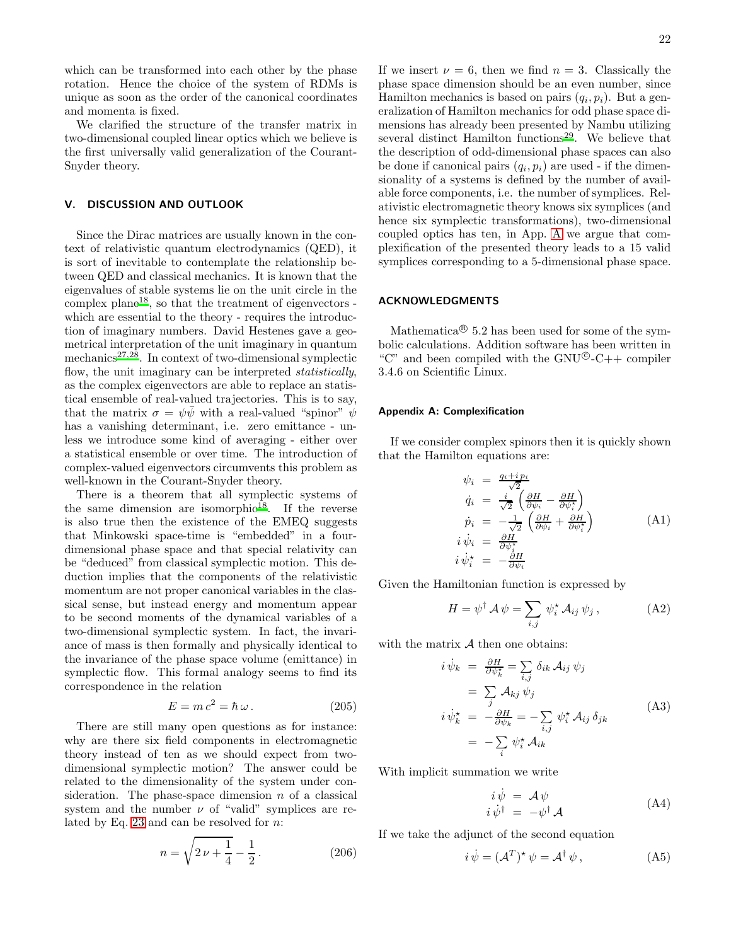which can be transformed into each other by the phase rotation. Hence the choice of the system of RDMs is unique as soon as the order of the canonical coordinates and momenta is fixed.

We clarified the structure of the transfer matrix in two-dimensional coupled linear optics which we believe is the first universally valid generalization of the Courant-Snyder theory.

# V. DISCUSSION AND OUTLOOK

Since the Dirac matrices are usually known in the context of relativistic quantum electrodynamics (QED), it is sort of inevitable to contemplate the relationship between QED and classical mechanics. It is known that the eigenvalues of stable systems lie on the unit circle in the complex plane<sup>[18](#page-24-10)</sup>, so that the treatment of eigenvectors which are essential to the theory - requires the introduction of imaginary numbers. David Hestenes gave a geometrical interpretation of the unit imaginary in quantum mechanics $27,28$  $27,28$ . In context of two-dimensional symplectic flow, the unit imaginary can be interpreted *statistically*, as the complex eigenvectors are able to replace an statistical ensemble of real-valued trajectories. This is to say, that the matrix  $\sigma = \psi \bar{\psi}$  with a real-valued "spinor"  $\psi$ has a vanishing determinant, i.e. zero emittance - unless we introduce some kind of averaging - either over a statistical ensemble or over time. The introduction of complex-valued eigenvectors circumvents this problem as well-known in the Courant-Snyder theory.

There is a theorem that all symplectic systems of the same dimension are isomorphic<sup>[18](#page-24-10)</sup>. If the reverse is also true then the existence of the EMEQ suggests that Minkowski space-time is "embedded" in a fourdimensional phase space and that special relativity can be "deduced" from classical symplectic motion. This deduction implies that the components of the relativistic momentum are not proper canonical variables in the classical sense, but instead energy and momentum appear to be second moments of the dynamical variables of a two-dimensional symplectic system. In fact, the invariance of mass is then formally and physically identical to the invariance of the phase space volume (emittance) in symplectic flow. This formal analogy seems to find its correspondence in the relation

$$
E = mc^2 = \hbar \,\omega \,. \tag{205}
$$

There are still many open questions as for instance: why are there six field components in electromagnetic theory instead of ten as we should expect from twodimensional symplectic motion? The answer could be related to the dimensionality of the system under consideration. The phase-space dimension  $n$  of a classical system and the number  $\nu$  of "valid" symplices are related by Eq. [23](#page-3-4) and can be resolved for n:

<span id="page-21-1"></span>
$$
n = \sqrt{2\nu + \frac{1}{4}} - \frac{1}{2}.
$$
 (206)

If we insert  $\nu = 6$ , then we find  $n = 3$ . Classically the phase space dimension should be an even number, since Hamilton mechanics is based on pairs  $(q_i, p_i)$ . But a generalization of Hamilton mechanics for odd phase space dimensions has already been presented by Nambu utilizing several distinct Hamilton functions<sup>[29](#page-24-21)</sup>. We believe that the description of odd-dimensional phase spaces can also be done if canonical pairs  $(q_i, p_i)$  are used - if the dimensionality of a systems is defined by the number of available force components, i.e. the number of symplices. Relativistic electromagnetic theory knows six symplices (and hence six symplectic transformations), two-dimensional coupled optics has ten, in App. [A](#page-21-0) we argue that complexification of the presented theory leads to a 15 valid symplices corresponding to a 5-dimensional phase space.

# ACKNOWLEDGMENTS

Mathematica<sup> $\circledR$ </sup> 5.2 has been used for some of the symbolic calculations. Addition software has been written in "C" and been compiled with the  $\text{GNU}^{\textcircled{\tiny Q}}$ -C++ compiler 3.4.6 on Scientific Linux.

#### <span id="page-21-0"></span>Appendix A: Complexification

If we consider complex spinors then it is quickly shown that the Hamilton equations are:

$$
\psi_i = \frac{q_i + ip_i}{\sqrt{2}} \n\dot{q}_i = \frac{i}{\sqrt{2}} \left( \frac{\partial H}{\partial \psi_i} - \frac{\partial H}{\partial \psi_i^*} \right) \n\dot{p}_i = -\frac{1}{\sqrt{2}} \left( \frac{\partial H}{\partial \psi_i} + \frac{\partial H}{\partial \psi_i^*} \right) \n\dot{i}\dot{\psi}_i = \frac{\partial H}{\partial \psi_i^*} \n\dot{i}\dot{\psi}_i^* = -\frac{\partial H}{\partial \psi_i}
$$
\n(A1)

Given the Hamiltonian function is expressed by

$$
H = \psi^{\dagger} A \psi = \sum_{i,j} \psi_i^* A_{ij} \psi_j, \qquad (A2)
$$

with the matrix  $A$  then one obtains:

$$
i \dot{\psi}_k = \frac{\partial H}{\partial \psi_k^*} = \sum_{i,j} \delta_{ik} A_{ij} \psi_j
$$
  
\n
$$
= \sum_j A_{kj} \psi_j
$$
  
\n
$$
i \dot{\psi}_k^* = -\frac{\partial H}{\partial \psi_k} = -\sum_{i,j} \psi_i^* A_{ij} \delta_{jk}
$$
  
\n
$$
= -\sum_i \psi_i^* A_{ik}
$$
  
\n(A3)

With implicit summation we write

$$
\begin{array}{rcl}\ni\dot{\psi} & = & \mathcal{A}\psi\\ i\,\dot{\psi}^{\dagger} & = & -\psi^{\dagger}\,\mathcal{A}\end{array} \tag{A4}
$$

If we take the adjunct of the second equation

$$
i\,\dot{\psi} = (\mathcal{A}^T)^{\star}\,\psi = \mathcal{A}^{\dagger}\,\psi\,,\tag{A5}
$$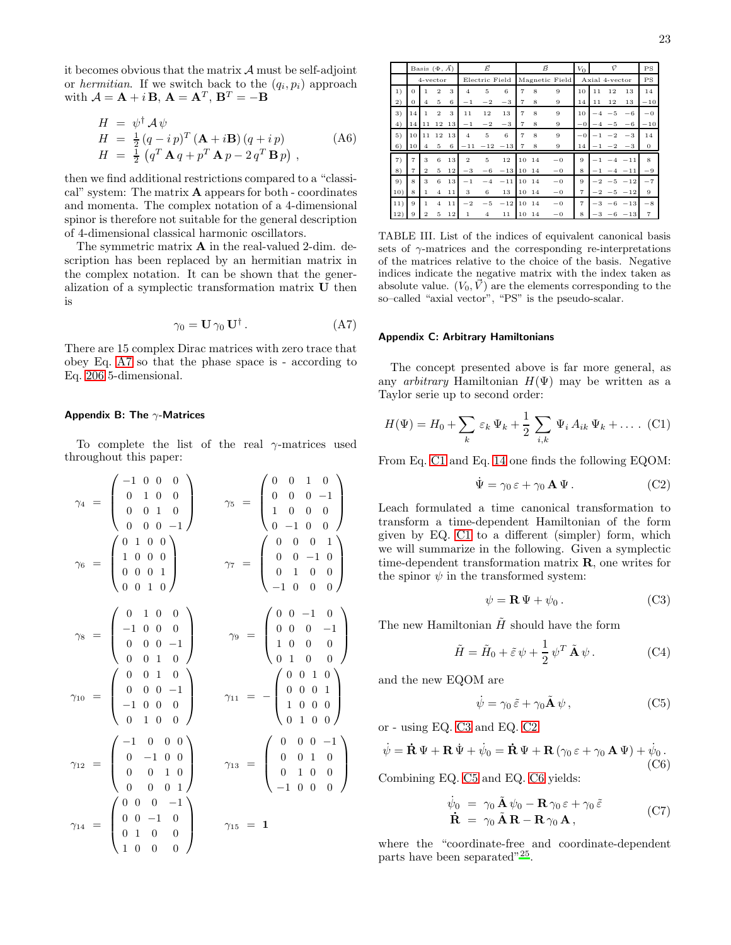it becomes obvious that the matrix  $A$  must be self-adjoint or *hermitian*. If we switch back to the  $(q_i, p_i)$  approach with  $\mathcal{A} = \mathbf{A} + i \mathbf{B}$ ,  $\mathbf{A} = \mathbf{A}^T$ ,  $\mathbf{B}^T = -\mathbf{B}$ 

$$
H = \psi^{\dagger} A \psi
$$
  
\n
$$
H = \frac{1}{2} (q - i p)^{T} (\mathbf{A} + i \mathbf{B}) (q + i p)
$$
  
\n
$$
H = \frac{1}{2} (q^{T} \mathbf{A} q + p^{T} \mathbf{A} p - 2 q^{T} \mathbf{B} p),
$$
\n(A6)

then we find additional restrictions compared to a "classical" system: The matrix A appears for both - coordinates and momenta. The complex notation of a 4-dimensional spinor is therefore not suitable for the general description of 4-dimensional classical harmonic oscillators.

The symmetric matrix A in the real-valued 2-dim. description has been replaced by an hermitian matrix in the complex notation. It can be shown that the generalization of a symplectic transformation matrix U then is

<span id="page-22-2"></span>
$$
\gamma_0 = \mathbf{U} \,\gamma_0 \,\mathbf{U}^\dagger \,. \tag{A7}
$$

There are 15 complex Dirac matrices with zero trace that obey Eq. [A7](#page-22-2) so that the phase space is - according to Eq. [206](#page-21-1) 5-dimensional.

#### <span id="page-22-1"></span>Appendix B: The  $\gamma$ -Matrices

To complete the list of the real  $\gamma$ -matrices used throughout this paper:

$$
\gamma_4 = \begin{pmatrix}\n-1 & 0 & 0 & 0 \\
0 & 1 & 0 & 0 \\
0 & 0 & 1 & 0 \\
0 & 0 & 0 & -1\n\end{pmatrix} \qquad \gamma_5 = \begin{pmatrix}\n0 & 0 & 1 & 0 \\
0 & 0 & 0 & -1 \\
1 & 0 & 0 & 0 \\
0 & -1 & 0 & 0 \\
0 & 0 & 1 & 0\n\end{pmatrix}
$$

$$
\gamma_6 = \begin{pmatrix}\n0 & 1 & 0 & 0 \\
1 & 0 & 0 & 0 \\
0 & 0 & 0 & 1 \\
0 & 0 & 1 & 0\n\end{pmatrix} \qquad \gamma_7 = \begin{pmatrix}\n0 & 0 & 0 & 1 \\
0 & 0 & -1 & 0 \\
0 & 1 & 0 & 0 \\
-1 & 0 & 0 & 0 \\
0 & 0 & 0 & -1 \\
0 & 0 & 0 & 0\n\end{pmatrix}
$$

$$
\gamma_8 = \begin{pmatrix}\n0 & 1 & 0 & 0 \\
-1 & 0 & 0 & 0 \\
0 & 0 & 0 & -1 \\
-1 & 0 & 0 & 0 \\
0 & 1 & 0 & 0\n\end{pmatrix} \qquad \gamma_9 = \begin{pmatrix}\n0 & 0 & -1 & 0 \\
0 & 0 & 0 & -1 \\
1 & 0 & 0 & 0 \\
0 & 1 & 0 & 0 \\
0 & 1 & 0 & 0\n\end{pmatrix}
$$

$$
\gamma_{12} = \begin{pmatrix}\n-1 & 0 & 0 & 0 \\
0 & -1 & 0 & 0 \\
0 & 0 & 1 & 0 \\
0 & 0 & 0 & 1\n\end{pmatrix} \qquad \gamma_{13} = \begin{pmatrix}\n0 & 0 & 0 & -1 \\
0 & 0 & 1 & 0 \\
0 & 1 & 0 & 0 \\
-1 & 0 & 0 & 0\n\end{pmatrix}
$$

$$
\gamma_{14} = \begin{pmatrix}\n0 & 0 & 0 & -1 \\
0 & 0 & -1 & 0 \\
0 & 1 & 0 & 0 \\
1 & 0 & 0 & 0\n\end{pmatrix} \qquad \gamma_{15} = 1
$$

|     |                |                | Basis $(\Phi, \vec{A})$ |         | Ē              |                |           |                |       | $\vec{B}$      | $V_0$          | $\vec{V}$      |                 |                 | PS             |
|-----|----------------|----------------|-------------------------|---------|----------------|----------------|-----------|----------------|-------|----------------|----------------|----------------|-----------------|-----------------|----------------|
|     |                |                | 4-vector                |         |                | Electric Field |           |                |       | Magnetic Field |                | Axial 4-vector |                 |                 | PS             |
| 1)  | $\mathbf{O}$   | 1              | $\overline{2}$          | 3       | $\overline{4}$ | 5              | 6         | $\overline{7}$ | 8     | 9              | 10             | 11             | 12              | 13              | 14             |
| 2)  | $\sigma$       | $\overline{4}$ | 5.                      | 6       | $-1$           | $^{-2}$        | $-3$      | $\overline{7}$ | 8     | 9              | 14             | 11             | 12              | 13              | $-10$          |
| 3)  | 14             | $\mathbf{1}$   | $\overline{2}$          | 3       | 11             | 12             | 13        | $\overline{7}$ | 8     | 9              | 10             | $-4$           | $-5$            | $-6$            | $-0$           |
| 4)  | 14             | 11             | 12                      | 13      | $-1$           | $^{-2}$        | $-3$      | $\overline{7}$ | 8     | 9              | $-0$           |                | $-4 - 5$        | $-6$            | $-10$          |
| 5)  | 10             | 11             | 12                      | 13      | $\overline{4}$ | 5              | 6         | $\overline{7}$ | 8     | 9              | $-0$           | $-1$           | $-2$            | $-3$            | 14             |
| 6)  | 10             | 4              | 5                       | 6       | $-11$          |                | $-12 -13$ | $\overline{7}$ | 8     | 9              | 14             |                | $-1$ $-2$       | $-3$            | $\mathbf{0}$   |
| 7)  | $\overline{7}$ | 3              | 6                       | 13      | $\overline{2}$ | 5              | 12        | 10             | 14    | $-0$           | 9              |                | $-1$ $-4$ $-11$ |                 | $\mathbf{8}$   |
| 8)  | $\overline{7}$ | $\overline{2}$ | 5                       | 12      | $-3$           | $-6$           | $-13$     |                | 10 14 | $-0$           | 8              |                | $-1$ $-4$ $-11$ |                 | $-9$           |
| 9)  | 8              | 3              | 6                       | 13      | $-1$           | $-4$           | $-11$     | 10             | 14    | $-0$           | 9              | $-2$           |                 | $-5 -12$        | $-7$           |
| 10) | 8              | $\mathbf{1}$   | $\overline{4}$          | 11      | 3              | 6              | 13        |                | 10 14 | $-0$           | $\overline{7}$ |                |                 | $-2$ $-5$ $-12$ | 9              |
| 11) | 9              | 1              | $\overline{4}$          | 11      | $^{-2}$        | $-5$           | $-12$     |                | 10 14 | $-0$           | $\overline{7}$ |                |                 | $-3 -6 -13$     | $-8$           |
| 12) | 9              | $\overline{2}$ | 5                       | $12 \,$ | 1              | $\overline{4}$ | 11        | 10             | 14    | $-0$           | 8              |                | $-3 -6$         | $-13$           | $\overline{7}$ |

<span id="page-22-0"></span>TABLE III. List of the indices of equivalent canonical basis sets of  $\gamma$ -matrices and the corresponding re-interpretations of the matrices relative to the choice of the basis. Negative indices indicate the negative matrix with the index taken as absolute value.  $(V_0, V)$  are the elements corresponding to the so–called "axial vector", "PS" is the pseudo-scalar.

#### Appendix C: Arbitrary Hamiltonians

The concept presented above is far more general, as any *arbitrary* Hamiltonian  $H(\Psi)$  may be written as a Taylor serie up to second order:

<span id="page-22-3"></span>
$$
H(\Psi) = H_0 + \sum_k \varepsilon_k \Psi_k + \frac{1}{2} \sum_{i,k} \Psi_i A_{ik} \Psi_k + \dots
$$
 (C1)

From Eq. [C1](#page-22-3) and Eq. [14](#page-2-3) one finds the following EQOM:

<span id="page-22-5"></span>
$$
\dot{\Psi} = \gamma_0 \,\varepsilon + \gamma_0 \,\mathbf{A} \,\Psi. \tag{C2}
$$

Leach formulated a time canonical transformation to transform a time-dependent Hamiltonian of the form given by EQ. [C1](#page-22-3) to a different (simpler) form, which we will summarize in the following. Given a symplectic time-dependent transformation matrix R, one writes for the spinor  $\psi$  in the transformed system:

<span id="page-22-4"></span>
$$
\psi = \mathbf{R} \Psi + \psi_0 \,. \tag{C3}
$$

The new Hamiltonian  $\tilde{H}$  should have the form

$$
\tilde{H} = \tilde{H}_0 + \tilde{\varepsilon}\,\psi + \frac{1}{2}\,\psi^T\,\tilde{\mathbf{A}}\,\psi\,. \tag{C4}
$$

and the new EQOM are

<span id="page-22-6"></span>
$$
\dot{\psi} = \gamma_0 \,\tilde{\varepsilon} + \gamma_0 \tilde{\mathbf{A}} \,\psi \,, \tag{C5}
$$

or - using EQ. [C3](#page-22-4) and EQ. [C2:](#page-22-5)

<span id="page-22-7"></span>
$$
\dot{\psi} = \dot{\mathbf{R}} \Psi + \mathbf{R} \dot{\Psi} + \dot{\psi}_0 = \dot{\mathbf{R}} \Psi + \mathbf{R} (\gamma_0 \varepsilon + \gamma_0 \mathbf{A} \Psi) + \dot{\psi}_0.
$$
\n(C6)

Combining EQ. [C5](#page-22-6) and EQ. [C6](#page-22-7) yields:

$$
\dot{\psi}_0 = \gamma_0 \tilde{\mathbf{A}} \psi_0 - \mathbf{R} \gamma_0 \varepsilon + \gamma_0 \tilde{\varepsilon} \n\dot{\mathbf{R}} = \gamma_0 \tilde{\mathbf{A}} \mathbf{R} - \mathbf{R} \gamma_0 \mathbf{A},
$$
\n(C7)

where the "coordinate-free and coordinate-dependent parts have been separated"<sup>[25](#page-24-17)</sup>.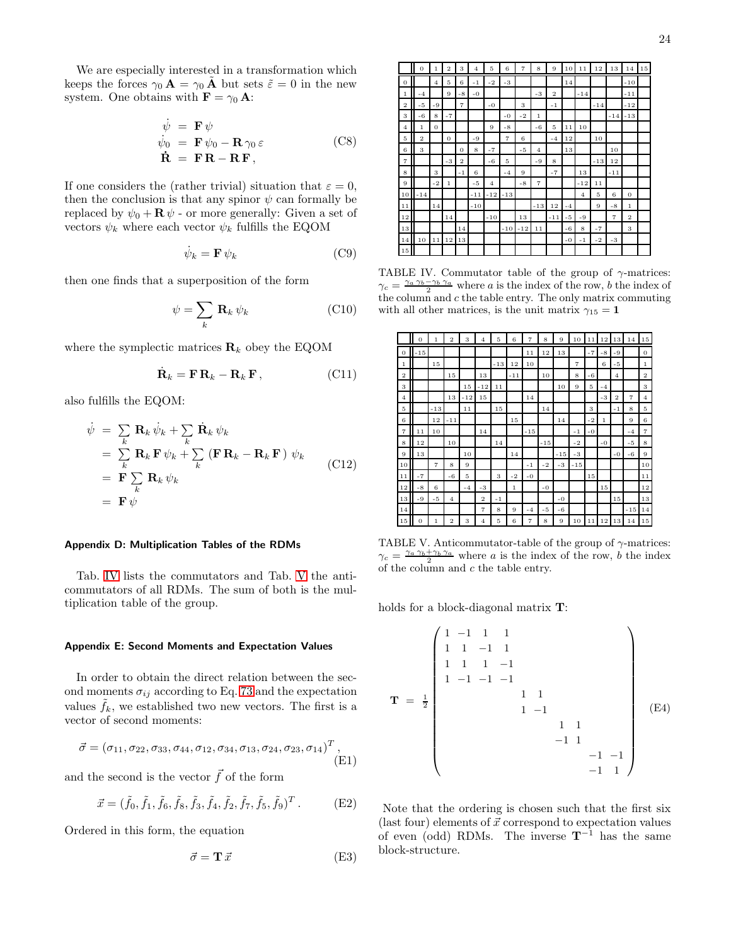We are especially interested in a transformation which keeps the forces  $\gamma_0 \mathbf{A} = \gamma_0 \mathbf{A}$  but sets  $\tilde{\varepsilon} = 0$  in the new system. One obtains with  $\mathbf{F} = \gamma_0 \mathbf{A}$ :

$$
\begin{aligned}\n\dot{\psi} &= \mathbf{F} \psi \\
\dot{\psi}_0 &= \mathbf{F} \psi_0 - \mathbf{R} \gamma_0 \varepsilon \\
\dot{\mathbf{R}} &= \mathbf{F} \mathbf{R} - \mathbf{R} \mathbf{F},\n\end{aligned} \tag{C8}
$$

If one considers the (rather trivial) situation that  $\varepsilon = 0$ , then the conclusion is that any spinor  $\psi$  can formally be replaced by  $\psi_0 + \mathbf{R} \psi$  - or more generally: Given a set of vectors  $\psi_k$  where each vector  $\psi_k$  fulfills the EQOM

$$
\dot{\psi}_k = \mathbf{F} \, \psi_k \tag{C9}
$$

then one finds that a superposition of the form

$$
\psi = \sum_{k} \mathbf{R}_{k} \,\psi_{k} \tag{C10}
$$

where the symplectic matrices  $\mathbf{R}_k$  obey the EQOM

$$
\dot{\mathbf{R}}_k = \mathbf{F} \, \mathbf{R}_k - \mathbf{R}_k \, \mathbf{F} \,, \tag{C11}
$$

also fulfills the EQOM:

$$
\begin{aligned}\n\dot{\psi} &= \sum_{k} \mathbf{R}_{k} \dot{\psi}_{k} + \sum_{k} \dot{\mathbf{R}}_{k} \psi_{k} \\
&= \sum_{k} \mathbf{R}_{k} \mathbf{F} \psi_{k} + \sum_{k} (\mathbf{F} \mathbf{R}_{k} - \mathbf{R}_{k} \mathbf{F}) \psi_{k} \\
&= \mathbf{F} \sum_{k} \mathbf{R}_{k} \psi_{k} \\
&= \mathbf{F} \psi\n\end{aligned}
$$
\n(C12)

# Appendix D: Multiplication Tables of the RDMs

Tab. [IV](#page-23-0) lists the commutators and Tab. [V](#page-23-2) the anticommutators of all RDMs. The sum of both is the multiplication table of the group.

#### <span id="page-23-1"></span>Appendix E: Second Moments and Expectation Values

In order to obtain the direct relation between the second moments  $\sigma_{ij}$  according to Eq. [73](#page-7-6) and the expectation values  $f_k$ , we established two new vectors. The first is a vector of second moments:

$$
\vec{\sigma} = (\sigma_{11}, \sigma_{22}, \sigma_{33}, \sigma_{44}, \sigma_{12}, \sigma_{34}, \sigma_{13}, \sigma_{24}, \sigma_{23}, \sigma_{14})^T, \tag{E1}
$$

and the second is the vector  $\vec{f}$  of the form

$$
\vec{x} = (\tilde{f}_0, \tilde{f}_1, \tilde{f}_6, \tilde{f}_8, \tilde{f}_3, \tilde{f}_4, \tilde{f}_2, \tilde{f}_7, \tilde{f}_5, \tilde{f}_9)^T.
$$
 (E2)

Ordered in this form, the equation

$$
\vec{\sigma} = \mathbf{T}\,\vec{x} \tag{E3}
$$

|                | $\sigma$       | $\mathbf 1$    | $\overline{2}$ | 3              | $\overline{4}$ | 5              | 6              | $\overline{7}$ | 8              | 9              | 10   | $1\,1$         | 12    | 13             | 14             | $15\,$ |
|----------------|----------------|----------------|----------------|----------------|----------------|----------------|----------------|----------------|----------------|----------------|------|----------------|-------|----------------|----------------|--------|
| $\theta$       |                | $\overline{4}$ | 5              | 6              | $-1$           | $-2$           | $-3$           |                |                |                | 14   |                |       |                | $-10$          |        |
| $\mathbf{1}$   | $-4$           |                | 9              | $-8$           | $-0$           |                |                |                | $-3$           | $\overline{2}$ |      | $-14$          |       |                | $-11$          |        |
| $\overline{2}$ | $-5$           | $-9$           |                | $\overline{7}$ |                | $-0$           |                | 3              |                | $-1$           |      |                | $-14$ |                | $-12$          |        |
| 3              | $-6$           | 8              | $-7$           |                |                |                | $-0$           | $-2$           | $\mathbf{1}$   |                |      |                |       | $-14$          | $-13$          |        |
| $\overline{4}$ | $\mathbf{1}$   | $\overline{0}$ |                |                |                | 9              | $-8$           |                | $-6$           | 5              | 11   | 10             |       |                |                |        |
| 5              | $\overline{2}$ |                | $\overline{0}$ |                | $-9$           |                | $\overline{7}$ | 6              |                | $-4$           | 12   |                | 10    |                |                |        |
| 6              | 3              |                |                | $\theta$       | 8              | $-7$           |                | $-5$           | $\overline{4}$ |                | 13   |                |       | 10             |                |        |
| $\overline{7}$ |                |                | $-3$           | $\overline{2}$ |                | $-6$           | 5              |                | $-9$           | 8              |      |                | $-13$ | 12             |                |        |
| 8              |                | 3              |                | $-1$           | 6              |                | $-4$           | 9              |                | $-7$           |      | 13             |       | $-11$          |                |        |
| 9              |                | $-2$           | $\mathbf{1}$   |                | $-5$           | $\overline{4}$ |                | $-8$           | $\overline{7}$ |                |      | $-12$          | 11    |                |                |        |
| 10             | $-14$          |                |                |                | $-11$          | $-12$          | $-13$          |                |                |                |      | $\overline{4}$ | 5     | 6              | $\overline{0}$ |        |
| 11             |                | 14             |                |                | $-10$          |                |                |                | $-13$          | 12             | $-4$ |                | 9     | $-8$           | $\mathbf{1}$   |        |
| 12             |                |                | 14             |                |                | $-10$          |                | 13             |                | $-11$          | $-5$ | $-9$           |       | $\overline{7}$ | $\overline{2}$ |        |
| 13             |                |                |                | 14             |                |                | $-10$          | $-12$          | 11             |                | $-6$ | 8              | $-7$  |                | 3              |        |
| 14             | 10             | 11             | 12             | 13             |                |                |                |                |                |                | $-0$ | $-1$           | $-2$  | $-3$           |                |        |
| 15             |                |                |                |                |                |                |                |                |                |                |      |                |       |                |                |        |

<span id="page-23-0"></span>TABLE IV. Commutator table of the group of  $\gamma$ -matrices:  $\gamma_c = \frac{\gamma_a \gamma_b - \gamma_b \gamma_a}{2}$  where a is the index of the row, b the index of the column and  $c$  the table entry. The only matrix commuting with all other matrices, is the unit matrix  $\gamma_{15} = 1$ 

|                | $\overline{0}$ | $\mathbf{1}$   | $\overline{2}$ | 3     | $\overline{4}$ | 5      | 6            | $\overline{7}$ | 8     | 9     | 10             | 11     | 12           | 13             | 14             | $1\,5$         |
|----------------|----------------|----------------|----------------|-------|----------------|--------|--------------|----------------|-------|-------|----------------|--------|--------------|----------------|----------------|----------------|
| $\overline{0}$ | $-15$          |                |                |       |                |        |              | 11             | 12    | 13    |                | $-7$   | $-8$         | $-9$           |                | $\theta$       |
| $\mathbf{1}$   |                | 15             |                |       |                | $-13$  | 12           | 10             |       |       | $\overline{7}$ |        | 6            | $-5$           |                | $\mathbf{1}$   |
| $\overline{2}$ |                |                | 15             |       | 13             |        | $-11$        |                | 10    |       | 8              | $-6$   |              | $\overline{4}$ |                | $\overline{2}$ |
| 3              |                |                |                | 15    | $-12$          | $1\,1$ |              |                |       | 10    | 9              | 5      | $-4$         |                |                | 3              |
| $\overline{4}$ |                |                | 13             | $-12$ | 15             |        |              | 14             |       |       |                |        | $-3$         | $\overline{2}$ | $\overline{7}$ | $\overline{4}$ |
| 5              |                | $-13$          |                | 11    |                | 15     |              |                | 14    |       |                | 3      |              | $-1$           | 8              | 5              |
| 6              |                | 12             | $-11$          |       |                |        | 15           |                |       | 14    |                | $-2$   | $\mathbf{1}$ |                | 9              | 6              |
| $\overline{7}$ | 11             | 10             |                |       | 14             |        |              | $-15$          |       |       | $-1$           | $-0$   |              |                | $-4$           | $\overline{7}$ |
| 8              | 12             |                | 10             |       |                | 14     |              |                | $-15$ |       | $-2$           |        | $-0$         |                | $-5$           | 8              |
| 9              | 13             |                |                | 10    |                |        | 14           |                |       | $-15$ | $-3$           |        |              | $-0$           | $-6$           | 9              |
| 10             |                | $\overline{7}$ | 8              | 9     |                |        |              | $-1$           | $-2$  | $-3$  | $-15$          |        |              |                |                | 10             |
| 11             | $-7$           |                | $-6$           | 5     |                | 3      | $-2$         | $-0$           |       |       |                | 15     |              |                |                | 11             |
| 12             | $-8$           | 6              |                | $-4$  | $-3$           |        | $\mathbf{1}$ |                | $-0$  |       |                |        | $15\,$       |                |                | 12             |
| 13             | $-9$           | $-5$           | $\overline{4}$ |       | $\overline{2}$ | $-1$   |              |                |       | $-0$  |                |        |              | 15             |                | 13             |
| 14             |                |                |                |       | $\overline{7}$ | 8      | 9            | $-4$           | $-5$  | $-6$  |                |        |              |                | $-15$          | 14             |
| 15             | $\overline{0}$ | $\mathbf 1$    | $\overline{2}$ | 3     | $\overline{4}$ | 5      | 6            | $\overline{7}$ | 8     | 9     | 10             | $1\,1$ | 12           | 13             | 14             | $15\,$         |

<span id="page-23-2"></span>TABLE V. Anticommutator-table of the group of  $\gamma$ -matrices:  $\gamma_c = \frac{\gamma_a \gamma_b + \gamma_b \gamma_a}{2}$  where a is the index of the row, b the index of the column and  $c$  the table entry.

holds for a block-diagonal matrix T:

$$
\mathbf{T} = \frac{1}{2} \begin{pmatrix} 1 & -1 & 1 & 1 \\ 1 & 1 & -1 & 1 \\ 1 & 1 & 1 & -1 \\ 1 & -1 & -1 & -1 \\ & & & 1 & 1 \\ & & & & 1 & 1 \\ & & & & & 1 & 1 \\ & & & & & & 1 & 1 \\ & & & & & & & -1 & 1 \\ & & & & & & & -1 & 1 \end{pmatrix}
$$
 (E4)

Note that the ordering is chosen such that the first six (last four) elements of  $\vec{x}$  correspond to expectation values of even (odd) RDMs. The inverse  $T^{-1}$  has the same block-structure.